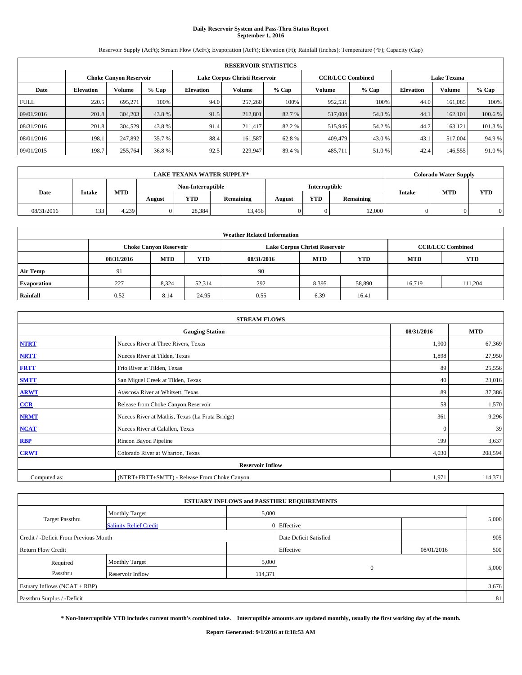# **Daily Reservoir System and Pass-Thru Status Report September 1, 2016**

Reservoir Supply (AcFt); Stream Flow (AcFt); Evaporation (AcFt); Elevation (Ft); Rainfall (Inches); Temperature (°F); Capacity (Cap)

|             | <b>RESERVOIR STATISTICS</b> |                               |         |                  |                                        |        |                         |               |       |                    |         |  |
|-------------|-----------------------------|-------------------------------|---------|------------------|----------------------------------------|--------|-------------------------|---------------|-------|--------------------|---------|--|
|             |                             | <b>Choke Canyon Reservoir</b> |         |                  | Lake Corpus Christi Reservoir          |        | <b>CCR/LCC Combined</b> |               |       | <b>Lake Texana</b> |         |  |
| Date        | <b>Elevation</b>            | Volume                        | $%$ Cap | <b>Elevation</b> | Volume<br>Volume<br>$%$ Cap<br>$%$ Cap |        | <b>Elevation</b>        | <b>Volume</b> | % Cap |                    |         |  |
| <b>FULL</b> | 220.5                       | 695.271                       | 100%    | 94.0             | 257,260                                | 100%   | 952,531                 | 100%          | 44.0  | 161.085            | 100%    |  |
| 09/01/2016  | 201.8                       | 304,203                       | 43.8%   | 91.5             | 212,801                                | 82.7 % | 517,004                 | 54.3 %        | 44.1  | 162,101            | 100.6%  |  |
| 08/31/2016  | 201.8                       | 304.529                       | 43.8 %  | 91.4             | 211,417                                | 82.2 % | 515,946                 | 54.2 %        | 44.2  | 163.121            | 101.3 % |  |
| 08/01/2016  | 198.1                       | 247.892                       | 35.7 %  | 88.4             | 161.587                                | 62.8%  | 409,479                 | 43.0 %        | 43.1  | 517,004            | 94.9%   |  |
| 09/01/2015  | 198.7                       | 255,764                       | 36.8 %  | 92.5             | 229,947                                | 89.4 % | 485,711                 | 51.0%         | 42.4  | 146,555            | 91.0%   |  |

|            | <b>LAKE TEXANA WATER SUPPLY*</b> |            |        |                   |           |        |               |           |               | <b>Colorado Water Supply</b> |            |
|------------|----------------------------------|------------|--------|-------------------|-----------|--------|---------------|-----------|---------------|------------------------------|------------|
|            |                                  |            |        | Non-Interruptible |           |        | Interruptible |           |               |                              |            |
| Date       | <b>Intake</b>                    | <b>MTD</b> | August | <b>YTD</b>        | Remaining | August | <b>YTD</b>    | Remaining | <b>Intake</b> | <b>MTD</b>                   | <b>YTD</b> |
| 08/31/2016 | 133                              | 4.239      |        | 28.384            | 13.456    |        | 0             | 12,000    |               |                              |            |

| <b>Weather Related Information</b> |                               |            |            |            |                               |                         |                          |         |  |  |
|------------------------------------|-------------------------------|------------|------------|------------|-------------------------------|-------------------------|--------------------------|---------|--|--|
|                                    | <b>Choke Canyon Reservoir</b> |            |            |            | Lake Corpus Christi Reservoir | <b>CCR/LCC Combined</b> |                          |         |  |  |
|                                    | 08/31/2016                    | <b>MTD</b> | <b>YTD</b> | 08/31/2016 | <b>MTD</b>                    | <b>YTD</b>              | <b>YTD</b><br><b>MTD</b> |         |  |  |
| <b>Air Temp</b>                    | 91                            |            |            | 90         |                               |                         |                          |         |  |  |
| <b>Evaporation</b>                 | 227                           | 8,324      | 52,314     | 292        | 8,395                         | 58,890                  | 16.719                   | 111.204 |  |  |
| Rainfall                           | 0.52                          | 8.14       | 24.95      | 0.55       | 6.39                          | 16.41                   |                          |         |  |  |

| <b>STREAM FLOWS</b> |                                                 |            |            |  |  |  |  |  |  |
|---------------------|-------------------------------------------------|------------|------------|--|--|--|--|--|--|
|                     | <b>Gauging Station</b>                          | 08/31/2016 | <b>MTD</b> |  |  |  |  |  |  |
| <b>NTRT</b>         | Nueces River at Three Rivers, Texas             | 1,900      | 67,369     |  |  |  |  |  |  |
| <b>NRTT</b>         | Nueces River at Tilden, Texas                   | 1,898      | 27,950     |  |  |  |  |  |  |
| <b>FRTT</b>         | Frio River at Tilden, Texas                     | 89         | 25,556     |  |  |  |  |  |  |
| <b>SMTT</b>         | San Miguel Creek at Tilden, Texas               | 40         | 23,016     |  |  |  |  |  |  |
| <b>ARWT</b>         | Atascosa River at Whitsett, Texas               | 89         | 37,386     |  |  |  |  |  |  |
| $CCR$               | Release from Choke Canyon Reservoir             | 58         | 1,570      |  |  |  |  |  |  |
| <b>NRMT</b>         | Nueces River at Mathis, Texas (La Fruta Bridge) | 361        | 9,296      |  |  |  |  |  |  |
| <b>NCAT</b>         | Nueces River at Calallen, Texas                 | $\Omega$   | 39         |  |  |  |  |  |  |
| RBP                 | Rincon Bayou Pipeline                           | 199        | 3,637      |  |  |  |  |  |  |
| <b>CRWT</b>         | Colorado River at Wharton, Texas                | 4,030      | 208,594    |  |  |  |  |  |  |
|                     | <b>Reservoir Inflow</b>                         |            |            |  |  |  |  |  |  |
| Computed as:        | (NTRT+FRTT+SMTT) - Release From Choke Canyon    |            |            |  |  |  |  |  |  |

|                                       |                               |                        | <b>ESTUARY INFLOWS and PASSTHRU REQUIREMENTS</b> |            |       |  |
|---------------------------------------|-------------------------------|------------------------|--------------------------------------------------|------------|-------|--|
|                                       | <b>Monthly Target</b>         | 5,000                  |                                                  |            |       |  |
| Target Passthru                       | <b>Salinity Relief Credit</b> |                        | 0 Effective                                      |            | 5,000 |  |
| Credit / -Deficit From Previous Month |                               | Date Deficit Satisfied |                                                  | 905        |       |  |
| <b>Return Flow Credit</b>             |                               |                        | Effective                                        | 08/01/2016 | 500   |  |
| Required                              | <b>Monthly Target</b>         | 5,000                  |                                                  |            |       |  |
| Passthru                              | <b>Reservoir Inflow</b>       | 114,371                | $\mathbf{0}$                                     |            | 5,000 |  |
| Estuary Inflows (NCAT + RBP)          |                               |                        |                                                  |            | 3,676 |  |
| Passthru Surplus / -Deficit           |                               |                        |                                                  |            | 81    |  |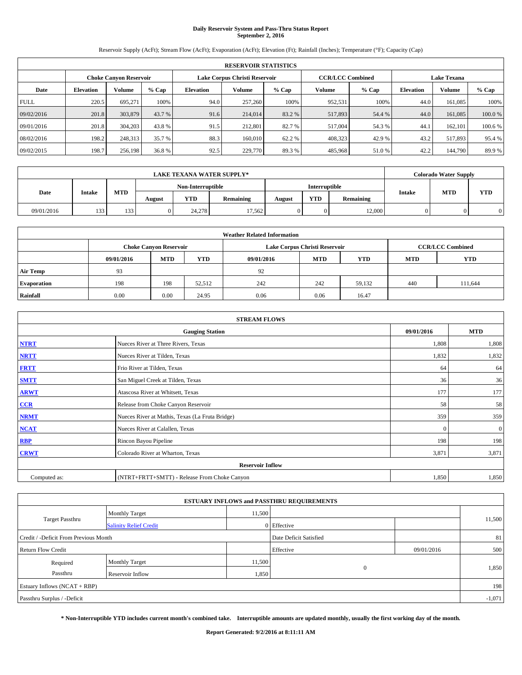# **Daily Reservoir System and Pass-Thru Status Report September 2, 2016**

Reservoir Supply (AcFt); Stream Flow (AcFt); Evaporation (AcFt); Elevation (Ft); Rainfall (Inches); Temperature (°F); Capacity (Cap)

|             | <b>RESERVOIR STATISTICS</b> |                               |         |                  |                                                          |         |         |         |                    |               |         |  |
|-------------|-----------------------------|-------------------------------|---------|------------------|----------------------------------------------------------|---------|---------|---------|--------------------|---------------|---------|--|
|             |                             | <b>Choke Canyon Reservoir</b> |         |                  | Lake Corpus Christi Reservoir<br><b>CCR/LCC Combined</b> |         |         |         | <b>Lake Texana</b> |               |         |  |
| Date        | <b>Elevation</b>            | Volume                        | $%$ Cap | <b>Elevation</b> | Volume                                                   | $%$ Cap | Volume  | $%$ Cap | <b>Elevation</b>   | <b>Volume</b> | % Cap   |  |
| <b>FULL</b> | 220.5                       | 695.271                       | 100%    | 94.0             | 257,260                                                  | 100%    | 952,531 | 100%    | 44.0               | 161.085       | 100%    |  |
| 09/02/2016  | 201.8                       | 303,879                       | 43.7 %  | 91.6             | 214,014                                                  | 83.2 %  | 517,893 | 54.4 %  | 44.0               | 161,085       | 100.0%  |  |
| 09/01/2016  | 201.8                       | 304,203                       | 43.8 %  | 91.5             | 212,801                                                  | 82.7 %  | 517,004 | 54.3 %  | 44.                | 162,101       | 100.6 % |  |
| 08/02/2016  | 198.2                       | 248,313                       | 35.7 %  | 88.3             | 160,010                                                  | 62.2 %  | 408,323 | 42.9 %  | 43.2               | 517.893       | 95.4 %  |  |
| 09/02/2015  | 198.7                       | 256,198                       | 36.8 %  | 92.5             | 229,770                                                  | 89.3%   | 485,968 | 51.0%   | 42.2               | 144,790       | 89.9%   |  |

|            | <b>LAKE TEXANA WATER SUPPLY*</b> |            |        |                   |                  |        |                      |                  |        | <b>Colorado Water Supply</b> |            |
|------------|----------------------------------|------------|--------|-------------------|------------------|--------|----------------------|------------------|--------|------------------------------|------------|
|            |                                  |            |        | Non-Interruptible |                  |        | <b>Interruptible</b> |                  |        |                              |            |
| Date       | <b>Intake</b>                    | <b>MTD</b> | August | YTD               | <b>Remaining</b> | August | <b>YTD</b>           | <b>Remaining</b> | Intake | <b>MTD</b>                   | <b>YTD</b> |
| 09/01/2016 | 133                              | 133        |        | 24.278            | 17.562           |        |                      | 12,000           |        |                              |            |

| <b>Weather Related Information</b> |                                                                                                |                               |        |                               |      |                         |     |            |  |  |
|------------------------------------|------------------------------------------------------------------------------------------------|-------------------------------|--------|-------------------------------|------|-------------------------|-----|------------|--|--|
|                                    |                                                                                                | <b>Choke Canyon Reservoir</b> |        | Lake Corpus Christi Reservoir |      | <b>CCR/LCC Combined</b> |     |            |  |  |
|                                    | <b>YTD</b><br><b>MTD</b><br><b>MTD</b><br><b>YTD</b><br><b>MTD</b><br>09/01/2016<br>09/01/2016 |                               |        |                               |      |                         |     | <b>YTD</b> |  |  |
| <b>Air Temp</b>                    | 93                                                                                             |                               |        | 92                            |      |                         |     |            |  |  |
| <b>Evaporation</b>                 | 198                                                                                            | 198                           | 52,512 | 242                           | 242  | 59.132                  | 440 | 111,644    |  |  |
| Rainfall                           | 0.00                                                                                           | 0.00                          | 24.95  | 0.06                          | 0.06 | 16.47                   |     |            |  |  |

|              | <b>STREAM FLOWS</b>                             |            |              |  |  |  |  |  |  |  |  |
|--------------|-------------------------------------------------|------------|--------------|--|--|--|--|--|--|--|--|
|              | <b>Gauging Station</b>                          | 09/01/2016 | <b>MTD</b>   |  |  |  |  |  |  |  |  |
| <b>NTRT</b>  | Nueces River at Three Rivers, Texas             | 1,808      | 1,808        |  |  |  |  |  |  |  |  |
| <b>NRTT</b>  | Nueces River at Tilden, Texas                   | 1,832      | 1,832        |  |  |  |  |  |  |  |  |
| <b>FRTT</b>  | Frio River at Tilden, Texas                     | 64         | 64           |  |  |  |  |  |  |  |  |
| <b>SMTT</b>  | San Miguel Creek at Tilden, Texas               | 36         | 36           |  |  |  |  |  |  |  |  |
| <b>ARWT</b>  | Atascosa River at Whitsett, Texas               | 177        | 177          |  |  |  |  |  |  |  |  |
| CCR          | Release from Choke Canyon Reservoir             | 58         | 58           |  |  |  |  |  |  |  |  |
| <b>NRMT</b>  | Nueces River at Mathis, Texas (La Fruta Bridge) | 359        | 359          |  |  |  |  |  |  |  |  |
| <b>NCAT</b>  | Nueces River at Calallen, Texas                 | $\Omega$   | $\mathbf{0}$ |  |  |  |  |  |  |  |  |
| <b>RBP</b>   | Rincon Bayou Pipeline                           | 198        | 198          |  |  |  |  |  |  |  |  |
| <b>CRWT</b>  | Colorado River at Wharton, Texas                | 3,871      | 3,871        |  |  |  |  |  |  |  |  |
|              |                                                 |            |              |  |  |  |  |  |  |  |  |
| Computed as: | (NTRT+FRTT+SMTT) - Release From Choke Canyon    | 1,850      | 1,850        |  |  |  |  |  |  |  |  |

| <b>ESTUARY INFLOWS and PASSTHRU REQUIREMENTS</b> |                               |        |                        |            |        |  |  |  |  |  |
|--------------------------------------------------|-------------------------------|--------|------------------------|------------|--------|--|--|--|--|--|
|                                                  | <b>Monthly Target</b>         | 11,500 |                        |            |        |  |  |  |  |  |
| Target Passthru                                  | <b>Salinity Relief Credit</b> |        | 0 Effective            |            | 11,500 |  |  |  |  |  |
| Credit / -Deficit From Previous Month            |                               |        | Date Deficit Satisfied |            | 81     |  |  |  |  |  |
| <b>Return Flow Credit</b>                        |                               |        | Effective              | 09/01/2016 | 500    |  |  |  |  |  |
| Required                                         | Monthly Target                | 11,500 |                        |            |        |  |  |  |  |  |
| Passthru                                         | <b>Reservoir Inflow</b>       | 1,850  | $\Omega$               |            | 1,850  |  |  |  |  |  |
| Estuary Inflows (NCAT + RBP)                     |                               |        |                        |            |        |  |  |  |  |  |
| Passthru Surplus / -Deficit                      |                               |        |                        |            |        |  |  |  |  |  |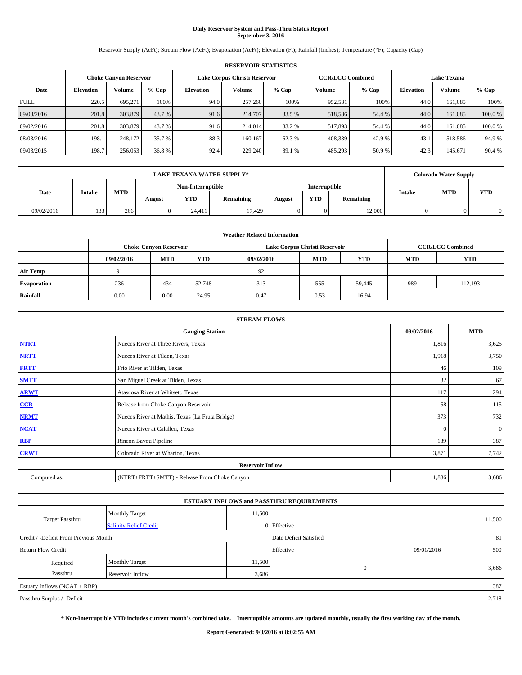# **Daily Reservoir System and Pass-Thru Status Report September 3, 2016**

Reservoir Supply (AcFt); Stream Flow (AcFt); Evaporation (AcFt); Elevation (Ft); Rainfall (Inches); Temperature (°F); Capacity (Cap)

|             | <b>RESERVOIR STATISTICS</b> |                               |         |                  |                               |         |                         |         |                  |                    |        |  |
|-------------|-----------------------------|-------------------------------|---------|------------------|-------------------------------|---------|-------------------------|---------|------------------|--------------------|--------|--|
|             |                             | <b>Choke Canyon Reservoir</b> |         |                  | Lake Corpus Christi Reservoir |         | <b>CCR/LCC Combined</b> |         |                  | <b>Lake Texana</b> |        |  |
| Date        | <b>Elevation</b>            | Volume                        | $%$ Cap | <b>Elevation</b> | Volume                        | $%$ Cap | Volume                  | $%$ Cap | <b>Elevation</b> | <b>Volume</b>      | % Cap  |  |
| <b>FULL</b> | 220.5                       | 695.271                       | 100%    | 94.0             | 257,260                       | 100%    | 952,531                 | 100%    | 44.0             | 161.085            | 100%   |  |
| 09/03/2016  | 201.8                       | 303,879                       | 43.7 %  | 91.6             | 214,707                       | 83.5 %  | 518,586                 | 54.4 %  | 44.0             | 161,085            | 100.0% |  |
| 09/02/2016  | 201.8                       | 303,879                       | 43.7 %  | 91.6             | 214,014                       | 83.2 %  | 517,893                 | 54.4 %  | 44.0             | 161.085            | 100.0% |  |
| 08/03/2016  | 198.1                       | 248.172                       | 35.7 %  | 88.3             | 160.167                       | 62.3 %  | 408,339                 | 42.9 %  | 43.1             | 518,586            | 94.9%  |  |
| 09/03/2015  | 198.7                       | 256,053                       | 36.8%   | 92.4             | 229,240                       | 89.1 %  | 485,293                 | 50.9%   | 42.3             | 145,671            | 90.4 % |  |

|            | <b>LAKE TEXANA WATER SUPPLY*</b> |            |        |                   |                  |        |                      |           |        | <b>Colorado Water Supply</b> |            |
|------------|----------------------------------|------------|--------|-------------------|------------------|--------|----------------------|-----------|--------|------------------------------|------------|
|            |                                  |            |        | Non-Interruptible |                  |        | <b>Interruptible</b> |           |        |                              |            |
| Date       | <b>Intake</b>                    | <b>MTD</b> | August | YTD               | <b>Remaining</b> | August | <b>YTD</b>           | Remaining | Intake | <b>MTD</b>                   | <b>YTD</b> |
| 09/02/2016 | 133                              | 266        |        | 24.411            | 17.429           |        |                      | 12,000    |        |                              |            |

| <b>Weather Related Information</b> |            |                               |            |            |                                                      |                         |     |         |  |  |
|------------------------------------|------------|-------------------------------|------------|------------|------------------------------------------------------|-------------------------|-----|---------|--|--|
|                                    |            | <b>Choke Canyon Reservoir</b> |            |            | Lake Corpus Christi Reservoir                        | <b>CCR/LCC Combined</b> |     |         |  |  |
|                                    | 09/02/2016 | <b>MTD</b>                    | <b>YTD</b> | 09/02/2016 | <b>YTD</b><br><b>MTD</b><br><b>YTD</b><br><b>MTD</b> |                         |     |         |  |  |
| <b>Air Temp</b>                    | 91         |                               |            | 92         |                                                      |                         |     |         |  |  |
| <b>Evaporation</b>                 | 236        | 434                           | 52,748     | 313        | 555                                                  | 59.445                  | 989 | 112,193 |  |  |
| Rainfall                           | 0.00       | 0.00                          | 24.95      | 0.47       | 0.53                                                 | 16.94                   |     |         |  |  |

| <b>STREAM FLOWS</b> |                                                 |              |              |  |  |  |  |  |  |
|---------------------|-------------------------------------------------|--------------|--------------|--|--|--|--|--|--|
|                     | 09/02/2016                                      | <b>MTD</b>   |              |  |  |  |  |  |  |
| <b>NTRT</b>         | Nueces River at Three Rivers, Texas             | 1,816        | 3,625        |  |  |  |  |  |  |
| <b>NRTT</b>         | Nueces River at Tilden, Texas                   | 1,918        | 3,750        |  |  |  |  |  |  |
| <b>FRTT</b>         | Frio River at Tilden, Texas                     | 46           | 109          |  |  |  |  |  |  |
| <b>SMTT</b>         | San Miguel Creek at Tilden, Texas               | 32           | 67           |  |  |  |  |  |  |
| <b>ARWT</b>         | Atascosa River at Whitsett, Texas               | 117          | 294          |  |  |  |  |  |  |
| $CCR$               | Release from Choke Canyon Reservoir             | 58           | 115          |  |  |  |  |  |  |
| <b>NRMT</b>         | Nueces River at Mathis, Texas (La Fruta Bridge) | 373          | 732          |  |  |  |  |  |  |
| <b>NCAT</b>         | Nueces River at Calallen, Texas                 | $\mathbf{0}$ | $\mathbf{0}$ |  |  |  |  |  |  |
| RBP                 | Rincon Bayou Pipeline                           | 189          | 387          |  |  |  |  |  |  |
| <b>CRWT</b>         | Colorado River at Wharton, Texas                | 3,871        | 7,742        |  |  |  |  |  |  |
|                     | <b>Reservoir Inflow</b>                         |              |              |  |  |  |  |  |  |
| Computed as:        | (NTRT+FRTT+SMTT) - Release From Choke Canyon    | 1,836        | 3,686        |  |  |  |  |  |  |

|                                       |                               |        | <b>ESTUARY INFLOWS and PASSTHRU REQUIREMENTS</b> |            |        |  |  |  |
|---------------------------------------|-------------------------------|--------|--------------------------------------------------|------------|--------|--|--|--|
|                                       | <b>Monthly Target</b>         | 11,500 |                                                  |            |        |  |  |  |
| <b>Target Passthru</b>                | <b>Salinity Relief Credit</b> |        | 0 Effective                                      |            | 11,500 |  |  |  |
| Credit / -Deficit From Previous Month |                               |        | Date Deficit Satisfied                           |            | 81     |  |  |  |
| <b>Return Flow Credit</b>             |                               |        | Effective                                        | 09/01/2016 | 500    |  |  |  |
| Required                              | <b>Monthly Target</b>         | 11,500 |                                                  |            |        |  |  |  |
| Passthru                              | <b>Reservoir Inflow</b>       | 3,686  | $\Omega$                                         |            | 3,686  |  |  |  |
| Estuary Inflows (NCAT + RBP)          |                               |        |                                                  |            | 387    |  |  |  |
| Passthru Surplus / -Deficit           |                               |        |                                                  |            |        |  |  |  |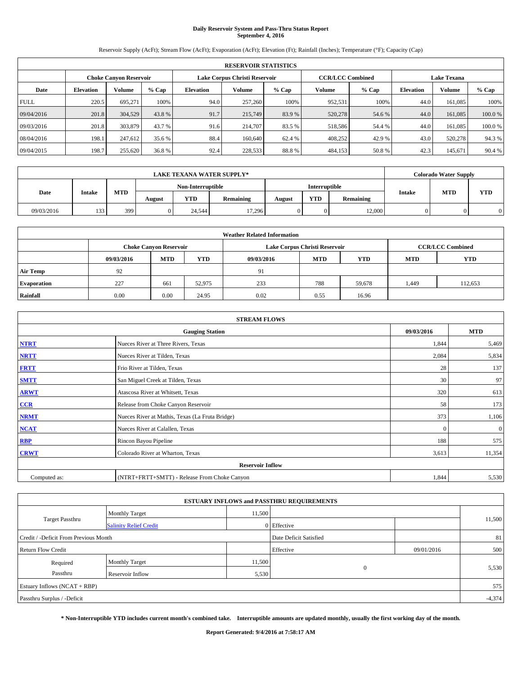# **Daily Reservoir System and Pass-Thru Status Report September 4, 2016**

Reservoir Supply (AcFt); Stream Flow (AcFt); Evaporation (AcFt); Elevation (Ft); Rainfall (Inches); Temperature (°F); Capacity (Cap)

|             | <b>RESERVOIR STATISTICS</b> |                               |         |                  |                               |         |                         |         |                  |                    |        |
|-------------|-----------------------------|-------------------------------|---------|------------------|-------------------------------|---------|-------------------------|---------|------------------|--------------------|--------|
|             |                             | <b>Choke Canyon Reservoir</b> |         |                  | Lake Corpus Christi Reservoir |         | <b>CCR/LCC Combined</b> |         |                  | <b>Lake Texana</b> |        |
| Date        | <b>Elevation</b>            | Volume                        | $%$ Cap | <b>Elevation</b> | Volume                        | $%$ Cap | Volume                  | $%$ Cap | <b>Elevation</b> | <b>Volume</b>      | % Cap  |
| <b>FULL</b> | 220.5                       | 695.271                       | 100%    | 94.0             | 257,260                       | 100%    | 952,531                 | 100%    | 44.0             | 161.085            | 100%   |
| 09/04/2016  | 201.8                       | 304,529                       | 43.8%   | 91.7             | 215,749                       | 83.9 %  | 520,278                 | 54.6 %  | 44.0             | 161.085            | 100.0% |
| 09/03/2016  | 201.8                       | 303,879                       | 43.7 %  | 91.6             | 214,707                       | 83.5 %  | 518,586                 | 54.4 %  | 44.0             | 161.085            | 100.0% |
| 08/04/2016  | 198.1                       | 247.612                       | 35.6 %  | 88.4             | 160,640                       | 62.4 %  | 408,252                 | 42.9 %  | 43.0             | 520,278            | 94.3%  |
| 09/04/2015  | 198.7                       | 255,620                       | 36.8 %  | 92.4             | 228,533                       | 88.8%   | 484,153                 | 50.8%   | 42.3             | 145,671            | 90.4 % |

| <b>LAKE TEXANA WATER SUPPLY*</b> |               |            |                                           |        |                  |        |            |           |        | <b>Colorado Water Supply</b> |            |
|----------------------------------|---------------|------------|-------------------------------------------|--------|------------------|--------|------------|-----------|--------|------------------------------|------------|
|                                  |               |            | Non-Interruptible<br><b>Interruptible</b> |        |                  |        |            |           |        |                              |            |
| Date                             | <b>Intake</b> | <b>MTD</b> | August                                    | YTD    | <b>Remaining</b> | August | <b>YTD</b> | Remaining | Intake | <b>MTD</b>                   | <b>YTD</b> |
| 09/03/2016                       | 133           | 399        |                                           | 24.544 | 17.296           |        |            | 12,000    |        |                              |            |

| <b>Weather Related Information</b> |            |                               |            |            |                                                      |                         |       |         |  |
|------------------------------------|------------|-------------------------------|------------|------------|------------------------------------------------------|-------------------------|-------|---------|--|
|                                    |            | <b>Choke Canyon Reservoir</b> |            |            | Lake Corpus Christi Reservoir                        | <b>CCR/LCC Combined</b> |       |         |  |
|                                    | 09/03/2016 | <b>MTD</b>                    | <b>YTD</b> | 09/03/2016 | <b>YTD</b><br><b>MTD</b><br><b>YTD</b><br><b>MTD</b> |                         |       |         |  |
| <b>Air Temp</b>                    | 92         |                               |            | 91         |                                                      |                         |       |         |  |
| <b>Evaporation</b>                 | 227        | 661                           | 52,975     | 233        | 788                                                  | 59,678                  | 1,449 | 112,653 |  |
| Rainfall                           | 0.00       | 0.00                          | 24.95      | 0.02       | 0.55                                                 | 16.96                   |       |         |  |

| <b>STREAM FLOWS</b> |                                                 |            |              |  |  |  |  |  |  |
|---------------------|-------------------------------------------------|------------|--------------|--|--|--|--|--|--|
|                     | 09/03/2016                                      | <b>MTD</b> |              |  |  |  |  |  |  |
| <b>NTRT</b>         | Nueces River at Three Rivers, Texas             | 1,844      | 5,469        |  |  |  |  |  |  |
| <b>NRTT</b>         | Nueces River at Tilden, Texas                   | 2,084      | 5,834        |  |  |  |  |  |  |
| <b>FRTT</b>         | Frio River at Tilden, Texas                     | 28         | 137          |  |  |  |  |  |  |
| <b>SMTT</b>         | San Miguel Creek at Tilden, Texas               | 30         | 97           |  |  |  |  |  |  |
| <b>ARWT</b>         | Atascosa River at Whitsett, Texas               | 320        | 613          |  |  |  |  |  |  |
| $CCR$               | Release from Choke Canyon Reservoir             | 58         | 173          |  |  |  |  |  |  |
| <b>NRMT</b>         | Nueces River at Mathis, Texas (La Fruta Bridge) | 373        | 1,106        |  |  |  |  |  |  |
| <b>NCAT</b>         | Nueces River at Calallen, Texas                 | $\Omega$   | $\mathbf{0}$ |  |  |  |  |  |  |
| RBP                 | Rincon Bayou Pipeline                           | 188        | 575          |  |  |  |  |  |  |
| <b>CRWT</b>         | Colorado River at Wharton, Texas                | 3,613      | 11,354       |  |  |  |  |  |  |
|                     | <b>Reservoir Inflow</b>                         |            |              |  |  |  |  |  |  |
| Computed as:        | (NTRT+FRTT+SMTT) - Release From Choke Canyon    | 1,844      | 5,530        |  |  |  |  |  |  |

|                                       |                               |        | <b>ESTUARY INFLOWS and PASSTHRU REQUIREMENTS</b> |            |        |  |  |  |  |
|---------------------------------------|-------------------------------|--------|--------------------------------------------------|------------|--------|--|--|--|--|
|                                       | <b>Monthly Target</b>         | 11,500 |                                                  |            |        |  |  |  |  |
| Target Passthru                       | <b>Salinity Relief Credit</b> |        | 0 Effective                                      |            | 11,500 |  |  |  |  |
| Credit / -Deficit From Previous Month |                               |        | Date Deficit Satisfied                           |            | 81     |  |  |  |  |
| <b>Return Flow Credit</b>             |                               |        | Effective                                        | 09/01/2016 | 500    |  |  |  |  |
| Required                              | <b>Monthly Target</b>         | 11,500 |                                                  |            |        |  |  |  |  |
| Passthru                              | <b>Reservoir Inflow</b>       | 5,530  | $\Omega$                                         |            | 5,530  |  |  |  |  |
| Estuary Inflows (NCAT + RBP)          |                               |        |                                                  |            |        |  |  |  |  |
| Passthru Surplus / -Deficit           |                               |        |                                                  |            |        |  |  |  |  |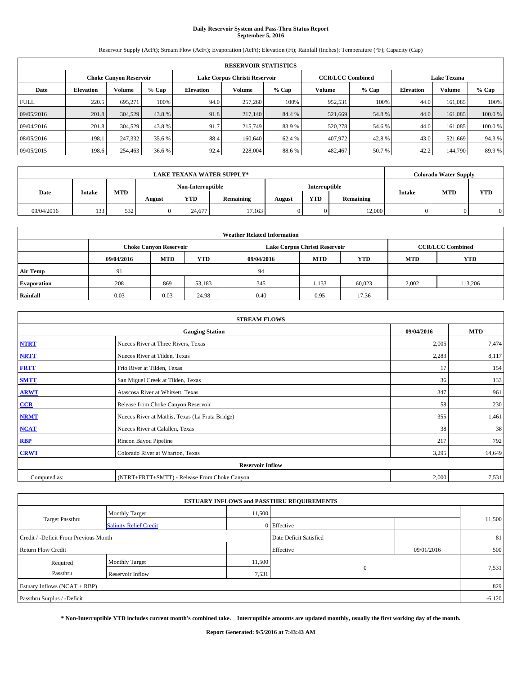# **Daily Reservoir System and Pass-Thru Status Report September 5, 2016**

Reservoir Supply (AcFt); Stream Flow (AcFt); Evaporation (AcFt); Elevation (Ft); Rainfall (Inches); Temperature (°F); Capacity (Cap)

|             | <b>RESERVOIR STATISTICS</b> |                               |         |                  |                               |         |                         |         |                  |                    |        |  |
|-------------|-----------------------------|-------------------------------|---------|------------------|-------------------------------|---------|-------------------------|---------|------------------|--------------------|--------|--|
|             |                             | <b>Choke Canyon Reservoir</b> |         |                  | Lake Corpus Christi Reservoir |         | <b>CCR/LCC Combined</b> |         |                  | <b>Lake Texana</b> |        |  |
| Date        | <b>Elevation</b>            | Volume                        | $%$ Cap | <b>Elevation</b> | Volume                        | $%$ Cap | Volume                  | $%$ Cap | <b>Elevation</b> | <b>Volume</b>      | % Cap  |  |
| <b>FULL</b> | 220.5                       | 695.271                       | 100%    | 94.0             | 257,260                       | 100%    | 952,531                 | 100%    | 44.0             | 161.085            | 100%   |  |
| 09/05/2016  | 201.8                       | 304,529                       | 43.8%   | 91.8             | 217,140                       | 84.4 %  | 521,669                 | 54.8%   | 44.0             | 161.085            | 100.0% |  |
| 09/04/2016  | 201.8                       | 304.529                       | 43.8%   | 91.7             | 215,749                       | 83.9 %  | 520,278                 | 54.6 %  | 44.0             | 161.085            | 100.0% |  |
| 08/05/2016  | 198.1                       | 247,332                       | 35.6 %  | 88.4             | 160,640                       | 62.4 %  | 407,972                 | 42.8%   | 43.0             | 521.669            | 94.3%  |  |
| 09/05/2015  | 198.6                       | 254,463                       | 36.6 %  | 92.4             | 228,004                       | 88.6%   | 482,467                 | 50.7 %  | 42.2             | 144,790            | 89.9%  |  |

| <b>LAKE TEXANA WATER SUPPLY*</b> |               |            |        |                   |                  |                      |            |           |        | <b>Colorado Water Supply</b> |            |
|----------------------------------|---------------|------------|--------|-------------------|------------------|----------------------|------------|-----------|--------|------------------------------|------------|
|                                  |               |            |        | Non-Interruptible |                  | <b>Interruptible</b> |            |           |        |                              |            |
| Date                             | <b>Intake</b> | <b>MTD</b> | August | YTD               | <b>Remaining</b> | August               | <b>YTD</b> | Remaining | Intake | <b>MTD</b>                   | <b>YTD</b> |
| 09/04/2016                       | 133           | 532        |        | 24,677            | 17.163           |                      |            | 12,000    |        |                              |            |

| <b>Weather Related Information</b> |            |                               |            |            |                                                      |                         |       |         |  |
|------------------------------------|------------|-------------------------------|------------|------------|------------------------------------------------------|-------------------------|-------|---------|--|
|                                    |            | <b>Choke Canyon Reservoir</b> |            |            | Lake Corpus Christi Reservoir                        | <b>CCR/LCC Combined</b> |       |         |  |
|                                    | 09/04/2016 | <b>MTD</b>                    | <b>YTD</b> | 09/04/2016 | <b>YTD</b><br><b>MTD</b><br><b>YTD</b><br><b>MTD</b> |                         |       |         |  |
| <b>Air Temp</b>                    | 91         |                               |            | 94         |                                                      |                         |       |         |  |
| <b>Evaporation</b>                 | 208        | 869                           | 53,183     | 345        | 1,133                                                | 60,023                  | 2,002 | 113,206 |  |
| Rainfall                           | 0.03       | 0.03                          | 24.98      | 0.40       | 0.95                                                 | 17.36                   |       |         |  |

| <b>STREAM FLOWS</b> |                                                 |            |        |  |  |  |  |  |  |
|---------------------|-------------------------------------------------|------------|--------|--|--|--|--|--|--|
|                     | 09/04/2016                                      | <b>MTD</b> |        |  |  |  |  |  |  |
| <b>NTRT</b>         | Nueces River at Three Rivers, Texas             | 2,005      | 7,474  |  |  |  |  |  |  |
| <b>NRTT</b>         | Nueces River at Tilden, Texas                   | 2,283      | 8,117  |  |  |  |  |  |  |
| <b>FRTT</b>         | Frio River at Tilden, Texas                     | 17         | 154    |  |  |  |  |  |  |
| <b>SMTT</b>         | San Miguel Creek at Tilden, Texas               | 36         | 133    |  |  |  |  |  |  |
| <b>ARWT</b>         | Atascosa River at Whitsett, Texas               | 347        | 961    |  |  |  |  |  |  |
| $CCR$               | Release from Choke Canyon Reservoir             | 58         | 230    |  |  |  |  |  |  |
| <b>NRMT</b>         | Nueces River at Mathis, Texas (La Fruta Bridge) | 355        | 1,461  |  |  |  |  |  |  |
| <b>NCAT</b>         | Nueces River at Calallen, Texas                 | 38         | 38     |  |  |  |  |  |  |
| RBP                 | Rincon Bayou Pipeline                           | 217        | 792    |  |  |  |  |  |  |
| <b>CRWT</b>         | Colorado River at Wharton, Texas                | 3,295      | 14,649 |  |  |  |  |  |  |
|                     | <b>Reservoir Inflow</b>                         |            |        |  |  |  |  |  |  |
| Computed as:        | (NTRT+FRTT+SMTT) - Release From Choke Canyon    | 2,000      | 7,531  |  |  |  |  |  |  |

| <b>ESTUARY INFLOWS and PASSTHRU REQUIREMENTS</b> |                               |        |                        |            |        |  |  |  |  |  |
|--------------------------------------------------|-------------------------------|--------|------------------------|------------|--------|--|--|--|--|--|
|                                                  | <b>Monthly Target</b>         | 11,500 |                        |            |        |  |  |  |  |  |
| Target Passthru                                  | <b>Salinity Relief Credit</b> |        | 0 Effective            |            | 11,500 |  |  |  |  |  |
| Credit / -Deficit From Previous Month            |                               |        | Date Deficit Satisfied |            | 81     |  |  |  |  |  |
| <b>Return Flow Credit</b>                        |                               |        | Effective              | 09/01/2016 | 500    |  |  |  |  |  |
| Required                                         | <b>Monthly Target</b>         | 11,500 |                        |            |        |  |  |  |  |  |
| Passthru                                         | <b>Reservoir Inflow</b>       | 7,531  | $\Omega$               |            | 7,531  |  |  |  |  |  |
| Estuary Inflows (NCAT + RBP)                     |                               |        |                        |            |        |  |  |  |  |  |
| Passthru Surplus / -Deficit                      |                               |        |                        |            |        |  |  |  |  |  |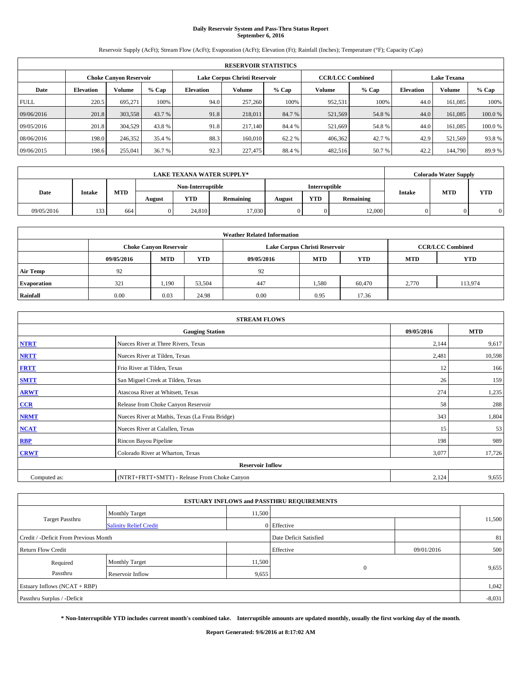# **Daily Reservoir System and Pass-Thru Status Report September 6, 2016**

Reservoir Supply (AcFt); Stream Flow (AcFt); Evaporation (AcFt); Elevation (Ft); Rainfall (Inches); Temperature (°F); Capacity (Cap)

|                               | <b>RESERVOIR STATISTICS</b> |         |         |                  |                               |         |                         |         |                  |                    |        |  |
|-------------------------------|-----------------------------|---------|---------|------------------|-------------------------------|---------|-------------------------|---------|------------------|--------------------|--------|--|
| <b>Choke Canyon Reservoir</b> |                             |         |         |                  | Lake Corpus Christi Reservoir |         | <b>CCR/LCC Combined</b> |         |                  | <b>Lake Texana</b> |        |  |
| Date                          | <b>Elevation</b>            | Volume  | $%$ Cap | <b>Elevation</b> | Volume                        | $%$ Cap | Volume                  | $%$ Cap | <b>Elevation</b> | <b>Volume</b>      | % Cap  |  |
| <b>FULL</b>                   | 220.5                       | 695.271 | 100%    | 94.0             | 257,260                       | 100%    | 952,531                 | 100%    | 44.0             | 161.085            | 100%   |  |
| 09/06/2016                    | 201.8                       | 303,558 | 43.7 %  | 91.8             | 218,011                       | 84.7 %  | 521,569                 | 54.8%   | 44.0             | 161,085            | 100.0% |  |
| 09/05/2016                    | 201.8                       | 304.529 | 43.8%   | 91.8             | 217,140                       | 84.4 %  | 521,669                 | 54.8%   | 44.0             | 161.085            | 100.0% |  |
| 08/06/2016                    | 198.0                       | 246,352 | 35.4 %  | 88.3             | 160,010                       | 62.2 %  | 406,362                 | 42.7 %  | 42.9             | 521,569            | 93.8%  |  |
| 09/06/2015                    | 198.6                       | 255,041 | 36.7 %  | 92.3             | 227,475                       | 88.4 %  | 482,516                 | 50.7 %  | 42.2             | 144,790            | 89.9%  |  |

|            |               |                   |        |        | <b>LAKE TEXANA WATER SUPPLY*</b> |        |            |           |        | <b>Colorado Water Supply</b> |            |
|------------|---------------|-------------------|--------|--------|----------------------------------|--------|------------|-----------|--------|------------------------------|------------|
|            |               | Non-Interruptible |        |        | <b>Interruptible</b>             |        |            |           |        |                              |            |
| Date       | <b>Intake</b> | <b>MTD</b>        | August | YTD    | <b>Remaining</b>                 | August | <b>YTD</b> | Remaining | Intake | <b>MTD</b>                   | <b>YTD</b> |
| 09/05/2016 | 133           | 664               |        | 24,810 | 17.030                           |        |            | 12,000    |        |                              |            |

| <b>Weather Related Information</b> |            |                                                                                  |        |      |                               |        |                         |         |  |  |
|------------------------------------|------------|----------------------------------------------------------------------------------|--------|------|-------------------------------|--------|-------------------------|---------|--|--|
|                                    |            | <b>Choke Canyon Reservoir</b>                                                    |        |      | Lake Corpus Christi Reservoir |        | <b>CCR/LCC Combined</b> |         |  |  |
|                                    | 09/05/2016 | <b>YTD</b><br><b>MTD</b><br><b>MTD</b><br><b>YTD</b><br>09/05/2016<br><b>MTD</b> |        |      |                               |        |                         |         |  |  |
| <b>Air Temp</b>                    | 92         |                                                                                  |        | 92   |                               |        |                         |         |  |  |
| <b>Evaporation</b>                 | 321        | 1,190                                                                            | 53,504 | 447  | 1,580                         | 60,470 | 2,770                   | 113,974 |  |  |
| Rainfall                           | 0.00       | 0.03                                                                             | 24.98  | 0.00 | 0.95                          | 17.36  |                         |         |  |  |

| <b>STREAM FLOWS</b> |                                                 |            |            |  |  |  |  |  |  |
|---------------------|-------------------------------------------------|------------|------------|--|--|--|--|--|--|
|                     | <b>Gauging Station</b>                          | 09/05/2016 | <b>MTD</b> |  |  |  |  |  |  |
| <b>NTRT</b>         | Nueces River at Three Rivers, Texas             | 2,144      | 9,617      |  |  |  |  |  |  |
| <b>NRTT</b>         | Nueces River at Tilden, Texas                   | 2,481      | 10,598     |  |  |  |  |  |  |
| <b>FRTT</b>         | Frio River at Tilden, Texas                     | 12         | 166        |  |  |  |  |  |  |
| <b>SMTT</b>         | San Miguel Creek at Tilden, Texas               | 26         | 159        |  |  |  |  |  |  |
| <b>ARWT</b>         | Atascosa River at Whitsett, Texas               | 274        | 1,235      |  |  |  |  |  |  |
| $CCR$               | Release from Choke Canyon Reservoir             | 58         | 288        |  |  |  |  |  |  |
| <b>NRMT</b>         | Nueces River at Mathis, Texas (La Fruta Bridge) | 343        | 1,804      |  |  |  |  |  |  |
| <b>NCAT</b>         | Nueces River at Calallen, Texas                 | 15         | 53         |  |  |  |  |  |  |
| RBP                 | Rincon Bayou Pipeline                           | 198        | 989        |  |  |  |  |  |  |
| <b>CRWT</b>         | Colorado River at Wharton, Texas                | 3,077      | 17,726     |  |  |  |  |  |  |
|                     | <b>Reservoir Inflow</b>                         |            |            |  |  |  |  |  |  |
| Computed as:        | (NTRT+FRTT+SMTT) - Release From Choke Canyon    | 2,124      | 9,655      |  |  |  |  |  |  |

| <b>ESTUARY INFLOWS and PASSTHRU REQUIREMENTS</b> |                               |           |                        |     |        |  |  |  |  |  |
|--------------------------------------------------|-------------------------------|-----------|------------------------|-----|--------|--|--|--|--|--|
|                                                  | <b>Monthly Target</b>         | 11,500    |                        |     |        |  |  |  |  |  |
| Target Passthru                                  | <b>Salinity Relief Credit</b> |           | 0 Effective            |     | 11,500 |  |  |  |  |  |
| Credit / -Deficit From Previous Month            |                               |           | Date Deficit Satisfied |     | 81     |  |  |  |  |  |
| <b>Return Flow Credit</b>                        |                               | Effective | 09/01/2016             | 500 |        |  |  |  |  |  |
| Required                                         | <b>Monthly Target</b>         | 11,500    |                        |     |        |  |  |  |  |  |
| Passthru                                         | <b>Reservoir Inflow</b>       | 9,655     | $\mathbf{0}$           |     | 9,655  |  |  |  |  |  |
| Estuary Inflows (NCAT + RBP)                     |                               |           |                        |     |        |  |  |  |  |  |
| Passthru Surplus / -Deficit                      |                               |           |                        |     |        |  |  |  |  |  |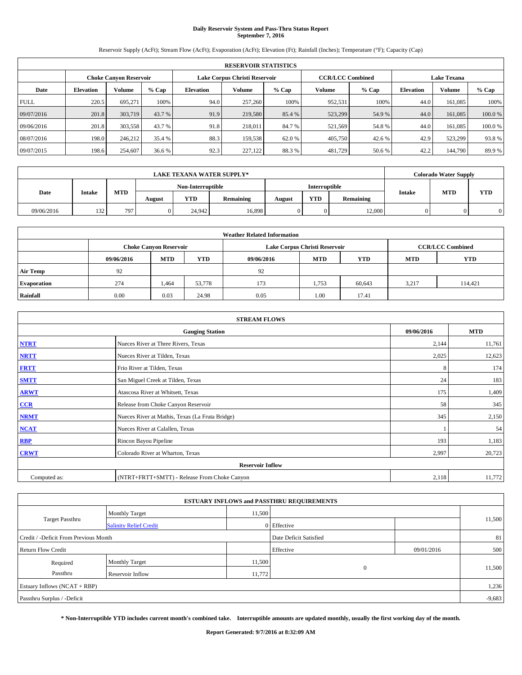# **Daily Reservoir System and Pass-Thru Status Report September 7, 2016**

Reservoir Supply (AcFt); Stream Flow (AcFt); Evaporation (AcFt); Elevation (Ft); Rainfall (Inches); Temperature (°F); Capacity (Cap)

|             | <b>RESERVOIR STATISTICS</b> |                        |         |                  |                               |         |                         |         |                  |                    |        |  |
|-------------|-----------------------------|------------------------|---------|------------------|-------------------------------|---------|-------------------------|---------|------------------|--------------------|--------|--|
|             |                             | Choke Canvon Reservoir |         |                  | Lake Corpus Christi Reservoir |         | <b>CCR/LCC Combined</b> |         |                  | <b>Lake Texana</b> |        |  |
| Date        | <b>Elevation</b>            | Volume                 | $%$ Cap | <b>Elevation</b> | Volume                        | $%$ Cap | Volume                  | $%$ Cap | <b>Elevation</b> | <b>Volume</b>      | % Cap  |  |
| <b>FULL</b> | 220.5                       | 695.271                | 100%    | 94.0             | 257,260                       | 100%    | 952,531                 | 100%    | 44.0             | 161.085            | 100%   |  |
| 09/07/2016  | 201.8                       | 303,719                | 43.7 %  | 91.9             | 219,580                       | 85.4 %  | 523,299                 | 54.9%   | 44.0             | 161,085            | 100.0% |  |
| 09/06/2016  | 201.8                       | 303,558                | 43.7 %  | 91.8             | 218,011                       | 84.7 %  | 521,569                 | 54.8%   | 44.0             | 161.085            | 100.0% |  |
| 08/07/2016  | 198.0                       | 246,212                | 35.4 %  | 88.3             | 159.538                       | 62.0 %  | 405,750                 | 42.6 %  | 42.9             | 523.299            | 93.8%  |  |
| 09/07/2015  | 198.6                       | 254,607                | 36.6 %  | 92.3             | 227,122                       | 88.3%   | 481,729                 | 50.6%   | 42.2             | 144,790            | 89.9%  |  |

|            |               |                   |        |        | <b>LAKE TEXANA WATER SUPPLY*</b> |        |            |           |        | <b>Colorado Water Supply</b> |            |
|------------|---------------|-------------------|--------|--------|----------------------------------|--------|------------|-----------|--------|------------------------------|------------|
|            |               | Non-Interruptible |        |        | <b>Interruptible</b>             |        |            |           |        |                              |            |
| Date       | <b>Intake</b> | <b>MTD</b>        | August | YTD    | <b>Remaining</b>                 | August | <b>YTD</b> | Remaining | Intake | <b>MTD</b>                   | <b>YTD</b> |
| 09/06/2016 | 132           | 797               |        | 24.942 | 16,898                           |        |            | 12,000    |        |                              |            |

| <b>Weather Related Information</b> |            |                                                                                  |        |      |                                                          |        |       |         |  |  |
|------------------------------------|------------|----------------------------------------------------------------------------------|--------|------|----------------------------------------------------------|--------|-------|---------|--|--|
|                                    |            | <b>Choke Canyon Reservoir</b>                                                    |        |      | <b>CCR/LCC Combined</b><br>Lake Corpus Christi Reservoir |        |       |         |  |  |
|                                    | 09/06/2016 | <b>YTD</b><br><b>MTD</b><br><b>MTD</b><br><b>YTD</b><br><b>MTD</b><br>09/06/2016 |        |      |                                                          |        |       |         |  |  |
| <b>Air Temp</b>                    | 92         |                                                                                  |        | 92   |                                                          |        |       |         |  |  |
| <b>Evaporation</b>                 | 274        | 1.464                                                                            | 53,778 | 173  | 1,753                                                    | 60,643 | 3,217 | 114,421 |  |  |
| Rainfall                           | 0.00       | 0.03                                                                             | 24.98  | 0.05 | 1.00                                                     | 17.41  |       |         |  |  |

| <b>STREAM FLOWS</b> |                                                 |            |            |  |  |  |  |  |  |
|---------------------|-------------------------------------------------|------------|------------|--|--|--|--|--|--|
|                     | <b>Gauging Station</b>                          | 09/06/2016 | <b>MTD</b> |  |  |  |  |  |  |
| <b>NTRT</b>         | Nueces River at Three Rivers, Texas             | 2,144      | 11,761     |  |  |  |  |  |  |
| <b>NRTT</b>         | Nueces River at Tilden, Texas                   | 2,025      | 12,623     |  |  |  |  |  |  |
| <b>FRTT</b>         | Frio River at Tilden, Texas                     | 8          | 174        |  |  |  |  |  |  |
| <b>SMTT</b>         | San Miguel Creek at Tilden, Texas               | 24         | 183        |  |  |  |  |  |  |
| <b>ARWT</b>         | Atascosa River at Whitsett, Texas               | 175        | 1,409      |  |  |  |  |  |  |
| $CCR$               | Release from Choke Canyon Reservoir             | 58         | 345        |  |  |  |  |  |  |
| <b>NRMT</b>         | Nueces River at Mathis, Texas (La Fruta Bridge) | 345        | 2,150      |  |  |  |  |  |  |
| <b>NCAT</b>         | Nueces River at Calallen, Texas                 |            | 54         |  |  |  |  |  |  |
| RBP                 | Rincon Bayou Pipeline                           | 193        | 1,183      |  |  |  |  |  |  |
| <b>CRWT</b>         | Colorado River at Wharton, Texas                | 2,997      | 20,723     |  |  |  |  |  |  |
|                     | <b>Reservoir Inflow</b>                         |            |            |  |  |  |  |  |  |
| Computed as:        | (NTRT+FRTT+SMTT) - Release From Choke Canyon    | 2,118      | 11,772     |  |  |  |  |  |  |

| <b>ESTUARY INFLOWS and PASSTHRU REQUIREMENTS</b> |                               |        |                        |            |        |  |  |  |  |  |
|--------------------------------------------------|-------------------------------|--------|------------------------|------------|--------|--|--|--|--|--|
|                                                  | <b>Monthly Target</b>         | 11,500 |                        |            |        |  |  |  |  |  |
| Target Passthru                                  | <b>Salinity Relief Credit</b> |        | 0 Effective            |            | 11,500 |  |  |  |  |  |
| Credit / -Deficit From Previous Month            |                               |        | Date Deficit Satisfied |            | 81     |  |  |  |  |  |
| <b>Return Flow Credit</b>                        |                               |        | Effective              | 09/01/2016 | 500    |  |  |  |  |  |
| Required                                         | Monthly Target                | 11,500 |                        |            |        |  |  |  |  |  |
| Passthru                                         | <b>Reservoir Inflow</b>       | 11,772 | $\Omega$               |            | 11,500 |  |  |  |  |  |
| Estuary Inflows (NCAT + RBP)                     |                               |        |                        |            |        |  |  |  |  |  |
| Passthru Surplus / -Deficit                      |                               |        |                        |            |        |  |  |  |  |  |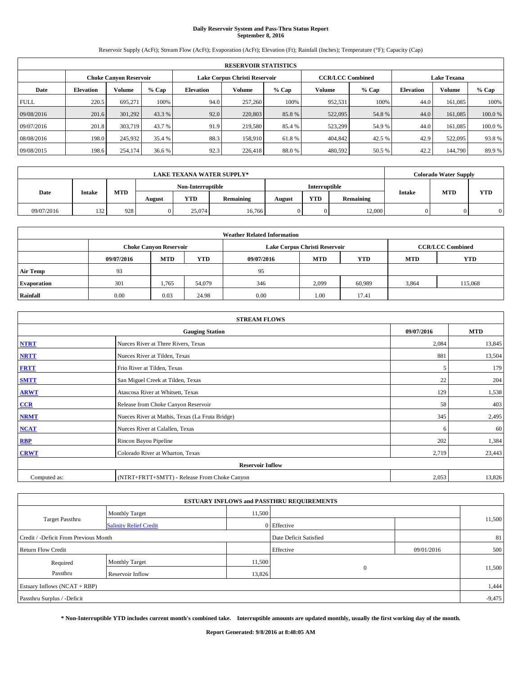# **Daily Reservoir System and Pass-Thru Status Report September 8, 2016**

Reservoir Supply (AcFt); Stream Flow (AcFt); Evaporation (AcFt); Elevation (Ft); Rainfall (Inches); Temperature (°F); Capacity (Cap)

|                               | <b>RESERVOIR STATISTICS</b> |         |         |                  |                               |         |                         |         |                  |                    |        |  |
|-------------------------------|-----------------------------|---------|---------|------------------|-------------------------------|---------|-------------------------|---------|------------------|--------------------|--------|--|
| <b>Choke Canyon Reservoir</b> |                             |         |         |                  | Lake Corpus Christi Reservoir |         | <b>CCR/LCC Combined</b> |         |                  | <b>Lake Texana</b> |        |  |
| Date                          | <b>Elevation</b>            | Volume  | $%$ Cap | <b>Elevation</b> | Volume                        | $%$ Cap | Volume                  | $%$ Cap | <b>Elevation</b> | <b>Volume</b>      | % Cap  |  |
| <b>FULL</b>                   | 220.5                       | 695.271 | 100%    | 94.0             | 257,260                       | 100%    | 952,531                 | 100%    | 44.0             | 161.085            | 100%   |  |
| 09/08/2016                    | 201.6                       | 301.292 | 43.3 %  | 92.0             | 220,803                       | 85.8%   | 522,095                 | 54.8%   | 44.0             | 161,085            | 100.0% |  |
| 09/07/2016                    | 201.8                       | 303,719 | 43.7 %  | 91.9             | 219,580                       | 85.4 %  | 523,299                 | 54.9 %  | 44.0             | 161.085            | 100.0% |  |
| 08/08/2016                    | 198.0                       | 245,932 | 35.4 %  | 88.3             | 158,910                       | 61.8%   | 404,842                 | 42.5 %  | 42.9             | 522,095            | 93.8%  |  |
| 09/08/2015                    | 198.6                       | 254,174 | 36.6 %  | 92.3             | 226,418                       | 88.0%   | 480,592                 | 50.5 %  | 42.2             | 144,790            | 89.9%  |  |

|            | <b>LAKE TEXANA WATER SUPPLY*</b><br>Non-Interruptible<br><b>Interruptible</b> |            |        |        |                  |        |            |           |        | <b>Colorado Water Supply</b> |            |
|------------|-------------------------------------------------------------------------------|------------|--------|--------|------------------|--------|------------|-----------|--------|------------------------------|------------|
|            |                                                                               |            |        |        |                  |        |            |           |        |                              |            |
| Date       | <b>Intake</b>                                                                 | <b>MTD</b> | August | YTD    | <b>Remaining</b> | August | <b>YTD</b> | Remaining | Intake | <b>MTD</b>                   | <b>YTD</b> |
| 09/07/2016 | 132                                                                           | 928        |        | 25,074 | 16.766           |        |            | 12,000    |        |                              |            |

|                    | <b>Weather Related Information</b>                                                             |                               |        |      |                               |                         |       |            |  |  |  |  |
|--------------------|------------------------------------------------------------------------------------------------|-------------------------------|--------|------|-------------------------------|-------------------------|-------|------------|--|--|--|--|
|                    |                                                                                                | <b>Choke Canyon Reservoir</b> |        |      | Lake Corpus Christi Reservoir | <b>CCR/LCC Combined</b> |       |            |  |  |  |  |
|                    | <b>YTD</b><br><b>MTD</b><br><b>MTD</b><br><b>YTD</b><br>09/07/2016<br>09/07/2016<br><b>MTD</b> |                               |        |      |                               |                         |       | <b>YTD</b> |  |  |  |  |
| <b>Air Temp</b>    | 93                                                                                             |                               |        | 95   |                               |                         |       |            |  |  |  |  |
| <b>Evaporation</b> | 301                                                                                            | 1,765                         | 54,079 | 346  | 2,099                         | 60.989                  | 3,864 | 115,068    |  |  |  |  |
| Rainfall           | 0.00                                                                                           | 0.03                          | 24.98  | 0.00 | 1.00                          | 17.41                   |       |            |  |  |  |  |

| <b>STREAM FLOWS</b> |                                                 |            |            |  |  |  |  |  |
|---------------------|-------------------------------------------------|------------|------------|--|--|--|--|--|
|                     | <b>Gauging Station</b>                          | 09/07/2016 | <b>MTD</b> |  |  |  |  |  |
| <b>NTRT</b>         | Nueces River at Three Rivers, Texas             | 2,084      | 13,845     |  |  |  |  |  |
| <b>NRTT</b>         | Nueces River at Tilden, Texas                   | 881        | 13,504     |  |  |  |  |  |
| <b>FRTT</b>         | Frio River at Tilden, Texas                     | 5          | 179        |  |  |  |  |  |
| <b>SMTT</b>         | San Miguel Creek at Tilden, Texas               | 22         | 204        |  |  |  |  |  |
| <b>ARWT</b>         | Atascosa River at Whitsett, Texas               | 129        | 1,538      |  |  |  |  |  |
| $CCR$               | Release from Choke Canyon Reservoir             | 58         | 403        |  |  |  |  |  |
| <b>NRMT</b>         | Nueces River at Mathis, Texas (La Fruta Bridge) | 345        | 2,495      |  |  |  |  |  |
| <b>NCAT</b>         | Nueces River at Calallen, Texas                 | 6          | 60         |  |  |  |  |  |
| RBP                 | Rincon Bayou Pipeline                           | 202        | 1,384      |  |  |  |  |  |
| <b>CRWT</b>         | Colorado River at Wharton, Texas                | 2,719      | 23,443     |  |  |  |  |  |
|                     | <b>Reservoir Inflow</b>                         |            |            |  |  |  |  |  |
| Computed as:        | (NTRT+FRTT+SMTT) - Release From Choke Canyon    | 2,053      | 13,826     |  |  |  |  |  |

|                                       |                               |        | <b>ESTUARY INFLOWS and PASSTHRU REQUIREMENTS</b> |            |          |
|---------------------------------------|-------------------------------|--------|--------------------------------------------------|------------|----------|
|                                       | <b>Monthly Target</b>         | 11,500 |                                                  |            |          |
| Target Passthru                       | <b>Salinity Relief Credit</b> |        | 0 Effective                                      |            | 11,500   |
| Credit / -Deficit From Previous Month |                               |        | Date Deficit Satisfied                           |            | 81       |
| <b>Return Flow Credit</b>             |                               |        | Effective                                        | 09/01/2016 | 500      |
| Required                              | Monthly Target                | 11,500 |                                                  |            |          |
| Passthru                              | <b>Reservoir Inflow</b>       | 13,826 | $\Omega$                                         |            | 11,500   |
| Estuary Inflows (NCAT + RBP)          |                               |        |                                                  |            | 1,444    |
| Passthru Surplus / -Deficit           |                               |        |                                                  |            | $-9,475$ |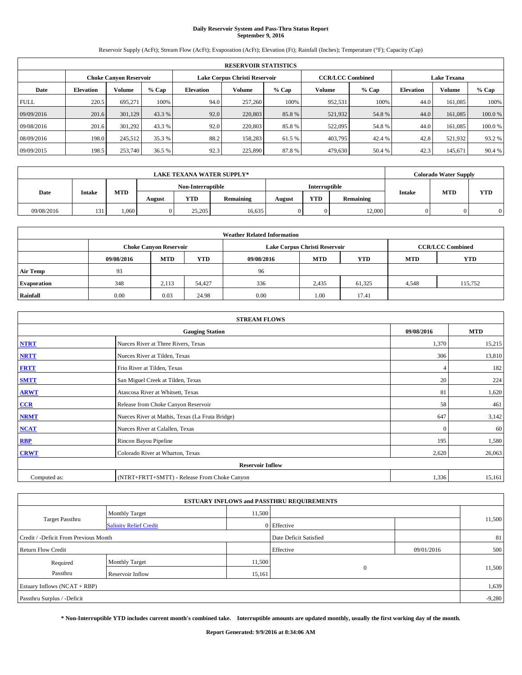# **Daily Reservoir System and Pass-Thru Status Report September 9, 2016**

Reservoir Supply (AcFt); Stream Flow (AcFt); Evaporation (AcFt); Elevation (Ft); Rainfall (Inches); Temperature (°F); Capacity (Cap)

|             | <b>RESERVOIR STATISTICS</b> |                               |         |                  |                               |         |                         |         |                    |               |        |  |  |
|-------------|-----------------------------|-------------------------------|---------|------------------|-------------------------------|---------|-------------------------|---------|--------------------|---------------|--------|--|--|
|             |                             | <b>Choke Canyon Reservoir</b> |         |                  | Lake Corpus Christi Reservoir |         | <b>CCR/LCC Combined</b> |         | <b>Lake Texana</b> |               |        |  |  |
| Date        | <b>Elevation</b>            | Volume                        | $%$ Cap | <b>Elevation</b> | Volume                        | $%$ Cap | Volume                  | $%$ Cap | <b>Elevation</b>   | <b>Volume</b> | % Cap  |  |  |
| <b>FULL</b> | 220.5                       | 695.271                       | 100%    | 94.0             | 257,260                       | 100%    | 952,531                 | 100%    | 44.0               | 161.085       | 100%   |  |  |
| 09/09/2016  | 201.6                       | 301,129                       | 43.3 %  | 92.0             | 220,803                       | 85.8%   | 521,932                 | 54.8%   | 44.0               | 161,085       | 100.0% |  |  |
| 09/08/2016  | 201.6                       | 301.292                       | 43.3 %  | 92.0             | 220,803                       | 85.8%   | 522,095                 | 54.8%   | 44.0               | 161.085       | 100.0% |  |  |
| 08/09/2016  | 198.0                       | 245,512                       | 35.3 %  | 88.2             | 158.283                       | 61.5 %  | 403,795                 | 42.4 %  | 42.8               | 521,932       | 93.2 % |  |  |
| 09/09/2015  | 198.5                       | 253,740                       | 36.5 %  | 92.3             | 225,890                       | 87.8%   | 479,630                 | 50.4 %  | 42.3               | 145,671       | 90.4 % |  |  |

|            | <b>LAKE TEXANA WATER SUPPLY*</b><br><b>Interruptible</b><br>Non-Interruptible |            |        |            |           |        |            |           |  | <b>Colorado Water Supply</b> |            |
|------------|-------------------------------------------------------------------------------|------------|--------|------------|-----------|--------|------------|-----------|--|------------------------------|------------|
|            |                                                                               |            |        |            |           |        |            |           |  | <b>MTD</b><br><b>Intake</b>  |            |
| Date       | <b>Intake</b>                                                                 | <b>MTD</b> | August | <b>YTD</b> | Remaining | August | <b>YTD</b> | Remaining |  |                              | <b>YTD</b> |
| 09/08/2016 | 131                                                                           | .060       |        | 25,205     | 16,635    |        | 0          | 12,000    |  |                              |            |

|                    | <b>Weather Related Information</b>                                                             |                               |        |      |                               |                         |       |            |  |  |  |  |
|--------------------|------------------------------------------------------------------------------------------------|-------------------------------|--------|------|-------------------------------|-------------------------|-------|------------|--|--|--|--|
|                    |                                                                                                | <b>Choke Canyon Reservoir</b> |        |      | Lake Corpus Christi Reservoir | <b>CCR/LCC Combined</b> |       |            |  |  |  |  |
|                    | <b>YTD</b><br><b>MTD</b><br>09/08/2016<br><b>MTD</b><br><b>YTD</b><br>09/08/2016<br><b>MTD</b> |                               |        |      |                               |                         |       | <b>YTD</b> |  |  |  |  |
| <b>Air Temp</b>    | 93                                                                                             |                               |        | 96   |                               |                         |       |            |  |  |  |  |
| <b>Evaporation</b> | 348                                                                                            | 2,113                         | 54.427 | 336  | 2,435                         | 61,325                  | 4,548 | 115,752    |  |  |  |  |
| Rainfall           | 0.00                                                                                           | 0.03                          | 24.98  | 0.00 | 1.00                          | 17.41                   |       |            |  |  |  |  |

| <b>STREAM FLOWS</b>                                |                                                 |              |        |  |  |  |  |  |
|----------------------------------------------------|-------------------------------------------------|--------------|--------|--|--|--|--|--|
| <b>MTD</b><br><b>Gauging Station</b><br>09/08/2016 |                                                 |              |        |  |  |  |  |  |
| <b>NTRT</b>                                        | Nueces River at Three Rivers, Texas             | 1,370        | 15,215 |  |  |  |  |  |
| <b>NRTT</b>                                        | Nueces River at Tilden, Texas                   | 306          | 13,810 |  |  |  |  |  |
| <b>FRTT</b>                                        | Frio River at Tilden, Texas                     |              | 182    |  |  |  |  |  |
| <b>SMTT</b>                                        | San Miguel Creek at Tilden, Texas               | 20           | 224    |  |  |  |  |  |
| <b>ARWT</b>                                        | Atascosa River at Whitsett, Texas               | 81           | 1,620  |  |  |  |  |  |
| $CCR$                                              | Release from Choke Canyon Reservoir             | 58           | 461    |  |  |  |  |  |
| <b>NRMT</b>                                        | Nueces River at Mathis, Texas (La Fruta Bridge) | 647          | 3,142  |  |  |  |  |  |
| <b>NCAT</b>                                        | Nueces River at Calallen, Texas                 | $\mathbf{0}$ | 60     |  |  |  |  |  |
| RBP                                                | Rincon Bayou Pipeline                           | 195          | 1,580  |  |  |  |  |  |
| <b>CRWT</b>                                        | Colorado River at Wharton, Texas                | 2,620        | 26,063 |  |  |  |  |  |
|                                                    | <b>Reservoir Inflow</b>                         |              |        |  |  |  |  |  |
| Computed as:                                       | (NTRT+FRTT+SMTT) - Release From Choke Canyon    | 1,336        | 15,161 |  |  |  |  |  |

|                                                                 |                               |        | <b>ESTUARY INFLOWS and PASSTHRU REQUIREMENTS</b> |            |          |  |  |
|-----------------------------------------------------------------|-------------------------------|--------|--------------------------------------------------|------------|----------|--|--|
|                                                                 | <b>Monthly Target</b>         | 11,500 |                                                  |            |          |  |  |
| Target Passthru                                                 | <b>Salinity Relief Credit</b> |        | 0 Effective                                      |            | 11,500   |  |  |
| Credit / -Deficit From Previous Month<br>Date Deficit Satisfied |                               |        |                                                  |            |          |  |  |
| <b>Return Flow Credit</b>                                       |                               |        | Effective                                        | 09/01/2016 | 500      |  |  |
| Required                                                        | <b>Monthly Target</b>         | 11,500 |                                                  |            |          |  |  |
| Passthru                                                        | <b>Reservoir Inflow</b>       | 15,161 | $\Omega$                                         |            | 11,500   |  |  |
| Estuary Inflows (NCAT + RBP)                                    |                               |        |                                                  |            | 1,639    |  |  |
| Passthru Surplus / -Deficit                                     |                               |        |                                                  |            | $-9,280$ |  |  |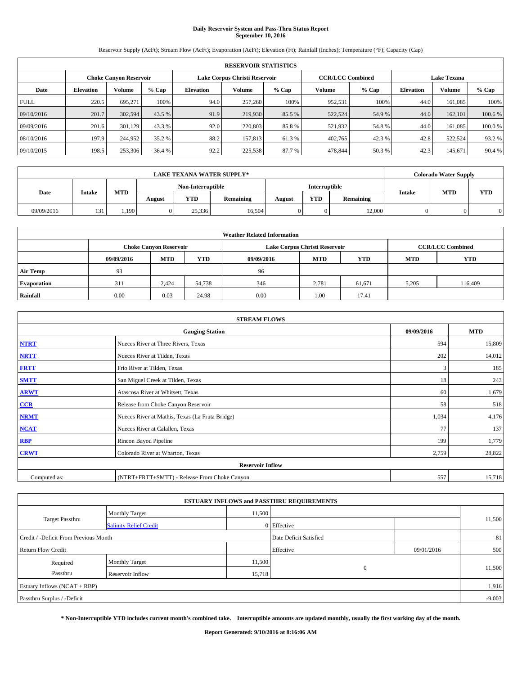# **Daily Reservoir System and Pass-Thru Status Report September 10, 2016**

Reservoir Supply (AcFt); Stream Flow (AcFt); Evaporation (AcFt); Elevation (Ft); Rainfall (Inches); Temperature (°F); Capacity (Cap)

|             | <b>RESERVOIR STATISTICS</b> |                               |         |                               |         |         |                         |         |                    |               |        |  |  |
|-------------|-----------------------------|-------------------------------|---------|-------------------------------|---------|---------|-------------------------|---------|--------------------|---------------|--------|--|--|
|             |                             | <b>Choke Canyon Reservoir</b> |         | Lake Corpus Christi Reservoir |         |         | <b>CCR/LCC Combined</b> |         | <b>Lake Texana</b> |               |        |  |  |
| Date        | <b>Elevation</b>            | Volume                        | $%$ Cap | <b>Elevation</b>              | Volume  | $%$ Cap | Volume                  | $%$ Cap | <b>Elevation</b>   | <b>Volume</b> | % Cap  |  |  |
| <b>FULL</b> | 220.5                       | 695.271                       | 100%    | 94.0                          | 257,260 | 100%    | 952,531                 | 100%    | 44.0               | 161.085       | 100%   |  |  |
| 09/10/2016  | 201.7                       | 302,594                       | 43.5 %  | 91.9                          | 219,930 | 85.5 %  | 522,524                 | 54.9 %  | 44.0               | 162,101       | 100.6% |  |  |
| 09/09/2016  | 201.6                       | 301.129                       | 43.3 %  | 92.0                          | 220,803 | 85.8%   | 521,932                 | 54.8%   | 44.0               | 161.085       | 100.0% |  |  |
| 08/10/2016  | 197.9                       | 244,952                       | 35.2 %  | 88.2                          | 157,813 | 61.3 %  | 402,765                 | 42.3 %  | 42.8               | 522.524       | 93.2 % |  |  |
| 09/10/2015  | 198.5                       | 253,306                       | 36.4 %  | 92.2                          | 225,538 | 87.7%   | 478,844                 | 50.3%   | 42.3               | 145,671       | 90.4 % |  |  |

|            | <b>LAKE TEXANA WATER SUPPLY*</b><br>Non-Interruptible<br>Interruptible |            |        |            |           |        |            |           |                                           | <b>Colorado Water Supply</b> |  |
|------------|------------------------------------------------------------------------|------------|--------|------------|-----------|--------|------------|-----------|-------------------------------------------|------------------------------|--|
|            |                                                                        |            |        |            |           |        |            |           | <b>MTD</b><br><b>YTD</b><br><b>Intake</b> |                              |  |
| Date       | <b>Intake</b>                                                          | <b>MTD</b> | August | <b>YTD</b> | Remaining | August | <b>YTD</b> | Remaining |                                           |                              |  |
| 09/09/2016 | 131                                                                    | 1.190      |        | 25.336     | 16,504    |        | 0          | 12,000    |                                           |                              |  |

|                    | <b>Weather Related Information</b> |                                                                                  |        |      |                               |                         |       |         |  |  |  |  |
|--------------------|------------------------------------|----------------------------------------------------------------------------------|--------|------|-------------------------------|-------------------------|-------|---------|--|--|--|--|
|                    |                                    | <b>Choke Canyon Reservoir</b>                                                    |        |      | Lake Corpus Christi Reservoir | <b>CCR/LCC Combined</b> |       |         |  |  |  |  |
|                    | 09/09/2016                         | <b>YTD</b><br><b>MTD</b><br><b>MTD</b><br><b>YTD</b><br><b>MTD</b><br>09/09/2016 |        |      |                               |                         |       |         |  |  |  |  |
| <b>Air Temp</b>    | 93                                 |                                                                                  |        | 96   |                               |                         |       |         |  |  |  |  |
| <b>Evaporation</b> | 311                                | 2.424                                                                            | 54,738 | 346  | 2,781                         | 61,671                  | 5,205 | 116,409 |  |  |  |  |
| Rainfall           | 0.00                               | 0.03                                                                             | 24.98  | 0.00 | 1.00                          | 17.41                   |       |         |  |  |  |  |

| <b>STREAM FLOWS</b> |                                                 |            |            |  |  |  |  |  |  |
|---------------------|-------------------------------------------------|------------|------------|--|--|--|--|--|--|
|                     | <b>Gauging Station</b>                          | 09/09/2016 | <b>MTD</b> |  |  |  |  |  |  |
| <b>NTRT</b>         | Nueces River at Three Rivers, Texas             | 594        | 15,809     |  |  |  |  |  |  |
| <b>NRTT</b>         | Nueces River at Tilden, Texas                   | 202        | 14,012     |  |  |  |  |  |  |
| <b>FRTT</b>         | Frio River at Tilden, Texas                     | 3          | 185        |  |  |  |  |  |  |
| <b>SMTT</b>         | San Miguel Creek at Tilden, Texas               | 18         | 243        |  |  |  |  |  |  |
| <b>ARWT</b>         | Atascosa River at Whitsett, Texas               | 60         | 1,679      |  |  |  |  |  |  |
| $CCR$               | Release from Choke Canyon Reservoir             | 58         | 518        |  |  |  |  |  |  |
| <b>NRMT</b>         | Nueces River at Mathis, Texas (La Fruta Bridge) | 1,034      | 4,176      |  |  |  |  |  |  |
| <b>NCAT</b>         | Nueces River at Calallen, Texas                 | 77         | 137        |  |  |  |  |  |  |
| RBP                 | Rincon Bayou Pipeline                           | 199        | 1,779      |  |  |  |  |  |  |
| <b>CRWT</b>         | Colorado River at Wharton, Texas                | 2,759      | 28,822     |  |  |  |  |  |  |
|                     | <b>Reservoir Inflow</b>                         |            |            |  |  |  |  |  |  |
| Computed as:        | (NTRT+FRTT+SMTT) - Release From Choke Canyon    | 557        | 15,718     |  |  |  |  |  |  |

| <b>ESTUARY INFLOWS and PASSTHRU REQUIREMENTS</b> |                               |        |                        |            |          |  |  |  |  |  |
|--------------------------------------------------|-------------------------------|--------|------------------------|------------|----------|--|--|--|--|--|
|                                                  | <b>Monthly Target</b>         | 11,500 |                        |            |          |  |  |  |  |  |
| Target Passthru                                  | <b>Salinity Relief Credit</b> |        | 0 Effective            |            | 11,500   |  |  |  |  |  |
| Credit / -Deficit From Previous Month            |                               |        | Date Deficit Satisfied |            | 81       |  |  |  |  |  |
| <b>Return Flow Credit</b>                        |                               |        | Effective              | 09/01/2016 | 500      |  |  |  |  |  |
| Required                                         | Monthly Target                | 11,500 |                        |            |          |  |  |  |  |  |
| Passthru                                         | <b>Reservoir Inflow</b>       | 15,718 | $\Omega$               |            | 11,500   |  |  |  |  |  |
| Estuary Inflows (NCAT + RBP)                     |                               |        |                        |            | 1,916    |  |  |  |  |  |
| Passthru Surplus / -Deficit                      |                               |        |                        |            | $-9,003$ |  |  |  |  |  |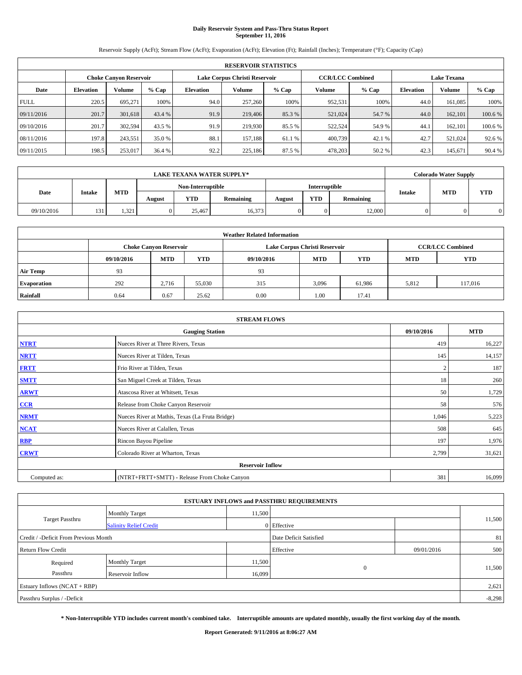# **Daily Reservoir System and Pass-Thru Status Report September 11, 2016**

Reservoir Supply (AcFt); Stream Flow (AcFt); Evaporation (AcFt); Elevation (Ft); Rainfall (Inches); Temperature (°F); Capacity (Cap)

|             | <b>RESERVOIR STATISTICS</b> |                        |         |                  |                               |         |                         |         |                    |               |         |  |
|-------------|-----------------------------|------------------------|---------|------------------|-------------------------------|---------|-------------------------|---------|--------------------|---------------|---------|--|
|             |                             | Choke Canvon Reservoir |         |                  | Lake Corpus Christi Reservoir |         | <b>CCR/LCC Combined</b> |         | <b>Lake Texana</b> |               |         |  |
| Date        | <b>Elevation</b>            | Volume                 | $%$ Cap | <b>Elevation</b> | Volume                        | $%$ Cap | Volume                  | $%$ Cap | <b>Elevation</b>   | <b>Volume</b> | % Cap   |  |
| <b>FULL</b> | 220.5                       | 695.271                | 100%    | 94.0             | 257,260                       | 100%    | 952,531                 | 100%    | 44.0               | 161.085       | 100%    |  |
| 09/11/2016  | 201.7                       | 301,618                | 43.4 %  | 91.9             | 219,406                       | 85.3%   | 521,024                 | 54.7 %  | 44.0               | 162,101       | 100.6 % |  |
| 09/10/2016  | 201.7                       | 302,594                | 43.5 %  | 91.9             | 219,930                       | 85.5 %  | 522,524                 | 54.9 %  | 44.                | 162,101       | 100.6 % |  |
| 08/11/2016  | 197.8                       | 243,551                | 35.0 %  | 88.1             | 157.188                       | 61.1 %  | 400,739                 | 42.1 %  | 42.7               | 521.024       | 92.6 %  |  |
| 09/11/2015  | 198.5                       | 253,017                | 36.4 %  | 92.2             | 225,186                       | 87.5 %  | 478,203                 | 50.2 %  | 42.3               | 145,671       | 90.4 %  |  |

|            |               |            |                   |            | <b>LAKE TEXANA WATER SUPPLY*</b> |               |            |           |               | <b>Colorado Water Supply</b> |            |
|------------|---------------|------------|-------------------|------------|----------------------------------|---------------|------------|-----------|---------------|------------------------------|------------|
|            |               |            | Non-Interruptible |            |                                  | Interruptible |            |           |               |                              |            |
| Date       | <b>Intake</b> | <b>MTD</b> | August            | <b>YTD</b> | Remaining                        | August        | <b>YTD</b> | Remaining | <b>Intake</b> | <b>MTD</b>                   | <b>YTD</b> |
| 09/10/2016 | 131           | 1.321      |                   | 25,467     | 16,373                           |               | 0          | 12,000    |               |                              |            |

| <b>Weather Related Information</b> |            |                               |            |            |                               |                         |            |            |  |  |
|------------------------------------|------------|-------------------------------|------------|------------|-------------------------------|-------------------------|------------|------------|--|--|
|                                    |            | <b>Choke Canyon Reservoir</b> |            |            | Lake Corpus Christi Reservoir | <b>CCR/LCC Combined</b> |            |            |  |  |
|                                    | 09/10/2016 | <b>MTD</b>                    | <b>YTD</b> | 09/10/2016 | <b>MTD</b>                    | <b>YTD</b>              | <b>MTD</b> | <b>YTD</b> |  |  |
| <b>Air Temp</b>                    | 93         |                               |            | 93         |                               |                         |            |            |  |  |
| <b>Evaporation</b>                 | 292        | 2,716                         | 55,030     | 315        | 3,096                         | 61,986                  | 5,812      | 117,016    |  |  |
| Rainfall                           | 0.64       | 0.67                          | 25.62      | 0.00       | 1.00                          | 17.41                   |            |            |  |  |

| <b>STREAM FLOWS</b> |                                                 |            |            |  |  |  |  |  |
|---------------------|-------------------------------------------------|------------|------------|--|--|--|--|--|
|                     | <b>Gauging Station</b>                          | 09/10/2016 | <b>MTD</b> |  |  |  |  |  |
| <b>NTRT</b>         | Nueces River at Three Rivers, Texas             | 419        | 16,227     |  |  |  |  |  |
| <b>NRTT</b>         | Nueces River at Tilden, Texas                   | 145        | 14,157     |  |  |  |  |  |
| <b>FRTT</b>         | Frio River at Tilden, Texas                     |            | 187        |  |  |  |  |  |
| <b>SMTT</b>         | San Miguel Creek at Tilden, Texas               | 18         | 260        |  |  |  |  |  |
| <b>ARWT</b>         | Atascosa River at Whitsett, Texas               | 50         | 1,729      |  |  |  |  |  |
| $CCR$               | Release from Choke Canyon Reservoir             | 58         | 576        |  |  |  |  |  |
| <b>NRMT</b>         | Nueces River at Mathis, Texas (La Fruta Bridge) | 1,046      | 5,223      |  |  |  |  |  |
| <b>NCAT</b>         | Nueces River at Calallen, Texas                 | 508        | 645        |  |  |  |  |  |
| <b>RBP</b>          | Rincon Bayou Pipeline                           | 197        | 1,976      |  |  |  |  |  |
| <b>CRWT</b>         | Colorado River at Wharton, Texas                | 2,799      | 31,621     |  |  |  |  |  |
|                     | <b>Reservoir Inflow</b>                         |            |            |  |  |  |  |  |
| Computed as:        | (NTRT+FRTT+SMTT) - Release From Choke Canyon    | 381        | 16,099     |  |  |  |  |  |

| <b>ESTUARY INFLOWS and PASSTHRU REQUIREMENTS</b> |                               |        |                        |            |          |  |  |  |  |  |
|--------------------------------------------------|-------------------------------|--------|------------------------|------------|----------|--|--|--|--|--|
|                                                  | <b>Monthly Target</b>         | 11,500 |                        |            |          |  |  |  |  |  |
| Target Passthru                                  | <b>Salinity Relief Credit</b> |        | 0 Effective            |            | 11,500   |  |  |  |  |  |
| Credit / -Deficit From Previous Month            |                               |        | Date Deficit Satisfied |            | 81       |  |  |  |  |  |
| <b>Return Flow Credit</b>                        |                               |        | Effective              | 09/01/2016 | 500      |  |  |  |  |  |
| Required                                         | Monthly Target                | 11,500 |                        |            |          |  |  |  |  |  |
| Passthru                                         | <b>Reservoir Inflow</b>       | 16,099 | $\Omega$               |            | 11,500   |  |  |  |  |  |
| Estuary Inflows (NCAT + RBP)                     |                               |        |                        |            |          |  |  |  |  |  |
| Passthru Surplus / -Deficit                      |                               |        |                        |            | $-8,298$ |  |  |  |  |  |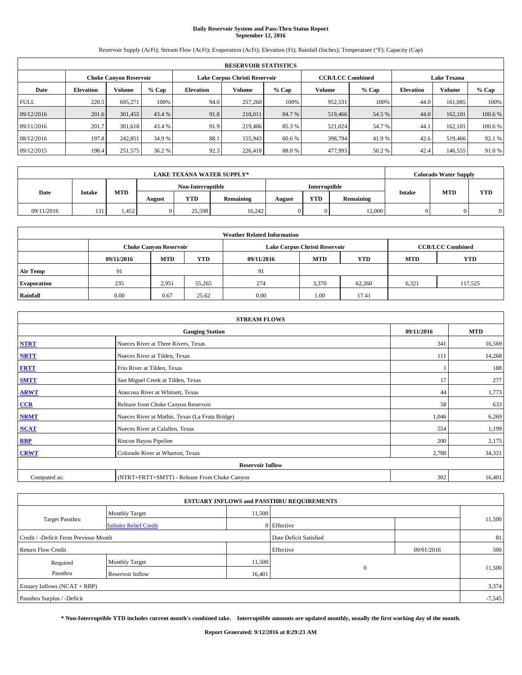# **Daily Reservoir System and Pass-Thru Status Report September 12, 2016**

Reservoir Supply (AcFt); Stream Flow (AcFt); Evaporation (AcFt); Elevation (Ft); Rainfall (Inches); Temperature (°F); Capacity (Cap)

|             | <b>RESERVOIR STATISTICS</b> |                               |         |           |                               |         |                         |         |                  |                    |         |  |
|-------------|-----------------------------|-------------------------------|---------|-----------|-------------------------------|---------|-------------------------|---------|------------------|--------------------|---------|--|
|             |                             | <b>Choke Canyon Reservoir</b> |         |           | Lake Corpus Christi Reservoir |         | <b>CCR/LCC Combined</b> |         |                  | <b>Lake Texana</b> |         |  |
| Date        | <b>Elevation</b>            | Volume                        | $%$ Cap | Elevation | Volume                        | $%$ Cap | Volume                  | $%$ Cap | <b>Elevation</b> | <b>Volume</b>      | $%$ Cap |  |
| <b>FULL</b> | 220.5                       | 695,271                       | 100%    | 94.0      | 257,260                       | 100%    | 952,531                 | 100%    | 44.0             | 161.085            | 100%    |  |
| 09/12/2016  | 201.6                       | 301,455                       | 43.4 %  | 91.8      | 218,011                       | 84.7%   | 519,466                 | 54.5 %  | 44.0             | 162,101            | 100.6%  |  |
| 09/11/2016  | 201.7                       | 301.618                       | 43.4 %  | 91.9      | 219,406                       | 85.3 %  | 521,024                 | 54.7 %  | 44.              | 162,101            | 100.6 % |  |
| 08/12/2016  | 197.8                       | 242,851                       | 34.9 %  | 88.1      | 155,943                       | 60.6 %  | 398,794                 | 41.9%   | 42.6             | 519,466            | 92.1 %  |  |
| 09/12/2015  | 198.4                       | 251,575                       | 36.2 %  | 92.3      | 226,418                       | 88.0%   | 477,993                 | 50.2%   | 42.4             | 146,555            | 91.0 %  |  |

|            |               |            |                   |            | <b>LAKE TEXANA WATER SUPPLY*</b> |               |            |           |               | <b>Colorado Water Supply</b> |            |
|------------|---------------|------------|-------------------|------------|----------------------------------|---------------|------------|-----------|---------------|------------------------------|------------|
|            |               |            | Non-Interruptible |            |                                  | Interruptible |            |           |               |                              |            |
| Date       | <b>Intake</b> | <b>MTD</b> | August            | <b>YTD</b> | Remaining                        | August        | <b>YTD</b> | Remaining | <b>Intake</b> | <b>MTD</b>                   | <b>YTD</b> |
| 09/11/2016 | 131           | 1.452      |                   | 25.598     | 16.242                           |               | 0          | 12,000    |               |                              |            |

| <b>Weather Related Information</b> |            |                               |            |            |                               |                         |            |            |  |  |
|------------------------------------|------------|-------------------------------|------------|------------|-------------------------------|-------------------------|------------|------------|--|--|
|                                    |            | <b>Choke Canyon Reservoir</b> |            |            | Lake Corpus Christi Reservoir | <b>CCR/LCC Combined</b> |            |            |  |  |
|                                    | 09/11/2016 | <b>MTD</b>                    | <b>YTD</b> | 09/11/2016 | <b>MTD</b>                    | <b>YTD</b>              | <b>MTD</b> | <b>YTD</b> |  |  |
| <b>Air Temp</b>                    | 91         |                               |            | 91         |                               |                         |            |            |  |  |
| <b>Evaporation</b>                 | 235        | 2,951                         | 55,265     | 274        | 3,370                         | 62.260                  | 6,321      | 117,525    |  |  |
| Rainfall                           | 0.00       | 0.67                          | 25.62      | 0.00       | 1.00                          | 17.41                   |            |            |  |  |

| <b>STREAM FLOWS</b> |                                                 |            |            |  |  |  |  |  |  |
|---------------------|-------------------------------------------------|------------|------------|--|--|--|--|--|--|
|                     | <b>Gauging Station</b>                          | 09/11/2016 | <b>MTD</b> |  |  |  |  |  |  |
| <b>NTRT</b>         | Nueces River at Three Rivers, Texas             | 341        | 16,569     |  |  |  |  |  |  |
| <b>NRTT</b>         | Nueces River at Tilden, Texas                   | 111        | 14,268     |  |  |  |  |  |  |
| <b>FRTT</b>         | Frio River at Tilden, Texas                     |            | 188        |  |  |  |  |  |  |
| <b>SMTT</b>         | San Miguel Creek at Tilden, Texas               | 17         | 277        |  |  |  |  |  |  |
| <b>ARWT</b>         | Atascosa River at Whitsett, Texas               | 44         | 1,773      |  |  |  |  |  |  |
| $CCR$               | Release from Choke Canyon Reservoir             | 58         | 633        |  |  |  |  |  |  |
| <b>NRMT</b>         | Nueces River at Mathis, Texas (La Fruta Bridge) | 1,046      | 6,269      |  |  |  |  |  |  |
| <b>NCAT</b>         | Nueces River at Calallen, Texas                 | 554        | 1,199      |  |  |  |  |  |  |
| RBP                 | Rincon Bayou Pipeline                           | 200        | 2,175      |  |  |  |  |  |  |
| <b>CRWT</b>         | Colorado River at Wharton, Texas                | 2,700      | 34,321     |  |  |  |  |  |  |
|                     | <b>Reservoir Inflow</b>                         |            |            |  |  |  |  |  |  |
| Computed as:        | (NTRT+FRTT+SMTT) - Release From Choke Canyon    | 302        | 16,401     |  |  |  |  |  |  |

| <b>ESTUARY INFLOWS and PASSTHRU REQUIREMENTS</b> |                               |        |                        |            |          |  |  |  |  |  |
|--------------------------------------------------|-------------------------------|--------|------------------------|------------|----------|--|--|--|--|--|
|                                                  | <b>Monthly Target</b>         | 11,500 |                        |            |          |  |  |  |  |  |
| Target Passthru                                  | <b>Salinity Relief Credit</b> |        | 0 Effective            |            | 11,500   |  |  |  |  |  |
| Credit / -Deficit From Previous Month            |                               |        | Date Deficit Satisfied |            | 81       |  |  |  |  |  |
| <b>Return Flow Credit</b>                        |                               |        | Effective              | 09/01/2016 | 500      |  |  |  |  |  |
| Required                                         | Monthly Target                | 11,500 |                        |            |          |  |  |  |  |  |
| Passthru                                         | <b>Reservoir Inflow</b>       | 16,401 | $\Omega$               |            | 11,500   |  |  |  |  |  |
| Estuary Inflows (NCAT + RBP)                     |                               |        |                        |            |          |  |  |  |  |  |
| Passthru Surplus / -Deficit                      |                               |        |                        |            | $-7,545$ |  |  |  |  |  |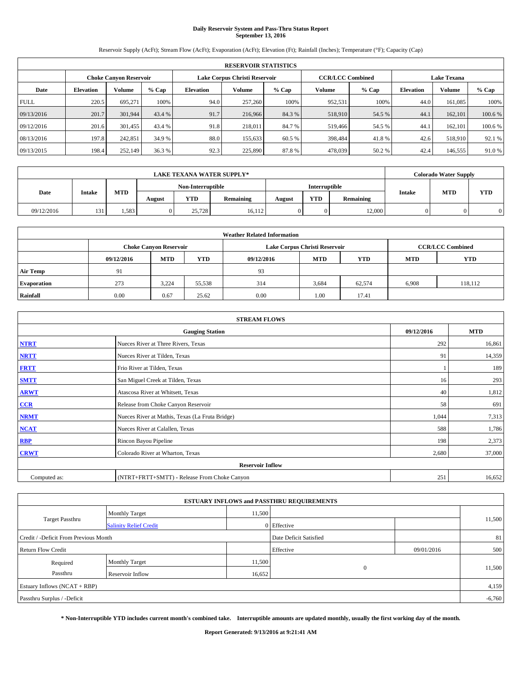# **Daily Reservoir System and Pass-Thru Status Report September 13, 2016**

Reservoir Supply (AcFt); Stream Flow (AcFt); Evaporation (AcFt); Elevation (Ft); Rainfall (Inches); Temperature (°F); Capacity (Cap)

|             | <b>RESERVOIR STATISTICS</b> |                        |         |                  |                               |                         |         |                                              |      |                    |         |  |
|-------------|-----------------------------|------------------------|---------|------------------|-------------------------------|-------------------------|---------|----------------------------------------------|------|--------------------|---------|--|
|             |                             | Choke Canvon Reservoir |         |                  | Lake Corpus Christi Reservoir | <b>CCR/LCC Combined</b> |         |                                              |      | <b>Lake Texana</b> |         |  |
| Date        | <b>Elevation</b>            | Volume                 | $%$ Cap | <b>Elevation</b> | Volume                        | $%$ Cap                 | Volume  | <b>Volume</b><br>$%$ Cap<br><b>Elevation</b> |      |                    | % Cap   |  |
| <b>FULL</b> | 220.5                       | 695.271                | 100%    | 94.0             | 257,260                       | 100%                    | 952,531 | 100%                                         | 44.0 | 161.085            | 100%    |  |
| 09/13/2016  | 201.7                       | 301,944                | 43.4 %  | 91.7             | 216,966                       | 84.3 %                  | 518,910 | 54.5 %                                       | 44.  | 162,101            | 100.6%  |  |
| 09/12/2016  | 201.6                       | 301.455                | 43.4 %  | 91.8             | 218,011                       | 84.7 %                  | 519,466 | 54.5 %                                       | 44.  | 162,101            | 100.6 % |  |
| 08/13/2016  | 197.8                       | 242,851                | 34.9 %  | 88.0             | 155.633                       | 60.5 %                  | 398,484 | 41.8%                                        | 42.6 | 518,910            | 92.1 %  |  |
| 09/13/2015  | 198.4                       | 252,149                | 36.3 %  | 92.3             | 225,890                       | 87.8%                   | 478,039 | 50.2%                                        | 42.4 | 146,555            | 91.0 %  |  |

|            | <b>LAKE TEXANA WATER SUPPLY*</b> |            |        |                   |           |               |            |           |               | <b>Colorado Water Supply</b> |            |
|------------|----------------------------------|------------|--------|-------------------|-----------|---------------|------------|-----------|---------------|------------------------------|------------|
|            |                                  |            |        | Non-Interruptible |           | Interruptible |            |           |               |                              |            |
| Date       | <b>Intake</b>                    | <b>MTD</b> | August | <b>YTD</b>        | Remaining | August        | <b>YTD</b> | Remaining | <b>Intake</b> | <b>MTD</b>                   | <b>YTD</b> |
| 09/12/2016 | 131                              | 1.583      |        | 25.728            | 16.112    |               | 0          | 12,000    |               |                              |            |

| <b>Weather Related Information</b> |                               |                                                                                  |        |                               |                         |        |       |         |  |  |
|------------------------------------|-------------------------------|----------------------------------------------------------------------------------|--------|-------------------------------|-------------------------|--------|-------|---------|--|--|
|                                    | <b>Choke Canyon Reservoir</b> |                                                                                  |        | Lake Corpus Christi Reservoir | <b>CCR/LCC Combined</b> |        |       |         |  |  |
|                                    | 09/12/2016                    | <b>YTD</b><br><b>MTD</b><br><b>MTD</b><br><b>YTD</b><br><b>MTD</b><br>09/12/2016 |        |                               |                         |        |       |         |  |  |
| <b>Air Temp</b>                    | 91                            |                                                                                  |        | 93                            |                         |        |       |         |  |  |
| <b>Evaporation</b>                 | 273                           | 3,224                                                                            | 55,538 | 314                           | 3,684                   | 62,574 | 6,908 | 118,112 |  |  |
| Rainfall                           | 0.00                          | 0.67                                                                             | 25.62  | 0.00                          | 1.00                    | 17.41  |       |         |  |  |

| <b>STREAM FLOWS</b> |                                                 |            |            |  |  |  |  |  |  |
|---------------------|-------------------------------------------------|------------|------------|--|--|--|--|--|--|
|                     | <b>Gauging Station</b>                          | 09/12/2016 | <b>MTD</b> |  |  |  |  |  |  |
| <b>NTRT</b>         | Nueces River at Three Rivers, Texas             | 292        | 16,861     |  |  |  |  |  |  |
| <b>NRTT</b>         | Nueces River at Tilden, Texas                   | 91         | 14,359     |  |  |  |  |  |  |
| <b>FRTT</b>         | Frio River at Tilden, Texas                     |            | 189        |  |  |  |  |  |  |
| <b>SMTT</b>         | San Miguel Creek at Tilden, Texas               | 16         | 293        |  |  |  |  |  |  |
| <b>ARWT</b>         | Atascosa River at Whitsett, Texas               | 40         | 1,812      |  |  |  |  |  |  |
| $CCR$               | Release from Choke Canyon Reservoir             | 58         | 691        |  |  |  |  |  |  |
| <b>NRMT</b>         | Nueces River at Mathis, Texas (La Fruta Bridge) | 1,044      | 7,313      |  |  |  |  |  |  |
| <b>NCAT</b>         | Nueces River at Calallen, Texas                 | 588        | 1,786      |  |  |  |  |  |  |
| RBP                 | Rincon Bayou Pipeline                           | 198        | 2,373      |  |  |  |  |  |  |
| <b>CRWT</b>         | Colorado River at Wharton, Texas                | 2,680      | 37,000     |  |  |  |  |  |  |
|                     | <b>Reservoir Inflow</b>                         |            |            |  |  |  |  |  |  |
| Computed as:        | (NTRT+FRTT+SMTT) - Release From Choke Canyon    |            |            |  |  |  |  |  |  |

| <b>ESTUARY INFLOWS and PASSTHRU REQUIREMENTS</b> |                               |        |                        |            |        |  |  |  |  |  |
|--------------------------------------------------|-------------------------------|--------|------------------------|------------|--------|--|--|--|--|--|
|                                                  | <b>Monthly Target</b>         | 11,500 |                        |            |        |  |  |  |  |  |
| Target Passthru                                  | <b>Salinity Relief Credit</b> |        | 0 Effective            |            | 11,500 |  |  |  |  |  |
| Credit / -Deficit From Previous Month            |                               |        | Date Deficit Satisfied |            | 81     |  |  |  |  |  |
| <b>Return Flow Credit</b>                        |                               |        | Effective              | 09/01/2016 | 500    |  |  |  |  |  |
| Required                                         | Monthly Target                | 11,500 |                        |            |        |  |  |  |  |  |
| Passthru                                         | <b>Reservoir Inflow</b>       | 16,652 | $\Omega$               |            | 11,500 |  |  |  |  |  |
| Estuary Inflows (NCAT + RBP)                     |                               |        |                        |            |        |  |  |  |  |  |
| Passthru Surplus / -Deficit                      |                               |        |                        |            |        |  |  |  |  |  |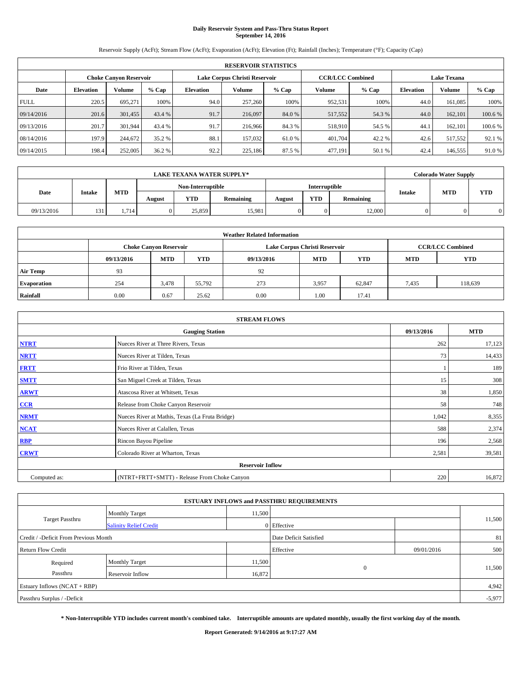# **Daily Reservoir System and Pass-Thru Status Report September 14, 2016**

Reservoir Supply (AcFt); Stream Flow (AcFt); Evaporation (AcFt); Elevation (Ft); Rainfall (Inches); Temperature (°F); Capacity (Cap)

|             | <b>RESERVOIR STATISTICS</b> |                        |         |                  |                               |         |                         |         |                    |         |         |
|-------------|-----------------------------|------------------------|---------|------------------|-------------------------------|---------|-------------------------|---------|--------------------|---------|---------|
|             |                             | Choke Canvon Reservoir |         |                  | Lake Corpus Christi Reservoir |         | <b>CCR/LCC Combined</b> |         | <b>Lake Texana</b> |         |         |
| Date        | <b>Elevation</b>            | Volume                 | $%$ Cap | <b>Elevation</b> | Volume                        | $%$ Cap | Volume                  | $%$ Cap | <b>Elevation</b>   | % Cap   |         |
| <b>FULL</b> | 220.5                       | 695.271                | 100%    | 94.0             | 257,260                       | 100%    | 952,531                 | 100%    | 44.0               | 161.085 | 100%    |
| 09/14/2016  | 201.6                       | 301,455                | 43.4 %  | 91.7             | 216,097                       | 84.0 %  | 517,552                 | 54.3 %  | 44.0               | 162,101 | 100.6%  |
| 09/13/2016  | 201.7                       | 301.944                | 43.4 %  | 91.7             | 216,966                       | 84.3 %  | 518,910                 | 54.5 %  | 44.                | 162,101 | 100.6 % |
| 08/14/2016  | 197.9                       | 244,672                | 35.2 %  | 88.1             | 157,032                       | 61.0 %  | 401.704                 | 42.2 %  | 42.6               | 517,552 | 92.1 %  |
| 09/14/2015  | 198.4                       | 252,005                | 36.2 %  | 92.2             | 225,186                       | 87.5 %  | 477,191                 | 50.1 %  | 42.4               | 146,555 | 91.0 %  |

|            | <b>LAKE TEXANA WATER SUPPLY*</b> |            |                   |            |           |               |            |           |               | <b>Colorado Water Supply</b> |            |
|------------|----------------------------------|------------|-------------------|------------|-----------|---------------|------------|-----------|---------------|------------------------------|------------|
|            |                                  |            | Non-Interruptible |            |           | Interruptible |            |           |               |                              |            |
| Date       | <b>Intake</b>                    | <b>MTD</b> | August            | <b>YTD</b> | Remaining | August        | <b>YTD</b> | Remaining | <b>Intake</b> | <b>MTD</b>                   | <b>YTD</b> |
| 09/13/2016 | 131                              | 1.714      |                   | 25,859     | 15,981    |               | 0          | 12,000    |               |                              |            |

| <b>Weather Related Information</b> |                                                                                  |       |        |      |                               |                         |       |            |  |  |
|------------------------------------|----------------------------------------------------------------------------------|-------|--------|------|-------------------------------|-------------------------|-------|------------|--|--|
|                                    | <b>Choke Canyon Reservoir</b>                                                    |       |        |      | Lake Corpus Christi Reservoir | <b>CCR/LCC Combined</b> |       |            |  |  |
|                                    | <b>YTD</b><br><b>MTD</b><br><b>MTD</b><br><b>YTD</b><br>09/13/2016<br>09/13/2016 |       |        |      |                               |                         |       | <b>YTD</b> |  |  |
| <b>Air Temp</b>                    | 93                                                                               |       |        | 92   |                               |                         |       |            |  |  |
| <b>Evaporation</b>                 | 254                                                                              | 3,478 | 55,792 | 273  | 3,957                         | 62,847                  | 7,435 | 118,639    |  |  |
| Rainfall                           | 0.00                                                                             | 0.67  | 25.62  | 0.00 | 1.00                          | 17.41                   |       |            |  |  |

| <b>STREAM FLOWS</b> |                                                 |            |            |  |  |  |  |  |  |
|---------------------|-------------------------------------------------|------------|------------|--|--|--|--|--|--|
|                     | <b>Gauging Station</b>                          | 09/13/2016 | <b>MTD</b> |  |  |  |  |  |  |
| <b>NTRT</b>         | Nueces River at Three Rivers, Texas             | 262        | 17,123     |  |  |  |  |  |  |
| <b>NRTT</b>         | Nueces River at Tilden, Texas                   | 73         | 14,433     |  |  |  |  |  |  |
| <b>FRTT</b>         | Frio River at Tilden, Texas                     |            | 189        |  |  |  |  |  |  |
| <b>SMTT</b>         | San Miguel Creek at Tilden, Texas               | 15         | 308        |  |  |  |  |  |  |
| <b>ARWT</b>         | Atascosa River at Whitsett, Texas               | 38         | 1,850      |  |  |  |  |  |  |
| $CCR$               | Release from Choke Canyon Reservoir             | 58         | 748        |  |  |  |  |  |  |
| <b>NRMT</b>         | Nueces River at Mathis, Texas (La Fruta Bridge) | 1,042      | 8,355      |  |  |  |  |  |  |
| <b>NCAT</b>         | Nueces River at Calallen, Texas                 | 588        | 2,374      |  |  |  |  |  |  |
| RBP                 | Rincon Bayou Pipeline                           | 196        | 2,568      |  |  |  |  |  |  |
| <b>CRWT</b>         | Colorado River at Wharton, Texas                | 2,581      | 39,581     |  |  |  |  |  |  |
|                     | <b>Reservoir Inflow</b>                         |            |            |  |  |  |  |  |  |
| Computed as:        | (NTRT+FRTT+SMTT) - Release From Choke Canyon    |            |            |  |  |  |  |  |  |

| <b>ESTUARY INFLOWS and PASSTHRU REQUIREMENTS</b> |                               |        |                        |            |        |  |  |  |  |  |
|--------------------------------------------------|-------------------------------|--------|------------------------|------------|--------|--|--|--|--|--|
|                                                  | <b>Monthly Target</b>         | 11,500 |                        |            |        |  |  |  |  |  |
| Target Passthru                                  | <b>Salinity Relief Credit</b> |        | 0 Effective            |            | 11,500 |  |  |  |  |  |
| Credit / -Deficit From Previous Month            |                               |        | Date Deficit Satisfied |            | 81     |  |  |  |  |  |
| <b>Return Flow Credit</b>                        |                               |        | Effective              | 09/01/2016 | 500    |  |  |  |  |  |
| Required                                         | Monthly Target                | 11,500 |                        |            |        |  |  |  |  |  |
| Passthru                                         | <b>Reservoir Inflow</b>       | 16,872 | $\Omega$               |            | 11,500 |  |  |  |  |  |
| Estuary Inflows (NCAT + RBP)                     |                               |        |                        |            |        |  |  |  |  |  |
| Passthru Surplus / -Deficit                      |                               |        |                        |            |        |  |  |  |  |  |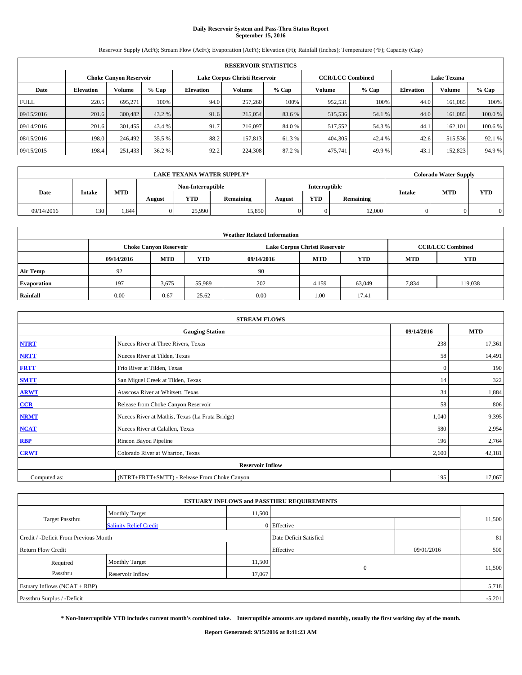# **Daily Reservoir System and Pass-Thru Status Report September 15, 2016**

Reservoir Supply (AcFt); Stream Flow (AcFt); Evaporation (AcFt); Elevation (Ft); Rainfall (Inches); Temperature (°F); Capacity (Cap)

|             | <b>RESERVOIR STATISTICS</b> |                        |         |                  |                               |         |                         |         |                  |                    |         |  |
|-------------|-----------------------------|------------------------|---------|------------------|-------------------------------|---------|-------------------------|---------|------------------|--------------------|---------|--|
|             |                             | Choke Canvon Reservoir |         |                  | Lake Corpus Christi Reservoir |         | <b>CCR/LCC Combined</b> |         |                  | <b>Lake Texana</b> |         |  |
| Date        | <b>Elevation</b>            | Volume                 | $%$ Cap | <b>Elevation</b> | Volume                        | $%$ Cap | Volume                  | $%$ Cap | <b>Elevation</b> | % Cap              |         |  |
| <b>FULL</b> | 220.5                       | 695.271                | 100%    | 94.0             | 257,260                       | 100%    | 952,531                 | 100%    | 44.0             | 161.085            | 100%    |  |
| 09/15/2016  | 201.6                       | 300,482                | 43.2 %  | 91.6             | 215,054                       | 83.6 %  | 515,536                 | 54.1 %  | 44.0             | 161,085            | 100.0%  |  |
| 09/14/2016  | 201.6                       | 301.455                | 43.4 %  | 91.7             | 216,097                       | 84.0 %  | 517,552                 | 54.3 %  | 44.              | 162,101            | 100.6 % |  |
| 08/15/2016  | 198.0                       | 246,492                | 35.5 %  | 88.2             | 157,813                       | 61.3 %  | 404,305                 | 42.4 %  | 42.6             | 515,536            | 92.1 %  |  |
| 09/15/2015  | 198.4                       | 251,433                | 36.2 %  | 92.2             | 224,308                       | 87.2%   | 475,741                 | 49.9%   | 43.              | 152,823            | 94.9 %  |  |

|            | <b>LAKE TEXANA WATER SUPPLY*</b> |            |                   |            |           |               |            |           |               | <b>Colorado Water Supply</b> |            |
|------------|----------------------------------|------------|-------------------|------------|-----------|---------------|------------|-----------|---------------|------------------------------|------------|
|            |                                  |            | Non-Interruptible |            |           | Interruptible |            |           |               |                              |            |
| Date       | <b>Intake</b>                    | <b>MTD</b> | August            | <b>YTD</b> | Remaining | August        | <b>YTD</b> | Remaining | <b>Intake</b> | <b>MTD</b>                   | <b>YTD</b> |
| 09/14/2016 | 130                              | .844       |                   | 25,990     | 15,850    |               | 0          | 12,000    |               |                              |            |

| <b>Weather Related Information</b> |            |                               |            |            |                               |                         |            |            |  |
|------------------------------------|------------|-------------------------------|------------|------------|-------------------------------|-------------------------|------------|------------|--|
|                                    |            | <b>Choke Canyon Reservoir</b> |            |            | Lake Corpus Christi Reservoir | <b>CCR/LCC Combined</b> |            |            |  |
|                                    | 09/14/2016 | <b>MTD</b>                    | <b>YTD</b> | 09/14/2016 | <b>MTD</b>                    | <b>YTD</b>              | <b>MTD</b> | <b>YTD</b> |  |
| <b>Air Temp</b>                    | 92         |                               |            | 90         |                               |                         |            |            |  |
| <b>Evaporation</b>                 | 197        | 3,675                         | 55,989     | 202        | 4,159                         | 63,049                  | 7,834      | 119.038    |  |
| Rainfall                           | 0.00       | 0.67                          | 25.62      | 0.00       | 1.00                          | 17.41                   |            |            |  |

| <b>STREAM FLOWS</b> |                                                 |              |        |  |  |  |  |  |
|---------------------|-------------------------------------------------|--------------|--------|--|--|--|--|--|
|                     | 09/14/2016                                      | <b>MTD</b>   |        |  |  |  |  |  |
| <b>NTRT</b>         | Nueces River at Three Rivers, Texas             | 238          | 17,361 |  |  |  |  |  |
| <b>NRTT</b>         | Nueces River at Tilden, Texas                   | 58           | 14,491 |  |  |  |  |  |
| <b>FRTT</b>         | Frio River at Tilden, Texas                     | $\mathbf{0}$ | 190    |  |  |  |  |  |
| <b>SMTT</b>         | San Miguel Creek at Tilden, Texas               | 14           | 322    |  |  |  |  |  |
| <b>ARWT</b>         | Atascosa River at Whitsett, Texas               | 34           | 1,884  |  |  |  |  |  |
| $CCR$               | Release from Choke Canyon Reservoir             | 58           | 806    |  |  |  |  |  |
| <b>NRMT</b>         | Nueces River at Mathis, Texas (La Fruta Bridge) | 1,040        | 9,395  |  |  |  |  |  |
| <b>NCAT</b>         | Nueces River at Calallen, Texas                 | 580          | 2,954  |  |  |  |  |  |
| RBP                 | Rincon Bayou Pipeline                           | 196          | 2,764  |  |  |  |  |  |
| <b>CRWT</b>         | Colorado River at Wharton, Texas                | 2,600        | 42,181 |  |  |  |  |  |
|                     | <b>Reservoir Inflow</b>                         |              |        |  |  |  |  |  |
| Computed as:        | (NTRT+FRTT+SMTT) - Release From Choke Canyon    | 195          | 17,067 |  |  |  |  |  |

|                                       |                                 |        | <b>ESTUARY INFLOWS and PASSTHRU REQUIREMENTS</b> |            |        |  |  |  |
|---------------------------------------|---------------------------------|--------|--------------------------------------------------|------------|--------|--|--|--|
|                                       | 11,500<br><b>Monthly Target</b> |        |                                                  |            |        |  |  |  |
| Target Passthru                       | <b>Salinity Relief Credit</b>   |        | 0 Effective                                      |            | 11,500 |  |  |  |
| Credit / -Deficit From Previous Month |                                 |        | Date Deficit Satisfied                           |            | 81     |  |  |  |
| <b>Return Flow Credit</b>             |                                 |        | Effective                                        | 09/01/2016 | 500    |  |  |  |
| Required                              | <b>Monthly Target</b>           | 11,500 |                                                  |            |        |  |  |  |
| Passthru                              | Reservoir Inflow                | 17,067 | $\Omega$                                         |            | 11,500 |  |  |  |
| Estuary Inflows (NCAT + RBP)          |                                 |        |                                                  |            |        |  |  |  |
| Passthru Surplus / -Deficit           |                                 |        |                                                  |            |        |  |  |  |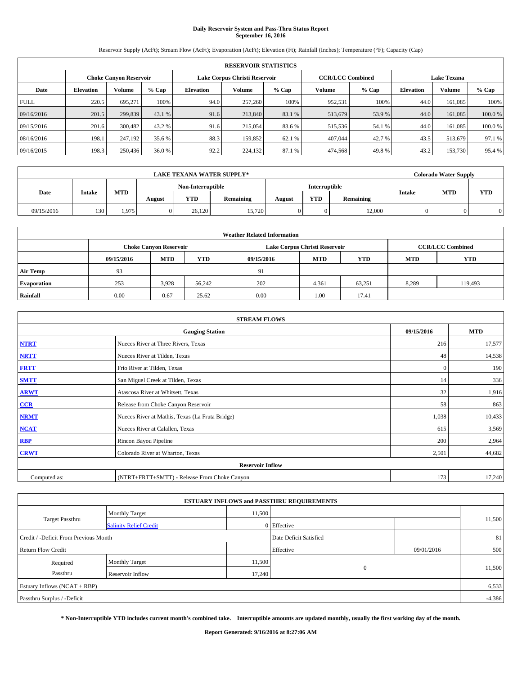# **Daily Reservoir System and Pass-Thru Status Report September 16, 2016**

Reservoir Supply (AcFt); Stream Flow (AcFt); Evaporation (AcFt); Elevation (Ft); Rainfall (Inches); Temperature (°F); Capacity (Cap)

|             | <b>RESERVOIR STATISTICS</b> |                               |         |                  |                               |         |                         |         |                  |                    |        |
|-------------|-----------------------------|-------------------------------|---------|------------------|-------------------------------|---------|-------------------------|---------|------------------|--------------------|--------|
|             |                             | <b>Choke Canyon Reservoir</b> |         |                  | Lake Corpus Christi Reservoir |         | <b>CCR/LCC Combined</b> |         |                  | <b>Lake Texana</b> |        |
| Date        | <b>Elevation</b>            | Volume                        | $%$ Cap | <b>Elevation</b> | Volume                        | $%$ Cap | Volume                  | $%$ Cap | <b>Elevation</b> | <b>Volume</b>      | % Cap  |
| <b>FULL</b> | 220.5                       | 695.271                       | 100%    | 94.0             | 257,260                       | 100%    | 952,531                 | 100%    | 44.0             | 161.085            | 100%   |
| 09/16/2016  | 201.5                       | 299,839                       | 43.1 %  | 91.6             | 213,840                       | 83.1 %  | 513,679                 | 53.9 %  | 44.0             | 161.085            | 100.0% |
| 09/15/2016  | 201.6                       | 300,482                       | 43.2 %  | 91.6             | 215,054                       | 83.6 %  | 515,536                 | 54.1 %  | 44.0             | 161.085            | 100.0% |
| 08/16/2016  | 198.1                       | 247.192                       | 35.6 %  | 88.3             | 159.852                       | 62.1 %  | 407,044                 | 42.7 %  | 43.5             | 513,679            | 97.1 % |
| 09/16/2015  | 198.3                       | 250,436                       | 36.0 %  | 92.2             | 224,132                       | 87.1 %  | 474,568                 | 49.8%   | 43.2             | 153,730            | 95.4 % |

| <b>LAKE TEXANA WATER SUPPLY*</b> |               |            |        |                   |           |               |            |           |               | <b>Colorado Water Supply</b> |            |
|----------------------------------|---------------|------------|--------|-------------------|-----------|---------------|------------|-----------|---------------|------------------------------|------------|
|                                  |               |            |        | Non-Interruptible |           | Interruptible |            |           |               |                              |            |
| Date                             | <b>Intake</b> | <b>MTD</b> | August | <b>YTD</b>        | Remaining | August        | <b>YTD</b> | Remaining | <b>Intake</b> | <b>MTD</b>                   | <b>YTD</b> |
| 09/15/2016                       | 130           | 1.975      |        | 26.120            | 15,720    |               | 0          | 12,000    |               |                              |            |

| <b>Weather Related Information</b> |            |                               |            |            |                               |                         |            |            |  |
|------------------------------------|------------|-------------------------------|------------|------------|-------------------------------|-------------------------|------------|------------|--|
|                                    |            | <b>Choke Canyon Reservoir</b> |            |            | Lake Corpus Christi Reservoir | <b>CCR/LCC Combined</b> |            |            |  |
|                                    | 09/15/2016 | <b>MTD</b>                    | <b>YTD</b> | 09/15/2016 | <b>MTD</b>                    | <b>YTD</b>              | <b>MTD</b> | <b>YTD</b> |  |
| <b>Air Temp</b>                    | 93         |                               |            | 91         |                               |                         |            |            |  |
| <b>Evaporation</b>                 | 253        | 3,928                         | 56,242     | 202        | 4,361                         | 63,251                  | 8,289      | 119,493    |  |
| Rainfall                           | 0.00       | 0.67                          | 25.62      | 0.00       | 1.00                          | 17.41                   |            |            |  |

| <b>STREAM FLOWS</b> |                                                 |              |        |  |  |  |  |  |
|---------------------|-------------------------------------------------|--------------|--------|--|--|--|--|--|
|                     | 09/15/2016                                      | <b>MTD</b>   |        |  |  |  |  |  |
| <b>NTRT</b>         | Nueces River at Three Rivers, Texas             | 216          | 17,577 |  |  |  |  |  |
| <b>NRTT</b>         | Nueces River at Tilden, Texas                   | 48           | 14,538 |  |  |  |  |  |
| <b>FRTT</b>         | Frio River at Tilden, Texas                     | $\mathbf{0}$ | 190    |  |  |  |  |  |
| <b>SMTT</b>         | San Miguel Creek at Tilden, Texas               | 14           | 336    |  |  |  |  |  |
| <b>ARWT</b>         | Atascosa River at Whitsett, Texas               | 32           | 1,916  |  |  |  |  |  |
| $CCR$               | Release from Choke Canyon Reservoir             | 58           | 863    |  |  |  |  |  |
| <b>NRMT</b>         | Nueces River at Mathis, Texas (La Fruta Bridge) | 1,038        | 10,433 |  |  |  |  |  |
| <b>NCAT</b>         | Nueces River at Calallen, Texas                 | 615          | 3,569  |  |  |  |  |  |
| RBP                 | Rincon Bayou Pipeline                           | 200          | 2,964  |  |  |  |  |  |
| <b>CRWT</b>         | Colorado River at Wharton, Texas                | 2,501        | 44,682 |  |  |  |  |  |
|                     |                                                 |              |        |  |  |  |  |  |
| Computed as:        | (NTRT+FRTT+SMTT) - Release From Choke Canyon    | 173          | 17,240 |  |  |  |  |  |

|                                       |                               |        | <b>ESTUARY INFLOWS and PASSTHRU REQUIREMENTS</b> |            |        |  |  |  |
|---------------------------------------|-------------------------------|--------|--------------------------------------------------|------------|--------|--|--|--|
|                                       | <b>Monthly Target</b>         | 11,500 |                                                  |            |        |  |  |  |
| Target Passthru                       | <b>Salinity Relief Credit</b> |        | 0 Effective                                      |            | 11,500 |  |  |  |
| Credit / -Deficit From Previous Month |                               |        | Date Deficit Satisfied                           |            | 81     |  |  |  |
| <b>Return Flow Credit</b>             |                               |        | Effective                                        | 09/01/2016 | 500    |  |  |  |
| Required                              | Monthly Target                | 11,500 |                                                  |            |        |  |  |  |
| Passthru                              | <b>Reservoir Inflow</b>       | 17,240 | $\Omega$                                         |            | 11,500 |  |  |  |
| Estuary Inflows (NCAT + RBP)          |                               |        |                                                  |            |        |  |  |  |
| Passthru Surplus / -Deficit           |                               |        |                                                  |            |        |  |  |  |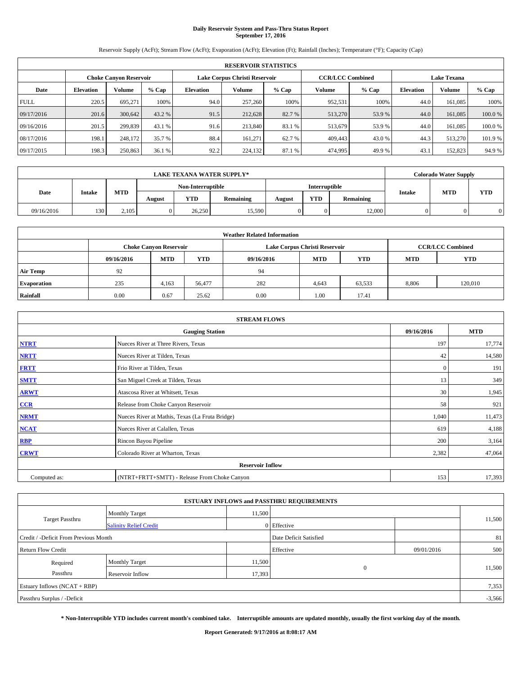# **Daily Reservoir System and Pass-Thru Status Report September 17, 2016**

Reservoir Supply (AcFt); Stream Flow (AcFt); Evaporation (AcFt); Elevation (Ft); Rainfall (Inches); Temperature (°F); Capacity (Cap)

|             | <b>RESERVOIR STATISTICS</b> |                        |         |                  |                               |         |                         |         |                  |                    |         |  |
|-------------|-----------------------------|------------------------|---------|------------------|-------------------------------|---------|-------------------------|---------|------------------|--------------------|---------|--|
|             |                             | Choke Canvon Reservoir |         |                  | Lake Corpus Christi Reservoir |         | <b>CCR/LCC Combined</b> |         |                  | <b>Lake Texana</b> |         |  |
| Date        | <b>Elevation</b>            | Volume                 | $%$ Cap | <b>Elevation</b> | Volume                        | $%$ Cap | Volume                  | $%$ Cap | <b>Elevation</b> | <b>Volume</b>      | % Cap   |  |
| <b>FULL</b> | 220.5                       | 695.271                | 100%    | 94.0             | 257,260                       | 100%    | 952,531                 | 100%    | 44.0             | 161.085            | 100%    |  |
| 09/17/2016  | 201.6                       | 300,642                | 43.2 %  | 91.5             | 212,628                       | 82.7 %  | 513,270                 | 53.9%   | 44.0             | 161,085            | 100.0%  |  |
| 09/16/2016  | 201.5                       | 299.839                | 43.1 %  | 91.6             | 213,840                       | 83.1 %  | 513,679                 | 53.9 %  | 44.0             | 161.085            | 100.0%  |  |
| 08/17/2016  | 198.1                       | 248,172                | 35.7 %  | 88.4             | 161.271                       | 62.7 %  | 409,443                 | 43.0 %  | 44.3             | 513,270            | 101.9 % |  |
| 09/17/2015  | 198.3                       | 250,863                | 36.1 %  | 92.2             | 224,132                       | 87.1 %  | 474,995                 | 49.9%   | 43.              | 152,823            | 94.9 %  |  |

| <b>LAKE TEXANA WATER SUPPLY*</b> |               |            |        |                   |           |               |            |           |               | <b>Colorado Water Supply</b> |            |
|----------------------------------|---------------|------------|--------|-------------------|-----------|---------------|------------|-----------|---------------|------------------------------|------------|
|                                  |               |            |        | Non-Interruptible |           | Interruptible |            |           |               |                              |            |
| Date                             | <b>Intake</b> | <b>MTD</b> | August | <b>YTD</b>        | Remaining | August        | <b>YTD</b> | Remaining | <b>Intake</b> | <b>MTD</b>                   | <b>YTD</b> |
| 09/16/2016                       | 130           | 2.105      |        | 26,250            | 15,590    |               | 0          | 12,000    |               |                              |            |

| <b>Weather Related Information</b> |            |                               |            |            |                                  |                         |       |         |  |  |  |
|------------------------------------|------------|-------------------------------|------------|------------|----------------------------------|-------------------------|-------|---------|--|--|--|
|                                    |            | <b>Choke Canyon Reservoir</b> |            |            | Lake Corpus Christi Reservoir    | <b>CCR/LCC Combined</b> |       |         |  |  |  |
|                                    | 09/16/2016 | <b>MTD</b>                    | <b>YTD</b> | 09/16/2016 | <b>MTD</b><br>YTD.<br><b>MTD</b> |                         |       |         |  |  |  |
| <b>Air Temp</b>                    | 92         |                               |            | 94         |                                  |                         |       |         |  |  |  |
| <b>Evaporation</b>                 | 235        | 4,163                         | 56,477     | 282        | 4,643                            | 63,533                  | 8,806 | 120,010 |  |  |  |
| Rainfall                           | 0.00       | 0.67                          | 25.62      | 0.00       | 1.00                             | 17.41                   |       |         |  |  |  |

| <b>STREAM FLOWS</b> |                                                 |              |        |  |  |  |  |  |
|---------------------|-------------------------------------------------|--------------|--------|--|--|--|--|--|
|                     | 09/16/2016                                      | <b>MTD</b>   |        |  |  |  |  |  |
| <b>NTRT</b>         | Nueces River at Three Rivers, Texas             | 197          | 17,774 |  |  |  |  |  |
| <b>NRTT</b>         | Nueces River at Tilden, Texas                   | 42           | 14,580 |  |  |  |  |  |
| <b>FRTT</b>         | Frio River at Tilden, Texas                     | $\mathbf{0}$ | 191    |  |  |  |  |  |
| <b>SMTT</b>         | San Miguel Creek at Tilden, Texas               | 13           | 349    |  |  |  |  |  |
| <b>ARWT</b>         | Atascosa River at Whitsett, Texas               | 30           | 1,945  |  |  |  |  |  |
| CCR                 | Release from Choke Canyon Reservoir             | 58           | 921    |  |  |  |  |  |
| <b>NRMT</b>         | Nueces River at Mathis, Texas (La Fruta Bridge) | 1,040        | 11,473 |  |  |  |  |  |
| <b>NCAT</b>         | Nueces River at Calallen, Texas                 | 619          | 4,188  |  |  |  |  |  |
| <b>RBP</b>          | Rincon Bayou Pipeline                           | 200          | 3,164  |  |  |  |  |  |
| <b>CRWT</b>         | Colorado River at Wharton, Texas                | 2,382        | 47,064 |  |  |  |  |  |
|                     | <b>Reservoir Inflow</b>                         |              |        |  |  |  |  |  |
| Computed as:        | (NTRT+FRTT+SMTT) - Release From Choke Canyon    | 153          | 17,393 |  |  |  |  |  |

|                                       |                               |        | <b>ESTUARY INFLOWS and PASSTHRU REQUIREMENTS</b> |            |        |  |  |  |
|---------------------------------------|-------------------------------|--------|--------------------------------------------------|------------|--------|--|--|--|
|                                       | <b>Monthly Target</b>         | 11,500 |                                                  |            |        |  |  |  |
| <b>Target Passthru</b>                | <b>Salinity Relief Credit</b> |        | 0 Effective                                      |            | 11,500 |  |  |  |
| Credit / -Deficit From Previous Month |                               |        | Date Deficit Satisfied                           |            | 81     |  |  |  |
| <b>Return Flow Credit</b>             |                               |        | Effective                                        | 09/01/2016 | 500    |  |  |  |
| Required                              | <b>Monthly Target</b>         | 11,500 |                                                  |            |        |  |  |  |
| Passthru                              | Reservoir Inflow              | 17,393 | $\mathbf{0}$                                     |            | 11,500 |  |  |  |
| Estuary Inflows (NCAT + RBP)          |                               |        |                                                  |            |        |  |  |  |
| Passthru Surplus / -Deficit           |                               |        |                                                  |            |        |  |  |  |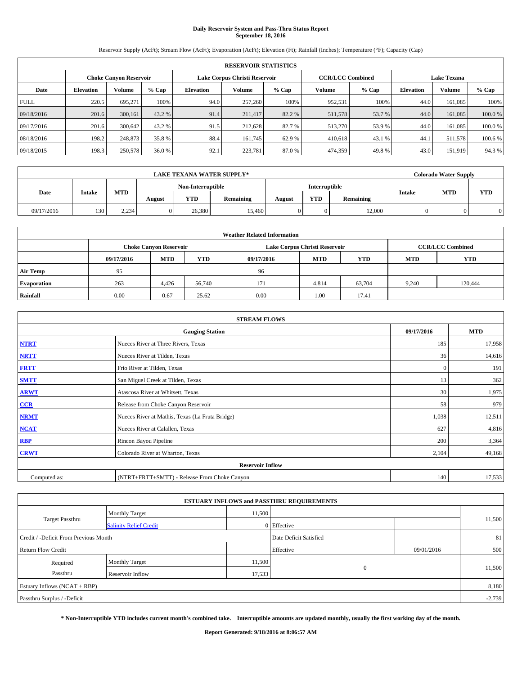# **Daily Reservoir System and Pass-Thru Status Report September 18, 2016**

Reservoir Supply (AcFt); Stream Flow (AcFt); Evaporation (AcFt); Elevation (Ft); Rainfall (Inches); Temperature (°F); Capacity (Cap)

|             | <b>RESERVOIR STATISTICS</b> |                               |         |                  |                               |         |                         |         |                    |               |         |  |
|-------------|-----------------------------|-------------------------------|---------|------------------|-------------------------------|---------|-------------------------|---------|--------------------|---------------|---------|--|
|             |                             | <b>Choke Canyon Reservoir</b> |         |                  | Lake Corpus Christi Reservoir |         | <b>CCR/LCC Combined</b> |         | <b>Lake Texana</b> |               |         |  |
| Date        | <b>Elevation</b>            | Volume                        | $%$ Cap | <b>Elevation</b> | Volume                        | $%$ Cap | Volume                  | $%$ Cap | <b>Elevation</b>   | <b>Volume</b> | % Cap   |  |
| <b>FULL</b> | 220.5                       | 695.271                       | 100%    | 94.0             | 257,260                       | 100%    | 952,531                 | 100%    | 44.0               | 161.085       | 100%    |  |
| 09/18/2016  | 201.6                       | 300,161                       | 43.2 %  | 91.4             | 211,417                       | 82.2 %  | 511,578                 | 53.7 %  | 44.0               | 161,085       | 100.0%  |  |
| 09/17/2016  | 201.6                       | 300.642                       | 43.2 %  | 91.5             | 212.628                       | 82.7 %  | 513,270                 | 53.9 %  | 44.0               | 161.085       | 100.0%  |  |
| 08/18/2016  | 198.2                       | 248,873                       | 35.8 %  | 88.4             | 161.745                       | 62.9 %  | 410,618                 | 43.1 %  | 44.1               | 511,578       | 100.6 % |  |
| 09/18/2015  | 198.3                       | 250,578                       | 36.0 %  | 92.1             | 223,781                       | 87.0 %  | 474,359                 | 49.8%   | 43.0               | 151,919       | 94.3%   |  |

|            |               |            |                   |            | <b>LAKE TEXANA WATER SUPPLY*</b> |               |            |           |               | <b>Colorado Water Supply</b> |            |
|------------|---------------|------------|-------------------|------------|----------------------------------|---------------|------------|-----------|---------------|------------------------------|------------|
|            |               |            | Non-Interruptible |            |                                  | Interruptible |            |           |               |                              |            |
| Date       | <b>Intake</b> | <b>MTD</b> | August            | <b>YTD</b> | Remaining                        | August        | <b>YTD</b> | Remaining | <b>Intake</b> | <b>MTD</b>                   | <b>YTD</b> |
| 09/17/2016 | 130           | 2.234      |                   | 26,380     | 15.460                           |               | 0          | 12,000    |               |                              |            |

| <b>Weather Related Information</b> |            |                                                                                  |        |      |                               |        |                         |            |  |  |  |
|------------------------------------|------------|----------------------------------------------------------------------------------|--------|------|-------------------------------|--------|-------------------------|------------|--|--|--|
|                                    |            | <b>Choke Canyon Reservoir</b>                                                    |        |      | Lake Corpus Christi Reservoir |        | <b>CCR/LCC Combined</b> |            |  |  |  |
|                                    | 09/17/2016 | <b>YTD</b><br><b>MTD</b><br><b>MTD</b><br><b>YTD</b><br>09/17/2016<br><b>MTD</b> |        |      |                               |        |                         | <b>YTD</b> |  |  |  |
| <b>Air Temp</b>                    | 95         |                                                                                  |        | 96   |                               |        |                         |            |  |  |  |
| <b>Evaporation</b>                 | 263        | 4,426                                                                            | 56,740 | 171  | 4,814                         | 63,704 | 9.240                   | 120,444    |  |  |  |
| Rainfall                           | 0.00       | 0.67                                                                             | 25.62  | 0.00 | 1.00                          | 17.41  |                         |            |  |  |  |

|              | <b>STREAM FLOWS</b>                             |              |            |  |  |  |  |  |  |  |
|--------------|-------------------------------------------------|--------------|------------|--|--|--|--|--|--|--|
|              | <b>Gauging Station</b>                          | 09/17/2016   | <b>MTD</b> |  |  |  |  |  |  |  |
| <b>NTRT</b>  | Nueces River at Three Rivers, Texas             | 185          | 17,958     |  |  |  |  |  |  |  |
| <b>NRTT</b>  | Nueces River at Tilden, Texas                   | 36           | 14,616     |  |  |  |  |  |  |  |
| <b>FRTT</b>  | Frio River at Tilden, Texas                     | $\mathbf{0}$ | 191        |  |  |  |  |  |  |  |
| <b>SMTT</b>  | San Miguel Creek at Tilden, Texas               | 13           | 362        |  |  |  |  |  |  |  |
| <b>ARWT</b>  | Atascosa River at Whitsett, Texas               | 30           | 1,975      |  |  |  |  |  |  |  |
| $CCR$        | Release from Choke Canyon Reservoir             | 58           | 979        |  |  |  |  |  |  |  |
| <b>NRMT</b>  | Nueces River at Mathis, Texas (La Fruta Bridge) | 1,038        | 12,511     |  |  |  |  |  |  |  |
| <b>NCAT</b>  | Nueces River at Calallen, Texas                 | 627          | 4,816      |  |  |  |  |  |  |  |
| RBP          | Rincon Bayou Pipeline                           | 200          | 3,364      |  |  |  |  |  |  |  |
| <b>CRWT</b>  | Colorado River at Wharton, Texas                | 2,104        | 49,168     |  |  |  |  |  |  |  |
|              | <b>Reservoir Inflow</b>                         |              |            |  |  |  |  |  |  |  |
| Computed as: | (NTRT+FRTT+SMTT) - Release From Choke Canyon    | 140          | 17,533     |  |  |  |  |  |  |  |

| <b>ESTUARY INFLOWS and PASSTHRU REQUIREMENTS</b> |                               |        |                        |            |        |  |  |  |  |  |
|--------------------------------------------------|-------------------------------|--------|------------------------|------------|--------|--|--|--|--|--|
|                                                  | <b>Monthly Target</b>         | 11,500 |                        |            |        |  |  |  |  |  |
| Target Passthru                                  | <b>Salinity Relief Credit</b> |        | 0 Effective            |            | 11,500 |  |  |  |  |  |
| Credit / -Deficit From Previous Month            |                               |        | Date Deficit Satisfied |            | 81     |  |  |  |  |  |
| <b>Return Flow Credit</b>                        |                               |        | Effective              | 09/01/2016 | 500    |  |  |  |  |  |
| Required                                         | Monthly Target                | 11,500 |                        |            |        |  |  |  |  |  |
| Passthru                                         | <b>Reservoir Inflow</b>       | 17,533 | $\Omega$               |            | 11,500 |  |  |  |  |  |
| Estuary Inflows (NCAT + RBP)                     |                               |        |                        |            |        |  |  |  |  |  |
| Passthru Surplus / -Deficit                      |                               |        |                        |            |        |  |  |  |  |  |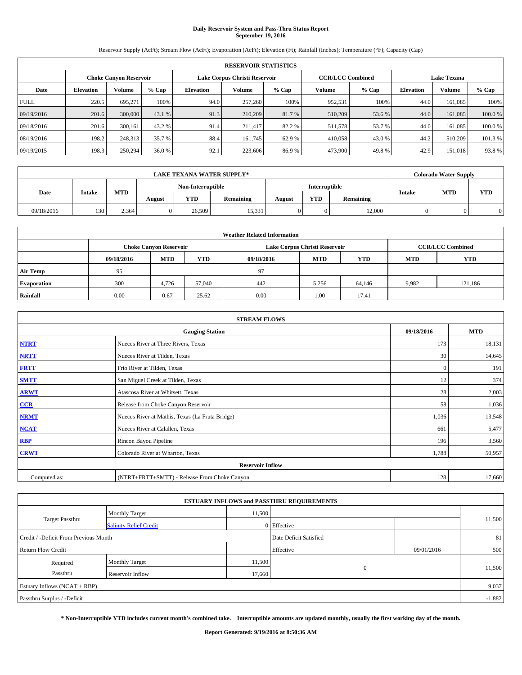# **Daily Reservoir System and Pass-Thru Status Report September 19, 2016**

Reservoir Supply (AcFt); Stream Flow (AcFt); Evaporation (AcFt); Elevation (Ft); Rainfall (Inches); Temperature (°F); Capacity (Cap)

|             | <b>RESERVOIR STATISTICS</b> |                        |         |                  |                               |         |                         |         |                  |                    |         |  |
|-------------|-----------------------------|------------------------|---------|------------------|-------------------------------|---------|-------------------------|---------|------------------|--------------------|---------|--|
|             |                             | Choke Canvon Reservoir |         |                  | Lake Corpus Christi Reservoir |         | <b>CCR/LCC Combined</b> |         |                  | <b>Lake Texana</b> |         |  |
| Date        | <b>Elevation</b>            | Volume                 | $%$ Cap | <b>Elevation</b> | Volume                        | $%$ Cap | Volume                  | $%$ Cap | <b>Elevation</b> | <b>Volume</b>      | % Cap   |  |
| <b>FULL</b> | 220.5                       | 695.271                | 100%    | 94.0             | 257,260                       | 100%    | 952,531                 | 100%    | 44.0             | 161.085            | 100%    |  |
| 09/19/2016  | 201.6                       | 300,000                | 43.1 %  | 91.3             | 210,209                       | 81.7 %  | 510,209                 | 53.6 %  | 44.0             | 161,085            | 100.0%  |  |
| 09/18/2016  | 201.6                       | 300,161                | 43.2 %  | 91.4             | 211.417                       | 82.2 %  | 511,578                 | 53.7 %  | 44.0             | 161.085            | 100.0%  |  |
| 08/19/2016  | 198.2                       | 248,313                | 35.7 %  | 88.4             | 161.745                       | 62.9 %  | 410,058                 | 43.0 %  | 44.2             | 510,209            | 101.3 % |  |
| 09/19/2015  | 198.3                       | 250,294                | 36.0 %  | 92.1             | 223,606                       | 86.9%   | 473,900                 | 49.8%   | 42.9             | 151.018            | 93.8%   |  |

|            |               |            |        |                   | <b>LAKE TEXANA WATER SUPPLY*</b> |        |               |           |               | <b>Colorado Water Supply</b> |            |
|------------|---------------|------------|--------|-------------------|----------------------------------|--------|---------------|-----------|---------------|------------------------------|------------|
|            |               |            |        | Non-Interruptible |                                  |        | Interruptible |           |               |                              |            |
| Date       | <b>Intake</b> | <b>MTD</b> | August | <b>YTD</b>        | Remaining                        | August | <b>YTD</b>    | Remaining | <b>Intake</b> | <b>MTD</b>                   | <b>YTD</b> |
| 09/18/2016 | 130           | 2.364      |        | 26,509            | 15,331                           |        | 0             | 12,000    |               |                              |            |

| <b>Weather Related Information</b> |            |                                                                                  |        |      |                               |        |                         |            |  |  |  |
|------------------------------------|------------|----------------------------------------------------------------------------------|--------|------|-------------------------------|--------|-------------------------|------------|--|--|--|
|                                    |            | <b>Choke Canyon Reservoir</b>                                                    |        |      | Lake Corpus Christi Reservoir |        | <b>CCR/LCC Combined</b> |            |  |  |  |
|                                    | 09/18/2016 | <b>YTD</b><br><b>MTD</b><br><b>MTD</b><br><b>YTD</b><br>09/18/2016<br><b>MTD</b> |        |      |                               |        |                         | <b>YTD</b> |  |  |  |
| <b>Air Temp</b>                    | 95         |                                                                                  |        | 97   |                               |        |                         |            |  |  |  |
| <b>Evaporation</b>                 | 300        | 4,726                                                                            | 57,040 | 442  | 5.256                         | 64,146 | 9.982                   | 121,186    |  |  |  |
| Rainfall                           | 0.00       | 0.67                                                                             | 25.62  | 0.00 | 1.00                          | 17.41  |                         |            |  |  |  |

|              | <b>STREAM FLOWS</b>                             |              |            |  |  |  |  |  |  |  |
|--------------|-------------------------------------------------|--------------|------------|--|--|--|--|--|--|--|
|              | <b>Gauging Station</b>                          | 09/18/2016   | <b>MTD</b> |  |  |  |  |  |  |  |
| <b>NTRT</b>  | Nueces River at Three Rivers, Texas             | 173          | 18,131     |  |  |  |  |  |  |  |
| <b>NRTT</b>  | Nueces River at Tilden, Texas                   | 30           | 14,645     |  |  |  |  |  |  |  |
| <b>FRTT</b>  | Frio River at Tilden, Texas                     | $\mathbf{0}$ | 191        |  |  |  |  |  |  |  |
| <b>SMTT</b>  | San Miguel Creek at Tilden, Texas               | 12           | 374        |  |  |  |  |  |  |  |
| <b>ARWT</b>  | Atascosa River at Whitsett, Texas               | 28           | 2,003      |  |  |  |  |  |  |  |
| $CCR$        | Release from Choke Canyon Reservoir             | 58           | 1,036      |  |  |  |  |  |  |  |
| <b>NRMT</b>  | Nueces River at Mathis, Texas (La Fruta Bridge) | 1,036        | 13,548     |  |  |  |  |  |  |  |
| <b>NCAT</b>  | Nueces River at Calallen, Texas                 | 661          | 5,477      |  |  |  |  |  |  |  |
| RBP          | Rincon Bayou Pipeline                           | 196          | 3,560      |  |  |  |  |  |  |  |
| <b>CRWT</b>  | Colorado River at Wharton, Texas                | 1,788        | 50,957     |  |  |  |  |  |  |  |
|              | <b>Reservoir Inflow</b>                         |              |            |  |  |  |  |  |  |  |
| Computed as: | (NTRT+FRTT+SMTT) - Release From Choke Canyon    | 128          | 17,660     |  |  |  |  |  |  |  |

| <b>ESTUARY INFLOWS and PASSTHRU REQUIREMENTS</b> |                               |        |                        |            |        |  |  |  |  |  |
|--------------------------------------------------|-------------------------------|--------|------------------------|------------|--------|--|--|--|--|--|
|                                                  | <b>Monthly Target</b>         | 11,500 |                        |            |        |  |  |  |  |  |
| <b>Target Passthru</b>                           | <b>Salinity Relief Credit</b> |        | 0 Effective            |            | 11,500 |  |  |  |  |  |
| Credit / -Deficit From Previous Month            |                               |        | Date Deficit Satisfied |            | 81     |  |  |  |  |  |
| <b>Return Flow Credit</b>                        |                               |        | Effective              | 09/01/2016 | 500    |  |  |  |  |  |
| Required                                         | <b>Monthly Target</b>         | 11,500 |                        |            |        |  |  |  |  |  |
| Passthru                                         | <b>Reservoir Inflow</b>       | 17,660 | $\Omega$               |            | 11,500 |  |  |  |  |  |
| Estuary Inflows (NCAT + RBP)                     |                               |        |                        |            |        |  |  |  |  |  |
| Passthru Surplus / -Deficit                      |                               |        |                        |            |        |  |  |  |  |  |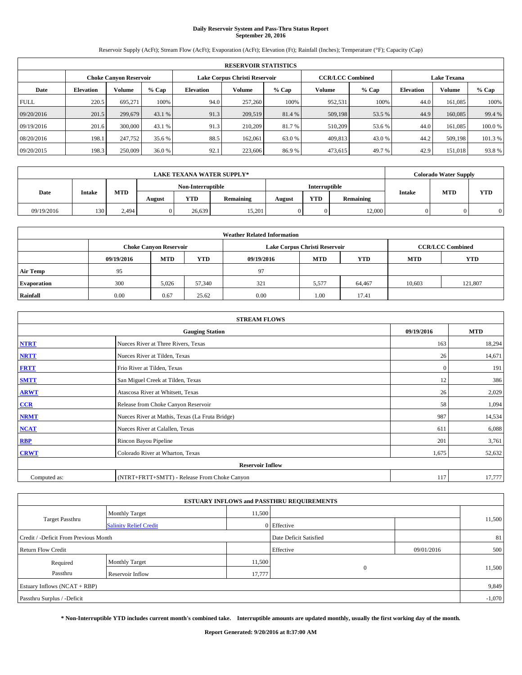## **Daily Reservoir System and Pass-Thru Status Report September 20, 2016**

Reservoir Supply (AcFt); Stream Flow (AcFt); Evaporation (AcFt); Elevation (Ft); Rainfall (Inches); Temperature (°F); Capacity (Cap)

|             | <b>RESERVOIR STATISTICS</b> |                        |         |                  |                               |         |                         |         |                    |               |         |  |
|-------------|-----------------------------|------------------------|---------|------------------|-------------------------------|---------|-------------------------|---------|--------------------|---------------|---------|--|
|             |                             | Choke Canvon Reservoir |         |                  | Lake Corpus Christi Reservoir |         | <b>CCR/LCC Combined</b> |         | <b>Lake Texana</b> |               |         |  |
| Date        | <b>Elevation</b>            | Volume                 | $%$ Cap | <b>Elevation</b> | Volume                        | $%$ Cap | Volume                  | $%$ Cap | <b>Elevation</b>   | <b>Volume</b> | % Cap   |  |
| <b>FULL</b> | 220.5                       | 695.271                | 100%    | 94.0             | 257,260                       | 100%    | 952,531                 | 100%    | 44.0               | 161.085       | 100%    |  |
| 09/20/2016  | 201.5                       | 299,679                | 43.1 %  | 91.3             | 209,519                       | 81.4 %  | 509,198                 | 53.5 %  | 44.9               | 160,085       | 99.4 %  |  |
| 09/19/2016  | 201.6                       | 300,000                | 43.1 %  | 91.3             | 210,209                       | 81.7 %  | 510.209                 | 53.6 %  | 44.0               | 161.085       | 100.0%  |  |
| 08/20/2016  | 198.1                       | 247,752                | 35.6 %  | 88.5             | 162,061                       | 63.0 %  | 409,813                 | 43.0 %  | 44.2               | 509,198       | 101.3 % |  |
| 09/20/2015  | 198.3                       | 250,009                | 36.0 %  | 92.1             | 223,606                       | 86.9%   | 473,615                 | 49.7%   | 42.9               | 151.018       | 93.8%   |  |

| <b>LAKE TEXANA WATER SUPPLY*</b><br><b>Interruptible</b><br>Non-Interruptible |               |            |        |            |           |        |            |           |               | <b>Colorado Water Supply</b> |            |
|-------------------------------------------------------------------------------|---------------|------------|--------|------------|-----------|--------|------------|-----------|---------------|------------------------------|------------|
|                                                                               |               |            |        |            |           |        |            |           |               |                              |            |
| Date                                                                          | <b>Intake</b> | <b>MTD</b> | August | <b>YTD</b> | Remaining | August | <b>YTD</b> | Remaining | <b>Intake</b> | <b>MTD</b>                   | <b>YTD</b> |
| 09/19/2016                                                                    | 130           | 2.494      |        | 26.639     | 15,201    |        | 0          | 12,000    |               |                              |            |

|                    | <b>Weather Related Information</b> |                                                                                  |        |      |                               |                         |        |            |  |  |  |  |
|--------------------|------------------------------------|----------------------------------------------------------------------------------|--------|------|-------------------------------|-------------------------|--------|------------|--|--|--|--|
|                    |                                    | <b>Choke Canyon Reservoir</b>                                                    |        |      | Lake Corpus Christi Reservoir | <b>CCR/LCC Combined</b> |        |            |  |  |  |  |
|                    | 09/19/2016                         | <b>YTD</b><br><b>MTD</b><br><b>MTD</b><br><b>YTD</b><br><b>MTD</b><br>09/19/2016 |        |      |                               |                         |        | <b>YTD</b> |  |  |  |  |
| <b>Air Temp</b>    | 95                                 |                                                                                  |        | 97   |                               |                         |        |            |  |  |  |  |
| <b>Evaporation</b> | 300                                | 5,026                                                                            | 57,340 | 321  | 5,577                         | 64,467                  | 10,603 | 121.807    |  |  |  |  |
| Rainfall           | 0.00                               | 0.67                                                                             | 25.62  | 0.00 | 1.00                          | 17.41                   |        |            |  |  |  |  |

| <b>STREAM FLOWS</b> |                                                 |              |            |  |  |  |  |  |
|---------------------|-------------------------------------------------|--------------|------------|--|--|--|--|--|
|                     | <b>Gauging Station</b>                          | 09/19/2016   | <b>MTD</b> |  |  |  |  |  |
| <b>NTRT</b>         | Nueces River at Three Rivers, Texas             | 163          | 18,294     |  |  |  |  |  |
| <b>NRTT</b>         | Nueces River at Tilden, Texas                   | 26           | 14,671     |  |  |  |  |  |
| <b>FRTT</b>         | Frio River at Tilden, Texas                     | $\mathbf{0}$ | 191        |  |  |  |  |  |
| <b>SMTT</b>         | San Miguel Creek at Tilden, Texas               | 12           | 386        |  |  |  |  |  |
| <b>ARWT</b>         | Atascosa River at Whitsett, Texas               | 26           | 2,029      |  |  |  |  |  |
| $CCR$               | Release from Choke Canyon Reservoir             | 58           | 1,094      |  |  |  |  |  |
| <b>NRMT</b>         | Nueces River at Mathis, Texas (La Fruta Bridge) | 987          | 14,534     |  |  |  |  |  |
| <b>NCAT</b>         | Nueces River at Calallen, Texas                 | 611          | 6,088      |  |  |  |  |  |
| RBP                 | Rincon Bayou Pipeline                           | 201          | 3,761      |  |  |  |  |  |
| <b>CRWT</b>         | Colorado River at Wharton, Texas                | 1,675        | 52,632     |  |  |  |  |  |
|                     | <b>Reservoir Inflow</b>                         |              |            |  |  |  |  |  |
| Computed as:        | (NTRT+FRTT+SMTT) - Release From Choke Canyon    | 117          | 17,777     |  |  |  |  |  |

|                                       |                               |        | <b>ESTUARY INFLOWS and PASSTHRU REQUIREMENTS</b> |            |          |
|---------------------------------------|-------------------------------|--------|--------------------------------------------------|------------|----------|
|                                       | <b>Monthly Target</b>         | 11,500 |                                                  |            | 11,500   |
| <b>Target Passthru</b>                | <b>Salinity Relief Credit</b> |        | 0 Effective                                      |            |          |
| Credit / -Deficit From Previous Month |                               |        | Date Deficit Satisfied                           |            | 81       |
| <b>Return Flow Credit</b>             |                               |        | Effective                                        | 09/01/2016 | 500      |
| Required                              | <b>Monthly Target</b>         | 11,500 |                                                  |            |          |
| Passthru                              | <b>Reservoir Inflow</b>       | 17,777 | $\Omega$                                         |            | 11,500   |
| Estuary Inflows (NCAT + RBP)          |                               |        |                                                  |            | 9,849    |
| Passthru Surplus / -Deficit           |                               |        |                                                  |            | $-1,070$ |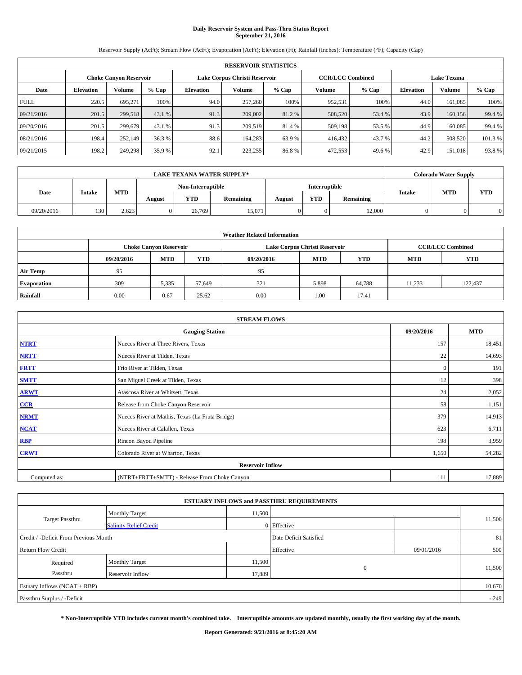# **Daily Reservoir System and Pass-Thru Status Report September 21, 2016**

Reservoir Supply (AcFt); Stream Flow (AcFt); Evaporation (AcFt); Elevation (Ft); Rainfall (Inches); Temperature (°F); Capacity (Cap)

|             | <b>RESERVOIR STATISTICS</b> |                               |         |                               |         |         |                         |         |                    |               |         |  |  |
|-------------|-----------------------------|-------------------------------|---------|-------------------------------|---------|---------|-------------------------|---------|--------------------|---------------|---------|--|--|
|             |                             | <b>Choke Canyon Reservoir</b> |         | Lake Corpus Christi Reservoir |         |         | <b>CCR/LCC Combined</b> |         | <b>Lake Texana</b> |               |         |  |  |
| Date        | <b>Elevation</b>            | Volume                        | $%$ Cap | Elevation                     | Volume  | $%$ Cap | Volume                  | $%$ Cap | <b>Elevation</b>   | <b>Volume</b> | $%$ Cap |  |  |
| <b>FULL</b> | 220.5                       | 695,271                       | 100%    | 94.0                          | 257,260 | 100%    | 952,531                 | 100%    | 44.0               | 161.085       | 100%    |  |  |
| 09/21/2016  | 201.5                       | 299,518                       | 43.1 %  | 91.3                          | 209,002 | 81.2%   | 508,520                 | 53.4 %  | 43.9               | 160,156       | 99.4 %  |  |  |
| 09/20/2016  | 201.5                       | 299.679                       | 43.1 %  | 91.3                          | 209,519 | 81.4 %  | 509,198                 | 53.5 %  | 44.9               | 160,085       | 99.4 %  |  |  |
| 08/21/2016  | 198.4                       | 252,149                       | 36.3 %  | 88.6                          | 164,283 | 63.9 %  | 416,432                 | 43.7 %  | 44.2               | 508,520       | 101.3 % |  |  |
| 09/21/2015  | 198.2                       | 249,298                       | 35.9 %  | 92.1                          | 223,255 | 86.8%   | 472,553                 | 49.6%   | 42.9               | 151.018       | 93.8%   |  |  |

|            | <b>LAKE TEXANA WATER SUPPLY*</b><br>Non-Interruptible<br>Interruptible |            |        |            |           |        |            |           |               | <b>Colorado Water Supply</b> |            |
|------------|------------------------------------------------------------------------|------------|--------|------------|-----------|--------|------------|-----------|---------------|------------------------------|------------|
|            |                                                                        |            |        |            |           |        |            |           |               | <b>MTD</b>                   |            |
| Date       | <b>Intake</b>                                                          | <b>MTD</b> | August | <b>YTD</b> | Remaining | August | <b>YTD</b> | Remaining | <b>Intake</b> |                              | <b>YTD</b> |
| 09/20/2016 | 130                                                                    | 2.623      |        | 26,769     | 15.071    |        | 0          | 12,000    |               |                              |            |

|                    | <b>Weather Related Information</b> |                                                                                  |        |      |                               |                         |        |         |  |  |  |  |
|--------------------|------------------------------------|----------------------------------------------------------------------------------|--------|------|-------------------------------|-------------------------|--------|---------|--|--|--|--|
|                    |                                    | <b>Choke Canyon Reservoir</b>                                                    |        |      | Lake Corpus Christi Reservoir | <b>CCR/LCC Combined</b> |        |         |  |  |  |  |
|                    | 09/20/2016                         | <b>YTD</b><br><b>MTD</b><br><b>MTD</b><br><b>YTD</b><br><b>MTD</b><br>09/20/2016 |        |      |                               |                         |        |         |  |  |  |  |
| <b>Air Temp</b>    | 95                                 |                                                                                  |        | 95   |                               |                         |        |         |  |  |  |  |
| <b>Evaporation</b> | 309                                | 5,335                                                                            | 57,649 | 321  | 5,898                         | 64,788                  | 11,233 | 122.437 |  |  |  |  |
| Rainfall           | 0.00                               | 0.67                                                                             | 25.62  | 0.00 | 1.00                          | 17.41                   |        |         |  |  |  |  |

| <b>STREAM FLOWS</b> |                                                 |              |        |  |  |  |  |  |
|---------------------|-------------------------------------------------|--------------|--------|--|--|--|--|--|
|                     | 09/20/2016                                      | <b>MTD</b>   |        |  |  |  |  |  |
| <b>NTRT</b>         | Nueces River at Three Rivers, Texas             | 157          | 18,451 |  |  |  |  |  |
| <b>NRTT</b>         | Nueces River at Tilden, Texas                   | 22           | 14,693 |  |  |  |  |  |
| <b>FRTT</b>         | Frio River at Tilden, Texas                     | $\mathbf{0}$ | 191    |  |  |  |  |  |
| <b>SMTT</b>         | San Miguel Creek at Tilden, Texas               | 12           | 398    |  |  |  |  |  |
| <b>ARWT</b>         | Atascosa River at Whitsett, Texas               | 24           | 2,052  |  |  |  |  |  |
| $CCR$               | Release from Choke Canyon Reservoir             | 58           | 1,151  |  |  |  |  |  |
| <b>NRMT</b>         | Nueces River at Mathis, Texas (La Fruta Bridge) | 379          | 14,913 |  |  |  |  |  |
| <b>NCAT</b>         | Nueces River at Calallen, Texas                 | 623          | 6,711  |  |  |  |  |  |
| RBP                 | Rincon Bayou Pipeline                           | 198          | 3,959  |  |  |  |  |  |
| <b>CRWT</b>         | Colorado River at Wharton, Texas                | 1,650        | 54,282 |  |  |  |  |  |
|                     | <b>Reservoir Inflow</b>                         |              |        |  |  |  |  |  |
| Computed as:        | (NTRT+FRTT+SMTT) - Release From Choke Canyon    | 111          | 17,889 |  |  |  |  |  |

|                                                                 |                               |        | <b>ESTUARY INFLOWS and PASSTHRU REQUIREMENTS</b> |            |         |  |  |
|-----------------------------------------------------------------|-------------------------------|--------|--------------------------------------------------|------------|---------|--|--|
|                                                                 | <b>Monthly Target</b>         | 11,500 |                                                  |            |         |  |  |
| Target Passthru                                                 | <b>Salinity Relief Credit</b> |        | 0 Effective                                      |            | 11,500  |  |  |
| Credit / -Deficit From Previous Month<br>Date Deficit Satisfied |                               |        |                                                  |            |         |  |  |
| <b>Return Flow Credit</b>                                       |                               |        | Effective                                        | 09/01/2016 | 500     |  |  |
| Required                                                        | <b>Monthly Target</b>         | 11,500 |                                                  |            |         |  |  |
| Passthru                                                        | <b>Reservoir Inflow</b>       | 17,889 | $\Omega$                                         |            | 11,500  |  |  |
| Estuary Inflows (NCAT + RBP)                                    |                               |        |                                                  |            | 10,670  |  |  |
| Passthru Surplus / -Deficit                                     |                               |        |                                                  |            | $-.249$ |  |  |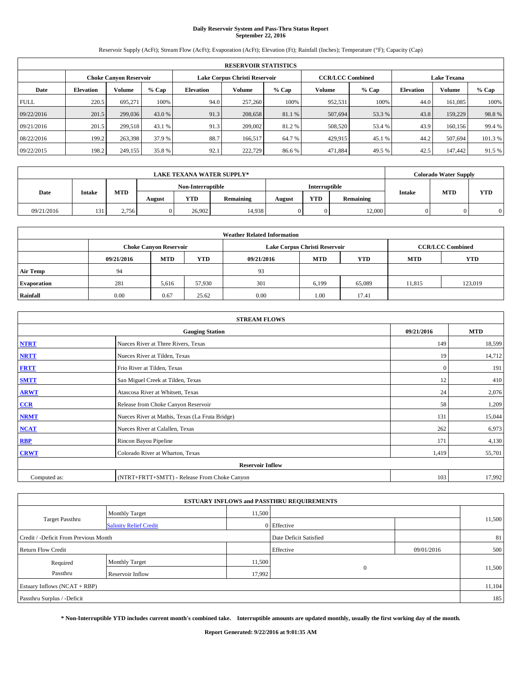# **Daily Reservoir System and Pass-Thru Status Report September 22, 2016**

Reservoir Supply (AcFt); Stream Flow (AcFt); Evaporation (AcFt); Elevation (Ft); Rainfall (Inches); Temperature (°F); Capacity (Cap)

|             | <b>RESERVOIR STATISTICS</b> |                               |         |                               |         |         |                         |         |                    |               |         |  |  |
|-------------|-----------------------------|-------------------------------|---------|-------------------------------|---------|---------|-------------------------|---------|--------------------|---------------|---------|--|--|
|             |                             | <b>Choke Canyon Reservoir</b> |         | Lake Corpus Christi Reservoir |         |         | <b>CCR/LCC Combined</b> |         | <b>Lake Texana</b> |               |         |  |  |
| Date        | <b>Elevation</b>            | Volume                        | $%$ Cap | Elevation                     | Volume  | $%$ Cap | Volume                  | $%$ Cap | <b>Elevation</b>   | <b>Volume</b> | $%$ Cap |  |  |
| <b>FULL</b> | 220.5                       | 695,271                       | 100%    | 94.0                          | 257,260 | 100%    | 952,531                 | 100%    | 44.0               | 161.085       | 100%    |  |  |
| 09/22/2016  | 201.5                       | 299,036                       | 43.0 %  | 91.3                          | 208,658 | 81.1 %  | 507,694                 | 53.3 %  | 43.8               | 159,229       | 98.8%   |  |  |
| 09/21/2016  | 201.5                       | 299.518                       | 43.1 %  | 91.3                          | 209,002 | 81.2%   | 508,520                 | 53.4 %  | 43.9               | 160,156       | 99.4 %  |  |  |
| 08/22/2016  | 199.2                       | 263,398                       | 37.9%   | 88.7                          | 166.517 | 64.7 %  | 429,915                 | 45.1 %  | 44.2               | 507.694       | 101.3 % |  |  |
| 09/22/2015  | 198.2                       | 249,155                       | 35.8 %  | 92.1                          | 222,729 | 86.6%   | 471,884                 | 49.5 %  | 42.5               | 147.442       | 91.5 %  |  |  |

|            | <b>LAKE TEXANA WATER SUPPLY*</b><br>Non-Interruptible<br>Interruptible |            |        |            |           |        |            |           |               | <b>Colorado Water Supply</b> |            |
|------------|------------------------------------------------------------------------|------------|--------|------------|-----------|--------|------------|-----------|---------------|------------------------------|------------|
|            |                                                                        |            |        |            |           |        |            |           |               | <b>MTD</b>                   |            |
| Date       | <b>Intake</b>                                                          | <b>MTD</b> | August | <b>YTD</b> | Remaining | August | <b>YTD</b> | Remaining | <b>Intake</b> |                              | <b>YTD</b> |
| 09/21/2016 | 131                                                                    | 2.756      |        | 26,902     | 14.938    |        | 0          | 12,000    |               |                              |            |

|                    | <b>Weather Related Information</b> |                               |            |            |                               |                         |            |            |  |  |  |  |
|--------------------|------------------------------------|-------------------------------|------------|------------|-------------------------------|-------------------------|------------|------------|--|--|--|--|
|                    |                                    | <b>Choke Canyon Reservoir</b> |            |            | Lake Corpus Christi Reservoir | <b>CCR/LCC Combined</b> |            |            |  |  |  |  |
|                    | 09/21/2016                         | <b>MTD</b>                    | <b>YTD</b> | 09/21/2016 | <b>MTD</b>                    | <b>YTD</b>              | <b>MTD</b> | <b>YTD</b> |  |  |  |  |
| <b>Air Temp</b>    | 94                                 |                               |            | 93         |                               |                         |            |            |  |  |  |  |
| <b>Evaporation</b> | 281                                | 5,616                         | 57,930     | 301        | 6,199                         | 65,089                  | 11,815     | 123,019    |  |  |  |  |
| Rainfall           | 0.00                               | 0.67                          | 25.62      | 0.00       | 1.00                          | 17.41                   |            |            |  |  |  |  |

| <b>STREAM FLOWS</b> |                                                 |              |        |  |  |  |  |  |
|---------------------|-------------------------------------------------|--------------|--------|--|--|--|--|--|
|                     | <b>Gauging Station</b>                          |              |        |  |  |  |  |  |
| <b>NTRT</b>         | Nueces River at Three Rivers, Texas             | 149          | 18,599 |  |  |  |  |  |
| <b>NRTT</b>         | Nueces River at Tilden, Texas                   | 19           | 14,712 |  |  |  |  |  |
| <b>FRTT</b>         | Frio River at Tilden, Texas                     | $\mathbf{0}$ | 191    |  |  |  |  |  |
| <b>SMTT</b>         | San Miguel Creek at Tilden, Texas               | 12           | 410    |  |  |  |  |  |
| <b>ARWT</b>         | Atascosa River at Whitsett, Texas               | 24           | 2,076  |  |  |  |  |  |
| $CCR$               | Release from Choke Canyon Reservoir             | 58           | 1,209  |  |  |  |  |  |
| <b>NRMT</b>         | Nueces River at Mathis, Texas (La Fruta Bridge) | 131          | 15,044 |  |  |  |  |  |
| <b>NCAT</b>         | Nueces River at Calallen, Texas                 | 262          | 6,973  |  |  |  |  |  |
| RBP                 | Rincon Bayou Pipeline                           | 171          | 4,130  |  |  |  |  |  |
| <b>CRWT</b>         | Colorado River at Wharton, Texas                | 1,419        | 55,701 |  |  |  |  |  |
|                     | <b>Reservoir Inflow</b>                         |              |        |  |  |  |  |  |
| Computed as:        | (NTRT+FRTT+SMTT) - Release From Choke Canyon    | 103          | 17,992 |  |  |  |  |  |

| <b>ESTUARY INFLOWS and PASSTHRU REQUIREMENTS</b> |                               |        |                        |            |        |  |  |  |  |  |
|--------------------------------------------------|-------------------------------|--------|------------------------|------------|--------|--|--|--|--|--|
|                                                  | <b>Monthly Target</b>         | 11,500 |                        |            |        |  |  |  |  |  |
| Target Passthru                                  | <b>Salinity Relief Credit</b> |        | 0 Effective            |            | 11,500 |  |  |  |  |  |
| Credit / -Deficit From Previous Month            |                               |        | Date Deficit Satisfied |            | 81     |  |  |  |  |  |
| <b>Return Flow Credit</b>                        |                               |        | Effective              | 09/01/2016 | 500    |  |  |  |  |  |
| Required                                         | Monthly Target                | 11,500 |                        |            |        |  |  |  |  |  |
| Passthru                                         | <b>Reservoir Inflow</b>       | 17,992 | $\Omega$               |            | 11,500 |  |  |  |  |  |
| Estuary Inflows (NCAT + RBP)                     |                               |        |                        |            |        |  |  |  |  |  |
| Passthru Surplus / -Deficit                      |                               |        |                        |            | 185    |  |  |  |  |  |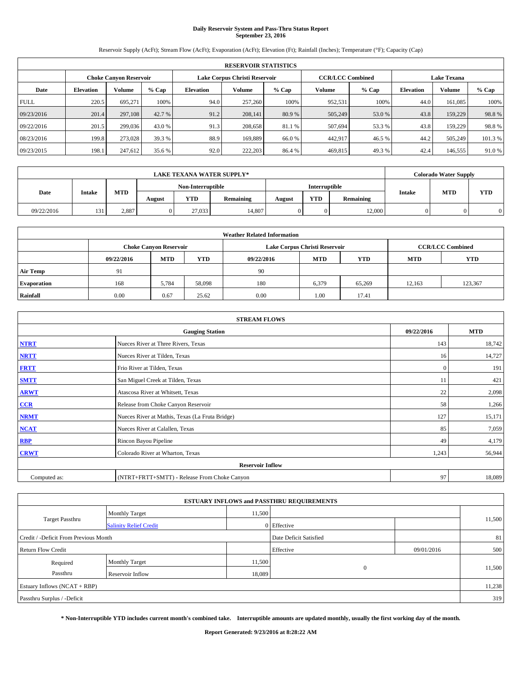# **Daily Reservoir System and Pass-Thru Status Report September 23, 2016**

Reservoir Supply (AcFt); Stream Flow (AcFt); Evaporation (AcFt); Elevation (Ft); Rainfall (Inches); Temperature (°F); Capacity (Cap)

|             | <b>RESERVOIR STATISTICS</b> |                        |         |                  |                               |         |                         |         |                  |                    |         |  |
|-------------|-----------------------------|------------------------|---------|------------------|-------------------------------|---------|-------------------------|---------|------------------|--------------------|---------|--|
|             |                             | Choke Canvon Reservoir |         |                  | Lake Corpus Christi Reservoir |         | <b>CCR/LCC Combined</b> |         |                  | <b>Lake Texana</b> |         |  |
| Date        | <b>Elevation</b>            | Volume                 | $%$ Cap | <b>Elevation</b> | Volume                        | $%$ Cap | Volume                  | $%$ Cap | <b>Elevation</b> | <b>Volume</b>      | % Cap   |  |
| <b>FULL</b> | 220.5                       | 695.271                | 100%    | 94.0             | 257,260                       | 100%    | 952,531                 | 100%    | 44.0             | 161.085            | 100%    |  |
| 09/23/2016  | 201.4                       | 297,108                | 42.7 %  | 91.2             | 208,141                       | 80.9 %  | 505,249                 | 53.0 %  | 43.8             | 159,229            | 98.8%   |  |
| 09/22/2016  | 201.5                       | 299,036                | 43.0 %  | 91.3             | 208,658                       | 81.1 %  | 507.694                 | 53.3 %  | 43.8             | 159,229            | 98.8%   |  |
| 08/23/2016  | 199.8                       | 273,028                | 39.3 %  | 88.9             | 169.889                       | 66.0%   | 442,917                 | 46.5 %  | 44.2             | 505,249            | 101.3 % |  |
| 09/23/2015  | 198.1                       | 247,612                | 35.6 %  | 92.0             | 222,203                       | 86.4 %  | 469,815                 | 49.3%   | 42.4             | 146,555            | 91.0 %  |  |

| <b>LAKE TEXANA WATER SUPPLY*</b> |               |            |        |                   |           |        | <b>Colorado Water Supply</b> |           |               |            |            |
|----------------------------------|---------------|------------|--------|-------------------|-----------|--------|------------------------------|-----------|---------------|------------|------------|
|                                  |               |            |        | Non-Interruptible |           |        | Interruptible                |           |               |            |            |
| Date                             | <b>Intake</b> | <b>MTD</b> | August | <b>YTD</b>        | Remaining | August | <b>YTD</b>                   | Remaining | <b>Intake</b> | <b>MTD</b> | <b>YTD</b> |
| 09/22/2016                       | 131           | 2.887      |        | 27.033            | 14,807    |        | 0                            | 12,000    |               |            |            |

| <b>Weather Related Information</b> |            |                               |            |            |                               |                         |            |            |  |  |  |
|------------------------------------|------------|-------------------------------|------------|------------|-------------------------------|-------------------------|------------|------------|--|--|--|
|                                    |            | <b>Choke Canyon Reservoir</b> |            |            | Lake Corpus Christi Reservoir | <b>CCR/LCC Combined</b> |            |            |  |  |  |
|                                    | 09/22/2016 | <b>MTD</b>                    | <b>YTD</b> | 09/22/2016 | <b>MTD</b>                    | <b>YTD</b>              | <b>MTD</b> | <b>YTD</b> |  |  |  |
| <b>Air Temp</b>                    | 91         |                               |            | 90         |                               |                         |            |            |  |  |  |
| <b>Evaporation</b>                 | 168        | 5,784                         | 58,098     | 180        | 6,379                         | 65,269                  | 12.163     | 123,367    |  |  |  |
| Rainfall                           | 0.00       | 0.67                          | 25.62      | 0.00       | 1.00                          | 17.41                   |            |            |  |  |  |

| <b>STREAM FLOWS</b> |                                                 |              |        |  |  |  |  |  |  |
|---------------------|-------------------------------------------------|--------------|--------|--|--|--|--|--|--|
|                     | <b>Gauging Station</b>                          |              |        |  |  |  |  |  |  |
| <b>NTRT</b>         | Nueces River at Three Rivers, Texas             | 143          | 18,742 |  |  |  |  |  |  |
| <b>NRTT</b>         | Nueces River at Tilden, Texas                   | 16           | 14,727 |  |  |  |  |  |  |
| <b>FRTT</b>         | Frio River at Tilden, Texas                     | $\mathbf{0}$ | 191    |  |  |  |  |  |  |
| <b>SMTT</b>         | San Miguel Creek at Tilden, Texas               | 11           | 421    |  |  |  |  |  |  |
| <b>ARWT</b>         | Atascosa River at Whitsett, Texas               | 22           | 2,098  |  |  |  |  |  |  |
| $CCR$               | Release from Choke Canyon Reservoir             | 58           | 1,266  |  |  |  |  |  |  |
| <b>NRMT</b>         | Nueces River at Mathis, Texas (La Fruta Bridge) | 127          | 15,171 |  |  |  |  |  |  |
| <b>NCAT</b>         | Nueces River at Calallen, Texas                 | 85           | 7,059  |  |  |  |  |  |  |
| <b>RBP</b>          | Rincon Bayou Pipeline                           | 49           | 4,179  |  |  |  |  |  |  |
| <b>CRWT</b>         | Colorado River at Wharton, Texas                | 1,243        | 56,944 |  |  |  |  |  |  |
|                     | <b>Reservoir Inflow</b>                         |              |        |  |  |  |  |  |  |
| Computed as:        | (NTRT+FRTT+SMTT) - Release From Choke Canyon    | 97           | 18,089 |  |  |  |  |  |  |

| <b>ESTUARY INFLOWS and PASSTHRU REQUIREMENTS</b> |                               |        |                        |            |        |  |  |  |  |  |
|--------------------------------------------------|-------------------------------|--------|------------------------|------------|--------|--|--|--|--|--|
|                                                  | <b>Monthly Target</b>         | 11,500 |                        |            |        |  |  |  |  |  |
| Target Passthru                                  | <b>Salinity Relief Credit</b> |        | 0 Effective            |            | 11,500 |  |  |  |  |  |
| Credit / -Deficit From Previous Month            |                               |        | Date Deficit Satisfied |            | 81     |  |  |  |  |  |
| <b>Return Flow Credit</b>                        |                               |        | Effective              | 09/01/2016 | 500    |  |  |  |  |  |
| Required                                         | Monthly Target                | 11,500 |                        |            |        |  |  |  |  |  |
| Passthru                                         | <b>Reservoir Inflow</b>       | 18,089 | $\Omega$               |            | 11,500 |  |  |  |  |  |
| Estuary Inflows (NCAT + RBP)                     |                               |        |                        |            |        |  |  |  |  |  |
| Passthru Surplus / -Deficit                      |                               |        |                        |            | 319    |  |  |  |  |  |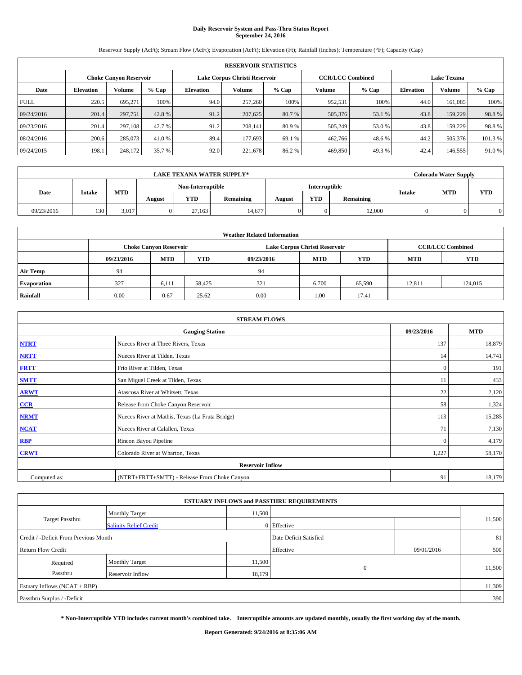# **Daily Reservoir System and Pass-Thru Status Report September 24, 2016**

Reservoir Supply (AcFt); Stream Flow (AcFt); Evaporation (AcFt); Elevation (Ft); Rainfall (Inches); Temperature (°F); Capacity (Cap)

|             | <b>RESERVOIR STATISTICS</b> |                        |         |                  |                               |         |                         |         |                  |                    |         |  |
|-------------|-----------------------------|------------------------|---------|------------------|-------------------------------|---------|-------------------------|---------|------------------|--------------------|---------|--|
|             |                             | Choke Canvon Reservoir |         |                  | Lake Corpus Christi Reservoir |         | <b>CCR/LCC Combined</b> |         |                  | <b>Lake Texana</b> |         |  |
| Date        | <b>Elevation</b>            | Volume                 | $%$ Cap | <b>Elevation</b> | Volume                        | $%$ Cap | Volume                  | $%$ Cap | <b>Elevation</b> | <b>Volume</b>      | % Cap   |  |
| <b>FULL</b> | 220.5                       | 695.271                | 100%    | 94.0             | 257,260                       | 100%    | 952,531                 | 100%    | 44.0             | 161.085            | 100%    |  |
| 09/24/2016  | 201.4                       | 297,751                | 42.8%   | 91.2             | 207,625                       | 80.7 %  | 505,376                 | 53.1 %  | 43.8             | 159,229            | 98.8%   |  |
| 09/23/2016  | 201.4                       | 297,108                | 42.7 %  | 91.2             | 208,141                       | 80.9 %  | 505,249                 | 53.0 %  | 43.8             | 159,229            | 98.8%   |  |
| 08/24/2016  | 200.6                       | 285,073                | 41.0 %  | 89.4             | 177,693                       | 69.1 %  | 462,766                 | 48.6%   | 44.2             | 505,376            | 101.3 % |  |
| 09/24/2015  | 198.1                       | 248,172                | 35.7 %  | 92.0             | 221,678                       | 86.2%   | 469,850                 | 49.3%   | 42.4             | 146,555            | 91.0 %  |  |

| <b>LAKE TEXANA WATER SUPPLY*</b> |               |            |        |                   |           | <b>Colorado Water Supply</b> |               |           |               |            |            |
|----------------------------------|---------------|------------|--------|-------------------|-----------|------------------------------|---------------|-----------|---------------|------------|------------|
|                                  |               |            |        | Non-Interruptible |           |                              | Interruptible |           |               |            |            |
| Date                             | <b>Intake</b> | <b>MTD</b> | August | <b>YTD</b>        | Remaining | August                       | <b>YTD</b>    | Remaining | <b>Intake</b> | <b>MTD</b> | <b>YTD</b> |
| 09/23/2016                       | 130           | 3,017      |        | 27.163            | 14,677    |                              | 0             | 12,000    |               |            |            |

| <b>Weather Related Information</b> |            |                               |            |            |                               |                         |            |            |  |  |
|------------------------------------|------------|-------------------------------|------------|------------|-------------------------------|-------------------------|------------|------------|--|--|
|                                    |            | <b>Choke Canyon Reservoir</b> |            |            | Lake Corpus Christi Reservoir | <b>CCR/LCC Combined</b> |            |            |  |  |
|                                    | 09/23/2016 | <b>MTD</b>                    | <b>YTD</b> | 09/23/2016 | <b>MTD</b>                    | <b>YTD</b>              | <b>MTD</b> | <b>YTD</b> |  |  |
| <b>Air Temp</b>                    | 94         |                               |            | 94         |                               |                         |            |            |  |  |
| <b>Evaporation</b>                 | 327        | 6,111                         | 58.425     | 321        | 6.700                         | 65,590                  | 12.811     | 124,015    |  |  |
| Rainfall                           | 0.00       | 0.67                          | 25.62      | 0.00       | 1.00                          | 17.41                   |            |            |  |  |

| <b>STREAM FLOWS</b> |                                                 |              |            |  |  |  |  |  |  |
|---------------------|-------------------------------------------------|--------------|------------|--|--|--|--|--|--|
|                     | <b>Gauging Station</b>                          | 09/23/2016   | <b>MTD</b> |  |  |  |  |  |  |
| <b>NTRT</b>         | Nueces River at Three Rivers, Texas             | 137          | 18,879     |  |  |  |  |  |  |
| <b>NRTT</b>         | Nueces River at Tilden, Texas                   | 14           | 14,741     |  |  |  |  |  |  |
| <b>FRTT</b>         | Frio River at Tilden, Texas                     | $\mathbf{0}$ | 191        |  |  |  |  |  |  |
| <b>SMTT</b>         | San Miguel Creek at Tilden, Texas               | 11           | 433        |  |  |  |  |  |  |
| <b>ARWT</b>         | Atascosa River at Whitsett, Texas               | 22           | 2,120      |  |  |  |  |  |  |
| $CCR$               | Release from Choke Canyon Reservoir             | 58           | 1,324      |  |  |  |  |  |  |
| <b>NRMT</b>         | Nueces River at Mathis, Texas (La Fruta Bridge) | 113          | 15,285     |  |  |  |  |  |  |
| <b>NCAT</b>         | Nueces River at Calallen, Texas                 | 71           | 7,130      |  |  |  |  |  |  |
| RBP                 | Rincon Bayou Pipeline                           | $\Omega$     | 4,179      |  |  |  |  |  |  |
| <b>CRWT</b>         | Colorado River at Wharton, Texas                | 1,227        | 58,170     |  |  |  |  |  |  |
|                     | <b>Reservoir Inflow</b>                         |              |            |  |  |  |  |  |  |
| Computed as:        | (NTRT+FRTT+SMTT) - Release From Choke Canyon    | 91           | 18,179     |  |  |  |  |  |  |

| <b>ESTUARY INFLOWS and PASSTHRU REQUIREMENTS</b> |                               |        |                        |            |        |  |  |  |  |  |
|--------------------------------------------------|-------------------------------|--------|------------------------|------------|--------|--|--|--|--|--|
|                                                  | <b>Monthly Target</b>         | 11,500 |                        |            |        |  |  |  |  |  |
| <b>Target Passthru</b>                           | <b>Salinity Relief Credit</b> |        | 0 Effective            |            | 11,500 |  |  |  |  |  |
| Credit / -Deficit From Previous Month            |                               |        | Date Deficit Satisfied |            | 81     |  |  |  |  |  |
| <b>Return Flow Credit</b>                        |                               |        | Effective              | 09/01/2016 | 500    |  |  |  |  |  |
| Required                                         | <b>Monthly Target</b>         | 11,500 |                        |            |        |  |  |  |  |  |
| Passthru                                         | <b>Reservoir Inflow</b>       | 18,179 | $\Omega$               |            | 11,500 |  |  |  |  |  |
| Estuary Inflows (NCAT + RBP)                     |                               |        |                        |            | 11,309 |  |  |  |  |  |
| Passthru Surplus / -Deficit                      |                               |        |                        |            | 390    |  |  |  |  |  |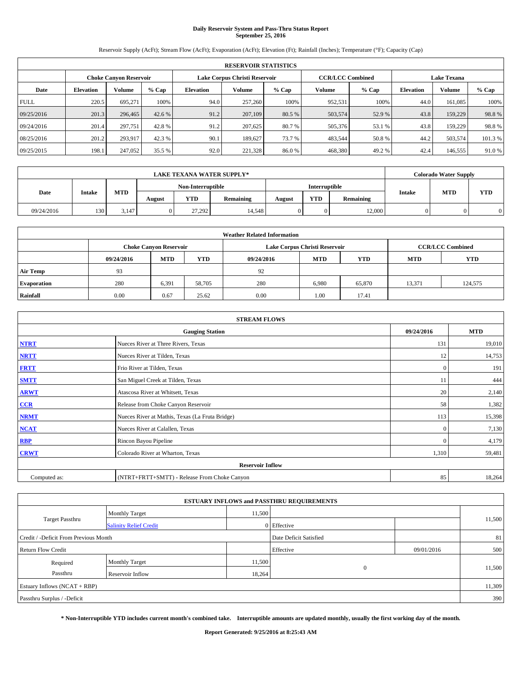# **Daily Reservoir System and Pass-Thru Status Report September 25, 2016**

Reservoir Supply (AcFt); Stream Flow (AcFt); Evaporation (AcFt); Elevation (Ft); Rainfall (Inches); Temperature (°F); Capacity (Cap)

|             | <b>RESERVOIR STATISTICS</b> |         |         |                  |                               |         |                         |                    |                  |               |         |
|-------------|-----------------------------|---------|---------|------------------|-------------------------------|---------|-------------------------|--------------------|------------------|---------------|---------|
|             | Choke Canvon Reservoir      |         |         |                  | Lake Corpus Christi Reservoir |         | <b>CCR/LCC Combined</b> | <b>Lake Texana</b> |                  |               |         |
| Date        | <b>Elevation</b>            | Volume  | $%$ Cap | <b>Elevation</b> | Volume                        | $%$ Cap | Volume                  | $%$ Cap            | <b>Elevation</b> | <b>Volume</b> | % Cap   |
| <b>FULL</b> | 220.5                       | 695.271 | 100%    | 94.0             | 257,260                       | 100%    | 952,531                 | 100%               | 44.0             | 161.085       | 100%    |
| 09/25/2016  | 201.3                       | 296,465 | 42.6 %  | 91.2             | 207,109                       | 80.5 %  | 503,574                 | 52.9%              | 43.8             | 159,229       | 98.8%   |
| 09/24/2016  | 201.4                       | 297,751 | 42.8%   | 91.2             | 207,625                       | 80.7 %  | 505,376                 | 53.1 %             | 43.8             | 159,229       | 98.8%   |
| 08/25/2016  | 201.2                       | 293.917 | 42.3 %  | 90.1             | 189.627                       | 73.7 %  | 483.544                 | 50.8%              | 44.2             | 503,574       | 101.3 % |
| 09/25/2015  | 198.1                       | 247,052 | 35.5 %  | 92.0             | 221,328                       | 86.0%   | 468,380                 | 49.2%              | 42.4             | 146,555       | 91.0%   |

|            | <b>LAKE TEXANA WATER SUPPLY*</b> |            |        |                   |           |        |                      |           |               | <b>Colorado Water Supply</b> |            |
|------------|----------------------------------|------------|--------|-------------------|-----------|--------|----------------------|-----------|---------------|------------------------------|------------|
|            |                                  |            |        | Non-Interruptible |           |        | <b>Interruptible</b> |           |               | <b>MTD</b>                   |            |
| Date       | <b>Intake</b>                    | <b>MTD</b> | August | <b>YTD</b>        | Remaining | August | <b>YTD</b>           | Remaining | <b>Intake</b> |                              | <b>YTD</b> |
| 09/24/2016 | 130                              | 3.147      |        | 27.292            | 14,548    |        | 0                    | 12,000    |               |                              |            |

| <b>Weather Related Information</b> |            |                                                                    |        |      |                               |                         |        |            |  |  |
|------------------------------------|------------|--------------------------------------------------------------------|--------|------|-------------------------------|-------------------------|--------|------------|--|--|
|                                    |            | <b>Choke Canyon Reservoir</b>                                      |        |      | Lake Corpus Christi Reservoir | <b>CCR/LCC Combined</b> |        |            |  |  |
|                                    | 09/24/2016 | <b>YTD</b><br><b>MTD</b><br><b>MTD</b><br><b>YTD</b><br>09/24/2016 |        |      |                               |                         |        | <b>YTD</b> |  |  |
| <b>Air Temp</b>                    | 93         |                                                                    |        | 92   |                               |                         |        |            |  |  |
| <b>Evaporation</b>                 | 280        | 6,391                                                              | 58,705 | 280  | 6.980                         | 65,870                  | 13,371 | 124,575    |  |  |
| Rainfall                           | 0.00       | 0.67                                                               | 25.62  | 0.00 | 1.00                          | 17.41                   |        |            |  |  |

| <b>STREAM FLOWS</b> |                                                 |              |            |  |  |  |  |  |  |
|---------------------|-------------------------------------------------|--------------|------------|--|--|--|--|--|--|
|                     | <b>Gauging Station</b>                          | 09/24/2016   | <b>MTD</b> |  |  |  |  |  |  |
| <b>NTRT</b>         | Nueces River at Three Rivers, Texas             | 131          | 19,010     |  |  |  |  |  |  |
| <b>NRTT</b>         | Nueces River at Tilden, Texas                   | 12           | 14,753     |  |  |  |  |  |  |
| <b>FRTT</b>         | Frio River at Tilden, Texas                     | $\mathbf{0}$ | 191        |  |  |  |  |  |  |
| <b>SMTT</b>         | San Miguel Creek at Tilden, Texas               | 11           | 444        |  |  |  |  |  |  |
| <b>ARWT</b>         | Atascosa River at Whitsett, Texas               |              |            |  |  |  |  |  |  |
| CCR                 | Release from Choke Canyon Reservoir             | 58           | 1,382      |  |  |  |  |  |  |
| <b>NRMT</b>         | Nueces River at Mathis, Texas (La Fruta Bridge) | 113          | 15,398     |  |  |  |  |  |  |
| <b>NCAT</b>         | Nueces River at Calallen, Texas                 | $\Omega$     | 7,130      |  |  |  |  |  |  |
| <b>RBP</b>          | Rincon Bayou Pipeline                           | $\Omega$     | 4,179      |  |  |  |  |  |  |
| <b>CRWT</b>         | Colorado River at Wharton, Texas                | 1,310        | 59,481     |  |  |  |  |  |  |
|                     | <b>Reservoir Inflow</b>                         |              |            |  |  |  |  |  |  |
| Computed as:        | (NTRT+FRTT+SMTT) - Release From Choke Canyon    |              |            |  |  |  |  |  |  |

| <b>ESTUARY INFLOWS and PASSTHRU REQUIREMENTS</b> |                               |        |                        |            |        |  |  |  |  |  |
|--------------------------------------------------|-------------------------------|--------|------------------------|------------|--------|--|--|--|--|--|
|                                                  | <b>Monthly Target</b>         | 11,500 |                        |            |        |  |  |  |  |  |
| Target Passthru                                  | <b>Salinity Relief Credit</b> |        | 0 Effective            |            | 11,500 |  |  |  |  |  |
| Credit / -Deficit From Previous Month            |                               |        | Date Deficit Satisfied |            | 81     |  |  |  |  |  |
| <b>Return Flow Credit</b>                        |                               |        | Effective              | 09/01/2016 | 500    |  |  |  |  |  |
| Required                                         | Monthly Target                | 11,500 |                        |            |        |  |  |  |  |  |
| Passthru                                         | <b>Reservoir Inflow</b>       | 18,264 | $\Omega$               |            | 11,500 |  |  |  |  |  |
| Estuary Inflows (NCAT + RBP)                     |                               |        |                        |            |        |  |  |  |  |  |
| Passthru Surplus / -Deficit                      |                               |        |                        |            |        |  |  |  |  |  |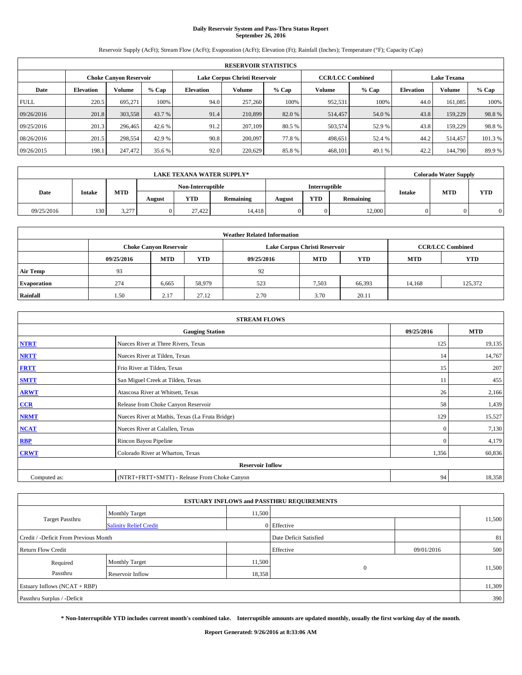# **Daily Reservoir System and Pass-Thru Status Report September 26, 2016**

Reservoir Supply (AcFt); Stream Flow (AcFt); Evaporation (AcFt); Elevation (Ft); Rainfall (Inches); Temperature (°F); Capacity (Cap)

|             | <b>RESERVOIR STATISTICS</b> |                   |        |                  |                               |         |                    |         |                  |               |         |
|-------------|-----------------------------|-------------------|--------|------------------|-------------------------------|---------|--------------------|---------|------------------|---------------|---------|
|             | Choke Canvon Reservoir      |                   |        |                  | Lake Corpus Christi Reservoir |         | <b>Lake Texana</b> |         |                  |               |         |
| Date        | <b>Elevation</b>            | $%$ Cap<br>Volume |        | <b>Elevation</b> | Volume                        | $%$ Cap | Volume             | $%$ Cap | <b>Elevation</b> | <b>Volume</b> | % Cap   |
| <b>FULL</b> | 220.5                       | 695.271           | 100%   | 94.0             | 257,260                       | 100%    | 952,531            | 100%    | 44.0             | 161.085       | 100%    |
| 09/26/2016  | 201.8                       | 303,558           | 43.7 % | 91.4             | 210,899                       | 82.0 %  | 514,457            | 54.0%   | 43.8             | 159,229       | 98.8%   |
| 09/25/2016  | 201.3                       | 296,465           | 42.6 % | 91.2             | 207,109                       | 80.5 %  | 503,574            | 52.9 %  | 43.8             | 159,229       | 98.8%   |
| 08/26/2016  | 201.5                       | 298,554           | 42.9 % | 90.8             | 200,097                       | 77.8%   | 498.651            | 52.4 %  | 44.2             | 514,457       | 101.3 % |
| 09/26/2015  | 198.1                       | 247,472           | 35.6 % | 92.0             | 220,629                       | 85.8%   | 468,101            | 49.1 %  | 42.2             | 144,790       | 89.9%   |

|            | <b>LAKE TEXANA WATER SUPPLY*</b> |            |        |                   |           |        |               |           |               | <b>Colorado Water Supply</b> |            |
|------------|----------------------------------|------------|--------|-------------------|-----------|--------|---------------|-----------|---------------|------------------------------|------------|
|            |                                  |            |        | Non-Interruptible |           |        | Interruptible |           |               |                              |            |
| Date       | <b>Intake</b>                    | <b>MTD</b> | August | <b>YTD</b>        | Remaining | August | <b>YTD</b>    | Remaining | <b>Intake</b> | <b>MTD</b>                   | <b>YTD</b> |
| 09/25/2016 | 130                              | 3,277      |        | 27.422            | 14.418    |        | 0             | 12,000    |               |                              |            |

| <b>Weather Related Information</b> |                                                                    |                               |        |      |                               |                         |            |            |  |  |
|------------------------------------|--------------------------------------------------------------------|-------------------------------|--------|------|-------------------------------|-------------------------|------------|------------|--|--|
|                                    |                                                                    | <b>Choke Canyon Reservoir</b> |        |      | Lake Corpus Christi Reservoir | <b>CCR/LCC Combined</b> |            |            |  |  |
|                                    | <b>YTD</b><br><b>MTD</b><br><b>MTD</b><br>09/25/2016<br>09/25/2016 |                               |        |      |                               |                         | <b>MTD</b> | <b>YTD</b> |  |  |
| <b>Air Temp</b>                    | 93                                                                 |                               |        | 92   |                               |                         |            |            |  |  |
| <b>Evaporation</b>                 | 274                                                                | 6,665                         | 58,979 | 523  | 7,503                         | 66,393                  | 14,168     | 125.372    |  |  |
| Rainfall                           | 1.50                                                               | 2.17                          | 27.12  | 2.70 | 3.70                          | 20.11                   |            |            |  |  |

| <b>STREAM FLOWS</b> |                                                 |              |            |  |  |  |  |  |  |
|---------------------|-------------------------------------------------|--------------|------------|--|--|--|--|--|--|
|                     | <b>Gauging Station</b>                          | 09/25/2016   | <b>MTD</b> |  |  |  |  |  |  |
| <b>NTRT</b>         | Nueces River at Three Rivers, Texas             | 125          | 19,135     |  |  |  |  |  |  |
| <b>NRTT</b>         | 14                                              | 14,767       |            |  |  |  |  |  |  |
| <b>FRTT</b>         | Frio River at Tilden, Texas                     | 15           | 207        |  |  |  |  |  |  |
| <b>SMTT</b>         | San Miguel Creek at Tilden, Texas               | 11           | 455        |  |  |  |  |  |  |
| <b>ARWT</b>         | Atascosa River at Whitsett, Texas               | 26           | 2,166      |  |  |  |  |  |  |
| $CCR$               | Release from Choke Canyon Reservoir             | 58           | 1,439      |  |  |  |  |  |  |
| <b>NRMT</b>         | Nueces River at Mathis, Texas (La Fruta Bridge) | 129          | 15,527     |  |  |  |  |  |  |
| <b>NCAT</b>         | Nueces River at Calallen, Texas                 | $\mathbf{0}$ | 7,130      |  |  |  |  |  |  |
| RBP                 | Rincon Bayou Pipeline                           | $\Omega$     | 4,179      |  |  |  |  |  |  |
| <b>CRWT</b>         | Colorado River at Wharton, Texas                | 1,356        | 60,836     |  |  |  |  |  |  |
|                     |                                                 |              |            |  |  |  |  |  |  |
| Computed as:        | (NTRT+FRTT+SMTT) - Release From Choke Canyon    | 94           | 18,358     |  |  |  |  |  |  |

| <b>ESTUARY INFLOWS and PASSTHRU REQUIREMENTS</b> |                               |        |                        |            |        |  |  |  |  |  |
|--------------------------------------------------|-------------------------------|--------|------------------------|------------|--------|--|--|--|--|--|
|                                                  | <b>Monthly Target</b>         | 11,500 |                        |            |        |  |  |  |  |  |
| Target Passthru                                  | <b>Salinity Relief Credit</b> |        | 0 Effective            |            | 11,500 |  |  |  |  |  |
| Credit / -Deficit From Previous Month            |                               |        | Date Deficit Satisfied |            | 81     |  |  |  |  |  |
| <b>Return Flow Credit</b>                        |                               |        | Effective              | 09/01/2016 | 500    |  |  |  |  |  |
| Required                                         | Monthly Target                | 11,500 |                        |            |        |  |  |  |  |  |
| Passthru                                         | <b>Reservoir Inflow</b>       | 18,358 | $\Omega$               |            | 11,500 |  |  |  |  |  |
| Estuary Inflows (NCAT + RBP)                     |                               |        |                        |            |        |  |  |  |  |  |
| Passthru Surplus / -Deficit                      |                               |        |                        |            |        |  |  |  |  |  |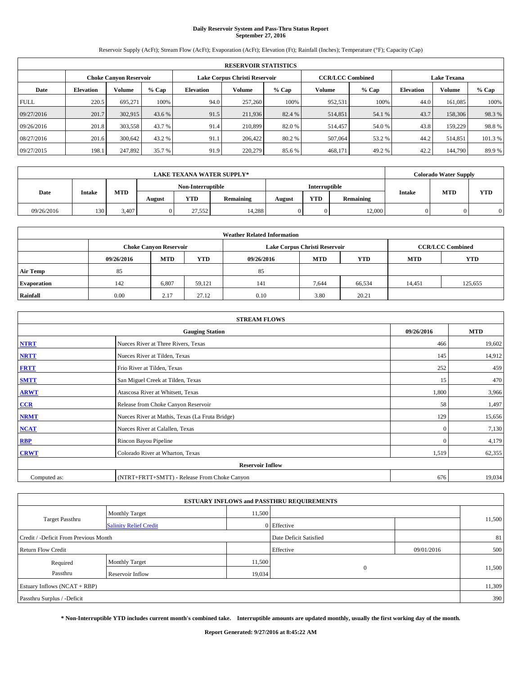# **Daily Reservoir System and Pass-Thru Status Report September 27, 2016**

Reservoir Supply (AcFt); Stream Flow (AcFt); Evaporation (AcFt); Elevation (Ft); Rainfall (Inches); Temperature (°F); Capacity (Cap)

|             | <b>RESERVOIR STATISTICS</b> |                   |        |                  |                               |         |                         |         |                  |                    |         |
|-------------|-----------------------------|-------------------|--------|------------------|-------------------------------|---------|-------------------------|---------|------------------|--------------------|---------|
|             | Choke Canvon Reservoir      |                   |        |                  | Lake Corpus Christi Reservoir |         | <b>CCR/LCC Combined</b> |         |                  | <b>Lake Texana</b> |         |
| Date        | <b>Elevation</b>            | $%$ Cap<br>Volume |        | <b>Elevation</b> | Volume                        | $%$ Cap | Volume                  | $%$ Cap | <b>Elevation</b> | <b>Volume</b>      | % Cap   |
| <b>FULL</b> | 220.5                       | 695.271           | 100%   | 94.0             | 257,260                       | 100%    | 952,531                 | 100%    | 44.0             | 161.085            | 100%    |
| 09/27/2016  | 201.7                       | 302,915           | 43.6 % | 91.5             | 211,936                       | 82.4 %  | 514,851                 | 54.1 %  | 43.7             | 158,306            | 98.3%   |
| 09/26/2016  | 201.8                       | 303,558           | 43.7%  | 91.4             | 210,899                       | 82.0 %  | 514,457                 | 54.0 %  | 43.8             | 159,229            | 98.8%   |
| 08/27/2016  | 201.6                       | 300.642           | 43.2 % | 91.1             | 206,422                       | 80.2 %  | 507,064                 | 53.2 %  | 44.2             | 514,851            | 101.3 % |
| 09/27/2015  | 198.1                       | 247,892           | 35.7 % | 91.9             | 220,279                       | 85.6%   | 468,171                 | 49.2%   | 42.2             | 144,790            | 89.9%   |

|            | <b>LAKE TEXANA WATER SUPPLY*</b> |            |        |                   |           |        |               |           |               | <b>Colorado Water Supply</b> |            |
|------------|----------------------------------|------------|--------|-------------------|-----------|--------|---------------|-----------|---------------|------------------------------|------------|
| Date       |                                  |            |        | Non-Interruptible |           |        | Interruptible |           |               |                              |            |
|            | <b>Intake</b>                    | <b>MTD</b> | August | <b>YTD</b>        | Remaining | August | <b>YTD</b>    | Remaining | <b>Intake</b> | <b>MTD</b>                   | <b>YTD</b> |
| 09/26/2016 | 130                              | 3.407      |        | 27.552            | 14,288    |        | 0             | 12,000    |               |                              |            |

| <b>Weather Related Information</b> |            |                               |            |            |                               |                         |        |         |  |
|------------------------------------|------------|-------------------------------|------------|------------|-------------------------------|-------------------------|--------|---------|--|
|                                    |            | <b>Choke Canyon Reservoir</b> |            |            | Lake Corpus Christi Reservoir | <b>CCR/LCC Combined</b> |        |         |  |
|                                    | 09/26/2016 | <b>MTD</b>                    | <b>YTD</b> | 09/26/2016 | <b>YTD</b>                    |                         |        |         |  |
| <b>Air Temp</b>                    | 85         |                               |            | 85         |                               |                         |        |         |  |
| <b>Evaporation</b>                 | 142        | 6.807                         | 59.121     | 141        | 7,644                         | 66,534                  | 14,451 | 125,655 |  |
| Rainfall                           | 0.00       | 2.17                          | 27.12      | 0.10       | 3.80                          | 20.21                   |        |         |  |

| <b>STREAM FLOWS</b> |                                                 |              |        |  |  |  |  |  |
|---------------------|-------------------------------------------------|--------------|--------|--|--|--|--|--|
|                     | 09/26/2016                                      | <b>MTD</b>   |        |  |  |  |  |  |
| <b>NTRT</b>         | Nueces River at Three Rivers, Texas             | 466          | 19,602 |  |  |  |  |  |
| <b>NRTT</b>         | Nueces River at Tilden, Texas                   | 145          | 14,912 |  |  |  |  |  |
| <b>FRTT</b>         | Frio River at Tilden, Texas                     | 252          | 459    |  |  |  |  |  |
| <b>SMTT</b>         | San Miguel Creek at Tilden, Texas               | 15           | 470    |  |  |  |  |  |
| <b>ARWT</b>         | Atascosa River at Whitsett, Texas               | 1,800        | 3,966  |  |  |  |  |  |
| $CCR$               | Release from Choke Canyon Reservoir             | 58           | 1,497  |  |  |  |  |  |
| <b>NRMT</b>         | Nueces River at Mathis, Texas (La Fruta Bridge) | 129          | 15,656 |  |  |  |  |  |
| <b>NCAT</b>         | Nueces River at Calallen, Texas                 | $\mathbf{0}$ | 7,130  |  |  |  |  |  |
| RBP                 | Rincon Bayou Pipeline                           | $\Omega$     | 4,179  |  |  |  |  |  |
| <b>CRWT</b>         | Colorado River at Wharton, Texas                | 1,519        | 62,355 |  |  |  |  |  |
|                     | <b>Reservoir Inflow</b>                         |              |        |  |  |  |  |  |
| Computed as:        | (NTRT+FRTT+SMTT) - Release From Choke Canyon    | 676          | 19,034 |  |  |  |  |  |

|                                       |                               |        | <b>ESTUARY INFLOWS and PASSTHRU REQUIREMENTS</b> |            |        |  |  |  |
|---------------------------------------|-------------------------------|--------|--------------------------------------------------|------------|--------|--|--|--|
|                                       | <b>Monthly Target</b>         | 11,500 |                                                  |            |        |  |  |  |
| Target Passthru                       | <b>Salinity Relief Credit</b> |        | 0 Effective                                      |            | 11,500 |  |  |  |
| Credit / -Deficit From Previous Month |                               |        | Date Deficit Satisfied                           |            | 81     |  |  |  |
| <b>Return Flow Credit</b>             |                               |        | Effective                                        | 09/01/2016 | 500    |  |  |  |
| Required                              | Monthly Target                | 11,500 |                                                  |            |        |  |  |  |
| Passthru                              | <b>Reservoir Inflow</b>       | 19,034 | $\Omega$                                         |            | 11,500 |  |  |  |
| Estuary Inflows (NCAT + RBP)          |                               |        |                                                  |            |        |  |  |  |
| Passthru Surplus / -Deficit           |                               |        |                                                  |            |        |  |  |  |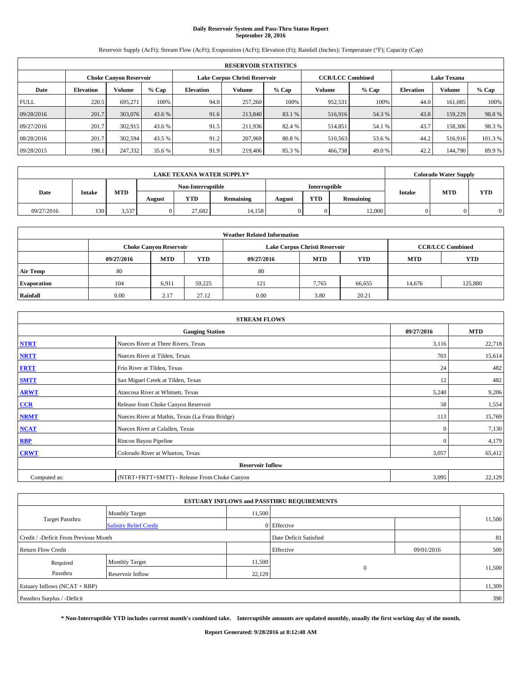# **Daily Reservoir System and Pass-Thru Status Report September 28, 2016**

Reservoir Supply (AcFt); Stream Flow (AcFt); Evaporation (AcFt); Elevation (Ft); Rainfall (Inches); Temperature (°F); Capacity (Cap)

| <b>RESERVOIR STATISTICS</b> |                  |                        |         |                  |                               |         |                         |         |                  |                    |         |
|-----------------------------|------------------|------------------------|---------|------------------|-------------------------------|---------|-------------------------|---------|------------------|--------------------|---------|
|                             |                  | Choke Canvon Reservoir |         |                  | Lake Corpus Christi Reservoir |         | <b>CCR/LCC Combined</b> |         |                  | <b>Lake Texana</b> |         |
| Date                        | <b>Elevation</b> | Volume                 | $%$ Cap | <b>Elevation</b> | Volume                        | $%$ Cap | Volume                  | $%$ Cap | <b>Elevation</b> | <b>Volume</b>      | % Cap   |
| <b>FULL</b>                 | 220.5            | 695.271                | 100%    | 94.0             | 257,260                       | 100%    | 952,531                 | 100%    | 44.0             | 161.085            | 100%    |
| 09/28/2016                  | 201.7            | 303,076                | 43.6 %  | 91.6             | 213,840                       | 83.1 %  | 516,916                 | 54.3 %  | 43.8             | 159,229            | 98.8%   |
| 09/27/2016                  | 201.7            | 302,915                | 43.6 %  | 91.5             | 211.936                       | 82.4 %  | 514,851                 | 54.1 %  | 43.7             | 158,306            | 98.3 %  |
| 08/28/2016                  | 201.7            | 302,594                | 43.5 %  | 91.2             | 207,969                       | 80.8%   | 510,563                 | 53.6 %  | 44.2             | 516,916            | 101.3 % |
| 09/28/2015                  | 198.1            | 247,332                | 35.6 %  | 91.9             | 219,406                       | 85.3%   | 466,738                 | 49.0%   | 42.2             | 144,790            | 89.9%   |

| <b>LAKE TEXANA WATER SUPPLY*</b> |               |            |        |                   |           |        |                      |           |               | <b>Colorado Water Supply</b> |            |
|----------------------------------|---------------|------------|--------|-------------------|-----------|--------|----------------------|-----------|---------------|------------------------------|------------|
|                                  |               |            |        | Non-Interruptible |           |        | <b>Interruptible</b> |           |               |                              |            |
| Date                             | <b>Intake</b> | <b>MTD</b> | August | <b>YTD</b>        | Remaining | August | <b>YTD</b>           | Remaining | <b>Intake</b> | <b>MTD</b>                   | <b>YTD</b> |
| 09/27/2016                       | 130           | 3,537      |        | 27.682            | 14,158    |        | 0                    | 12,000    |               |                              |            |

| <b>Weather Related Information</b> |            |                               |            |            |                               |                         |        |         |  |
|------------------------------------|------------|-------------------------------|------------|------------|-------------------------------|-------------------------|--------|---------|--|
|                                    |            | <b>Choke Canyon Reservoir</b> |            |            | Lake Corpus Christi Reservoir | <b>CCR/LCC Combined</b> |        |         |  |
|                                    | 09/27/2016 | <b>MTD</b>                    | <b>YTD</b> | 09/27/2016 | <b>YTD</b>                    |                         |        |         |  |
| <b>Air Temp</b>                    | 80         |                               |            | 80         |                               |                         |        |         |  |
| <b>Evaporation</b>                 | 104        | 6,911                         | 59.225     | 121        | 7.765                         | 66,655                  | 14.676 | 125,880 |  |
| Rainfall                           | 0.00       | 2.17                          | 27.12      | 0.00       | 3.80                          | 20.21                   |        |         |  |

| <b>STREAM FLOWS</b> |                                                 |              |        |  |  |  |  |  |  |
|---------------------|-------------------------------------------------|--------------|--------|--|--|--|--|--|--|
|                     | 09/27/2016                                      | <b>MTD</b>   |        |  |  |  |  |  |  |
| <b>NTRT</b>         | Nueces River at Three Rivers, Texas             | 3,116        | 22,718 |  |  |  |  |  |  |
| <b>NRTT</b>         | Nueces River at Tilden, Texas                   | 703          | 15,614 |  |  |  |  |  |  |
| <b>FRTT</b>         | Frio River at Tilden, Texas                     | 24           | 482    |  |  |  |  |  |  |
| <b>SMTT</b>         | San Miguel Creek at Tilden, Texas               | 12           | 482    |  |  |  |  |  |  |
| <b>ARWT</b>         | Atascosa River at Whitsett, Texas               | 5,240        | 9,206  |  |  |  |  |  |  |
| $CCR$               | Release from Choke Canyon Reservoir             | 58           | 1,554  |  |  |  |  |  |  |
| <b>NRMT</b>         | Nueces River at Mathis, Texas (La Fruta Bridge) | 113          | 15,769 |  |  |  |  |  |  |
| <b>NCAT</b>         | Nueces River at Calallen, Texas                 | $\Omega$     | 7,130  |  |  |  |  |  |  |
| RBP                 | Rincon Bayou Pipeline                           | $\mathbf{0}$ | 4,179  |  |  |  |  |  |  |
| <b>CRWT</b>         | Colorado River at Wharton, Texas                | 3,057        | 65,412 |  |  |  |  |  |  |
|                     | <b>Reservoir Inflow</b>                         |              |        |  |  |  |  |  |  |
| Computed as:        | (NTRT+FRTT+SMTT) - Release From Choke Canyon    | 3,095        | 22,129 |  |  |  |  |  |  |

|                                       |                               |        | <b>ESTUARY INFLOWS and PASSTHRU REQUIREMENTS</b> |            |        |  |  |  |
|---------------------------------------|-------------------------------|--------|--------------------------------------------------|------------|--------|--|--|--|
|                                       | <b>Monthly Target</b>         | 11,500 |                                                  |            |        |  |  |  |
| Target Passthru                       | <b>Salinity Relief Credit</b> |        | 0 Effective                                      |            | 11,500 |  |  |  |
| Credit / -Deficit From Previous Month |                               |        | Date Deficit Satisfied                           |            | 81     |  |  |  |
| <b>Return Flow Credit</b>             |                               |        | Effective                                        | 09/01/2016 | 500    |  |  |  |
| Required                              | <b>Monthly Target</b>         | 11,500 |                                                  |            |        |  |  |  |
| Passthru                              | <b>Reservoir Inflow</b>       | 22,129 | $\Omega$                                         |            | 11,500 |  |  |  |
| Estuary Inflows (NCAT + RBP)          |                               |        |                                                  |            |        |  |  |  |
| Passthru Surplus / -Deficit           |                               |        |                                                  |            | 390    |  |  |  |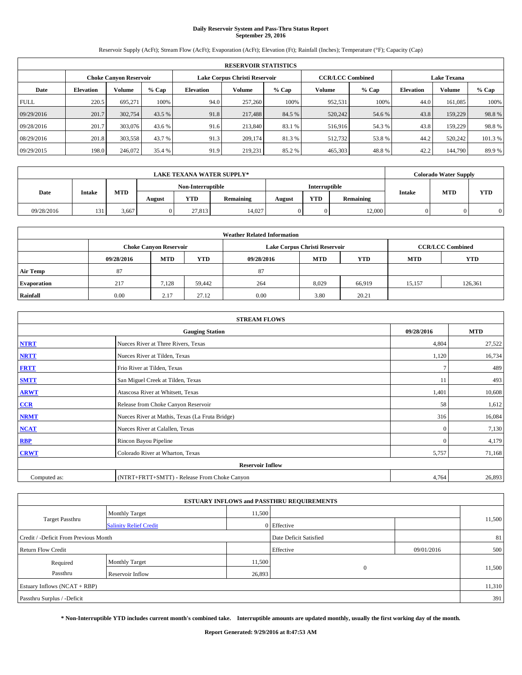# **Daily Reservoir System and Pass-Thru Status Report September 29, 2016**

Reservoir Supply (AcFt); Stream Flow (AcFt); Evaporation (AcFt); Elevation (Ft); Rainfall (Inches); Temperature (°F); Capacity (Cap)

| <b>RESERVOIR STATISTICS</b> |                  |                        |         |                  |                               |         |                         |         |                  |                    |         |
|-----------------------------|------------------|------------------------|---------|------------------|-------------------------------|---------|-------------------------|---------|------------------|--------------------|---------|
|                             |                  | Choke Canvon Reservoir |         |                  | Lake Corpus Christi Reservoir |         | <b>CCR/LCC Combined</b> |         |                  | <b>Lake Texana</b> |         |
| Date                        | <b>Elevation</b> | Volume                 | $%$ Cap | <b>Elevation</b> | Volume                        | $%$ Cap | Volume                  | $%$ Cap | <b>Elevation</b> | <b>Volume</b>      | % Cap   |
| <b>FULL</b>                 | 220.5            | 695.271                | 100%    | 94.0             | 257,260                       | 100%    | 952,531                 | 100%    | 44.0             | 161.085            | 100%    |
| 09/29/2016                  | 201.7            | 302,754                | 43.5 %  | 91.8             | 217,488                       | 84.5 %  | 520,242                 | 54.6 %  | 43.8             | 159,229            | 98.8%   |
| 09/28/2016                  | 201.7            | 303,076                | 43.6 %  | 91.6             | 213,840                       | 83.1 %  | 516,916                 | 54.3 %  | 43.8             | 159,229            | 98.8%   |
| 08/29/2016                  | 201.8            | 303,558                | 43.7 %  | 91.3             | 209.174                       | 81.3 %  | 512.732                 | 53.8%   | 44.2             | 520,242            | 101.3 % |
| 09/29/2015                  | 198.0            | 246,072                | 35.4 %  | 91.9             | 219,231                       | 85.2%   | 465,303                 | 48.8%   | 42.2             | 144,790            | 89.9%   |

| <b>LAKE TEXANA WATER SUPPLY*</b> |               |            |                   |            |           |        |               |           | <b>Colorado Water Supply</b> |            |            |
|----------------------------------|---------------|------------|-------------------|------------|-----------|--------|---------------|-----------|------------------------------|------------|------------|
|                                  |               |            | Non-Interruptible |            |           |        | Interruptible |           |                              |            |            |
| Date                             | <b>Intake</b> | <b>MTD</b> | August            | <b>YTD</b> | Remaining | August | <b>YTD</b>    | Remaining | <b>Intake</b>                | <b>MTD</b> | <b>YTD</b> |
| 09/28/2016                       | 131           | 3.667      |                   | 27.813     | 14.027    |        | 0             | 12,000    |                              |            |            |

| <b>Weather Related Information</b> |            |                               |            |            |                               |                         |        |         |  |
|------------------------------------|------------|-------------------------------|------------|------------|-------------------------------|-------------------------|--------|---------|--|
|                                    |            | <b>Choke Canyon Reservoir</b> |            |            | Lake Corpus Christi Reservoir | <b>CCR/LCC Combined</b> |        |         |  |
|                                    | 09/28/2016 | <b>MTD</b>                    | <b>YTD</b> | 09/28/2016 | <b>YTD</b>                    |                         |        |         |  |
| <b>Air Temp</b>                    | 87         |                               |            | 87         |                               |                         |        |         |  |
| <b>Evaporation</b>                 | 217        | 7,128                         | 59.442     | 264        | 8,029                         | 66.919                  | 15,157 | 126,361 |  |
| Rainfall                           | 0.00       | 2.17                          | 27.12      | 0.00       | 3.80                          | 20.21                   |        |         |  |

| <b>STREAM FLOWS</b> |                                                 |              |        |  |  |  |  |  |  |
|---------------------|-------------------------------------------------|--------------|--------|--|--|--|--|--|--|
|                     | 09/28/2016                                      | <b>MTD</b>   |        |  |  |  |  |  |  |
| <b>NTRT</b>         | Nueces River at Three Rivers, Texas             | 4,804        | 27,522 |  |  |  |  |  |  |
| <b>NRTT</b>         | Nueces River at Tilden, Texas                   | 1,120        | 16,734 |  |  |  |  |  |  |
| <b>FRTT</b>         | Frio River at Tilden, Texas                     |              | 489    |  |  |  |  |  |  |
| <b>SMTT</b>         | San Miguel Creek at Tilden, Texas               | 11           | 493    |  |  |  |  |  |  |
| <b>ARWT</b>         | Atascosa River at Whitsett, Texas               | 1,401        | 10,608 |  |  |  |  |  |  |
| $CCR$               | Release from Choke Canyon Reservoir             | 58           | 1,612  |  |  |  |  |  |  |
| <b>NRMT</b>         | Nueces River at Mathis, Texas (La Fruta Bridge) | 316          | 16,084 |  |  |  |  |  |  |
| <b>NCAT</b>         | Nueces River at Calallen, Texas                 | $\Omega$     | 7,130  |  |  |  |  |  |  |
| RBP                 | Rincon Bayou Pipeline                           | $\mathbf{0}$ | 4,179  |  |  |  |  |  |  |
| <b>CRWT</b>         | Colorado River at Wharton, Texas                | 5,757        | 71,168 |  |  |  |  |  |  |
|                     | <b>Reservoir Inflow</b>                         |              |        |  |  |  |  |  |  |
| Computed as:        | (NTRT+FRTT+SMTT) - Release From Choke Canyon    | 4,764        | 26,893 |  |  |  |  |  |  |

| <b>ESTUARY INFLOWS and PASSTHRU REQUIREMENTS</b> |                               |                        |             |            |        |  |  |  |
|--------------------------------------------------|-------------------------------|------------------------|-------------|------------|--------|--|--|--|
| Target Passthru                                  | <b>Monthly Target</b>         | 11,500                 |             |            |        |  |  |  |
|                                                  | <b>Salinity Relief Credit</b> |                        | 0 Effective |            | 11,500 |  |  |  |
| Credit / -Deficit From Previous Month            |                               | Date Deficit Satisfied |             | 81         |        |  |  |  |
| <b>Return Flow Credit</b>                        |                               |                        | Effective   | 09/01/2016 | 500    |  |  |  |
| Required                                         | <b>Monthly Target</b>         | 11,500                 |             |            |        |  |  |  |
| Passthru                                         | <b>Reservoir Inflow</b>       | 26,893                 | $\Omega$    |            | 11,500 |  |  |  |
| Estuary Inflows (NCAT + RBP)                     |                               |                        |             |            |        |  |  |  |
| Passthru Surplus / -Deficit                      |                               |                        |             |            |        |  |  |  |